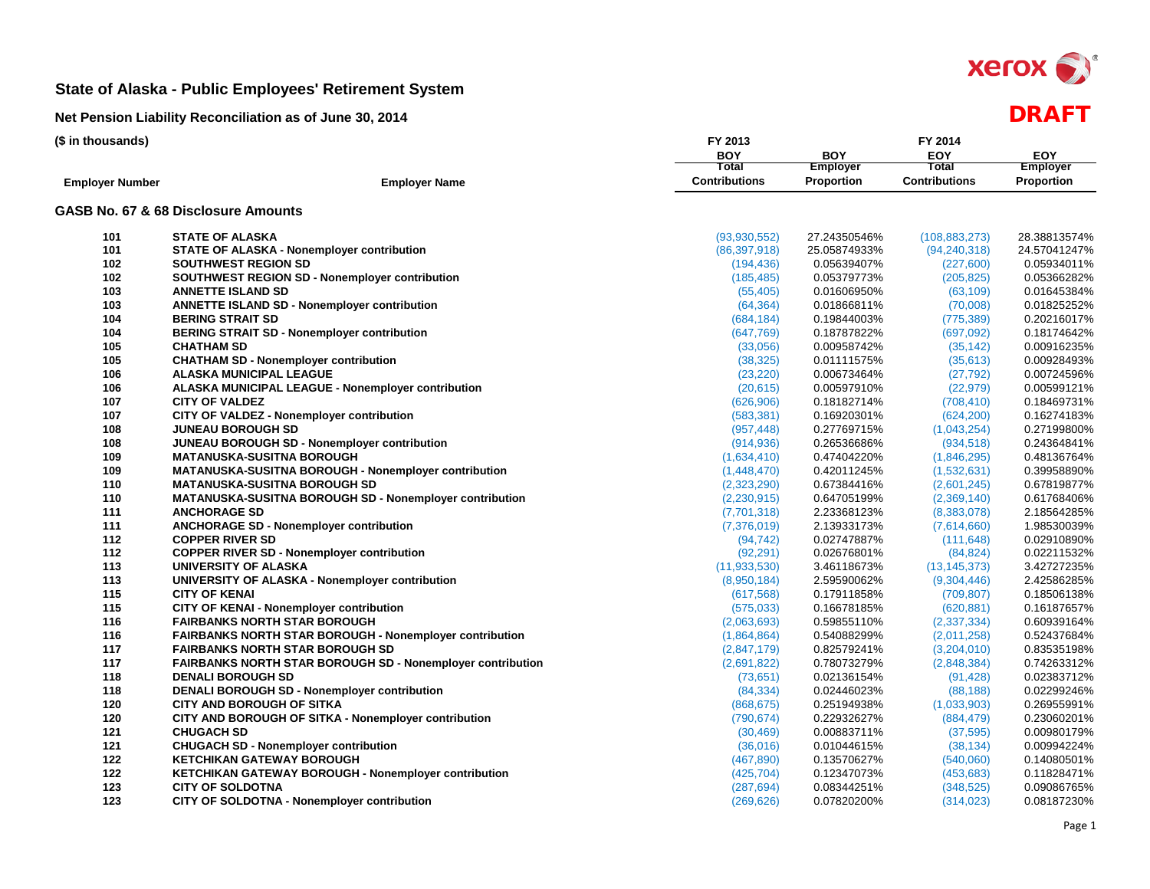

| (\$ in thousands)      |                                                                   | FY 2013              |                 | FY 2014              |                 |
|------------------------|-------------------------------------------------------------------|----------------------|-----------------|----------------------|-----------------|
|                        |                                                                   | <b>BOY</b>           | <b>BOY</b>      | EOY                  | <b>EOY</b>      |
|                        |                                                                   | Total                | <b>Employer</b> | Total                | <b>Employer</b> |
| <b>Employer Number</b> | <b>Employer Name</b>                                              | <b>Contributions</b> | Proportion      | <b>Contributions</b> | Proportion      |
|                        | GASB No. 67 & 68 Disclosure Amounts                               |                      |                 |                      |                 |
| 101                    | <b>STATE OF ALASKA</b>                                            | (93, 930, 552)       | 27.24350546%    | (108, 883, 273)      | 28.38813574%    |
| 101                    | <b>STATE OF ALASKA - Nonemployer contribution</b>                 | (86, 397, 918)       | 25.05874933%    | (94, 240, 318)       | 24.57041247%    |
| 102                    | <b>SOUTHWEST REGION SD</b>                                        | (194, 436)           | 0.05639407%     | (227,600)            | 0.05934011%     |
| 102                    | SOUTHWEST REGION SD - Nonemployer contribution                    | (185, 485)           | 0.05379773%     | (205, 825)           | 0.05366282%     |
| 103                    | <b>ANNETTE ISLAND SD</b>                                          | (55, 405)            | 0.01606950%     | (63, 109)            | 0.01645384%     |
| 103                    | <b>ANNETTE ISLAND SD - Nonemployer contribution</b>               | (64, 364)            | 0.01866811%     | (70,008)             | 0.01825252%     |
| 104                    | <b>BERING STRAIT SD</b>                                           | (684, 184)           | 0.19844003%     | (775, 389)           | 0.20216017%     |
| 104                    | <b>BERING STRAIT SD - Nonemployer contribution</b>                | (647, 769)           | 0.18787822%     | (697,092)            | 0.18174642%     |
| 105                    | <b>CHATHAM SD</b>                                                 | (33,056)             | 0.00958742%     | (35, 142)            | 0.00916235%     |
| 105                    | <b>CHATHAM SD - Nonemployer contribution</b>                      | (38, 325)            | 0.01111575%     | (35, 613)            | 0.00928493%     |
| 106                    | <b>ALASKA MUNICIPAL LEAGUE</b>                                    | (23, 220)            | 0.00673464%     | (27, 792)            | 0.00724596%     |
| 106                    | ALASKA MUNICIPAL LEAGUE - Nonemployer contribution                | (20, 615)            | 0.00597910%     | (22, 979)            | 0.00599121%     |
| 107                    | <b>CITY OF VALDEZ</b>                                             | (626, 906)           | 0.18182714%     | (708, 410)           | 0.18469731%     |
| 107                    | CITY OF VALDEZ - Nonemployer contribution                         | (583, 381)           | 0.16920301%     | (624, 200)           | 0.16274183%     |
| 108                    | <b>JUNEAU BOROUGH SD</b>                                          | (957, 448)           | 0.27769715%     | (1,043,254)          | 0.27199800%     |
| 108                    | JUNEAU BOROUGH SD - Nonemployer contribution                      | (914, 936)           | 0.26536686%     | (934, 518)           | 0.24364841%     |
| 109                    | <b>MATANUSKA-SUSITNA BOROUGH</b>                                  | (1,634,410)          | 0.47404220%     | (1,846,295)          | 0.48136764%     |
| 109                    | MATANUSKA-SUSITNA BOROUGH - Nonemployer contribution              | (1,448,470)          | 0.42011245%     | (1,532,631)          | 0.39958890%     |
| 110                    | <b>MATANUSKA-SUSITNA BOROUGH SD</b>                               | (2,323,290)          | 0.67384416%     | (2,601,245)          | 0.67819877%     |
| 110                    | MATANUSKA-SUSITNA BOROUGH SD - Nonemployer contribution           | (2,230,915)          | 0.64705199%     | (2,369,140)          | 0.61768406%     |
| 111                    | <b>ANCHORAGE SD</b>                                               | (7,701,318)          | 2.23368123%     | (8,383,078)          | 2.18564285%     |
| 111                    | <b>ANCHORAGE SD - Nonemployer contribution</b>                    | (7,376,019)          | 2.13933173%     | (7,614,660)          | 1.98530039%     |
| 112                    | <b>COPPER RIVER SD</b>                                            | (94, 742)            | 0.02747887%     | (111, 648)           | 0.02910890%     |
| 112                    | <b>COPPER RIVER SD - Nonemployer contribution</b>                 | (92, 291)            | 0.02676801%     | (84, 824)            | 0.02211532%     |
| 113                    | UNIVERSITY OF ALASKA                                              | (11, 933, 530)       | 3.46118673%     | (13, 145, 373)       | 3.42727235%     |
| 113                    | UNIVERSITY OF ALASKA - Nonemployer contribution                   | (8,950,184)          | 2.59590062%     | (9,304,446)          | 2.42586285%     |
| 115                    | <b>CITY OF KENAI</b>                                              | (617, 568)           | 0.17911858%     | (709, 807)           | 0.18506138%     |
| 115                    | <b>CITY OF KENAI - Nonemployer contribution</b>                   | (575, 033)           | 0.16678185%     | (620, 881)           | 0.16187657%     |
| 116                    | <b>FAIRBANKS NORTH STAR BOROUGH</b>                               | (2,063,693)          | 0.59855110%     | (2,337,334)          | 0.60939164%     |
| 116                    | FAIRBANKS NORTH STAR BOROUGH - Nonemployer contribution           | (1,864,864)          | 0.54088299%     | (2,011,258)          | 0.52437684%     |
| 117                    | <b>FAIRBANKS NORTH STAR BOROUGH SD</b>                            | (2,847,179)          | 0.82579241%     | (3,204,010)          | 0.83535198%     |
| 117                    | <b>FAIRBANKS NORTH STAR BOROUGH SD - Nonemployer contribution</b> | (2,691,822)          | 0.78073279%     | (2,848,384)          | 0.74263312%     |
| 118                    | <b>DENALI BOROUGH SD</b>                                          | (73, 651)            | 0.02136154%     | (91, 428)            | 0.02383712%     |
| 118                    | <b>DENALI BOROUGH SD - Nonemployer contribution</b>               | (84, 334)            | 0.02446023%     | (88, 188)            | 0.02299246%     |
| 120                    | <b>CITY AND BOROUGH OF SITKA</b>                                  | (868, 675)           | 0.25194938%     | (1,033,903)          | 0.26955991%     |
| 120                    | CITY AND BOROUGH OF SITKA - Nonemployer contribution              | (790, 674)           | 0.22932627%     | (884, 479)           | 0.23060201%     |
| 121                    | <b>CHUGACH SD</b>                                                 | (30, 469)            | 0.00883711%     | (37, 595)            | 0.00980179%     |
| 121                    | <b>CHUGACH SD - Nonemployer contribution</b>                      | (36,016)             | 0.01044615%     | (38, 134)            | 0.00994224%     |
| 122                    | <b>KETCHIKAN GATEWAY BOROUGH</b>                                  | (467, 890)           | 0.13570627%     | (540,060)            | 0.14080501%     |
| 122                    | <b>KETCHIKAN GATEWAY BOROUGH - Nonemployer contribution</b>       | (425, 704)           | 0.12347073%     | (453, 683)           | 0.11828471%     |
| 123                    | <b>CITY OF SOLDOTNA</b>                                           | (287, 694)           | 0.08344251%     | (348, 525)           | 0.09086765%     |
| 123                    | CITY OF SOLDOTNA - Nonemployer contribution                       | (269, 626)           | 0.07820200%     | (314, 023)           | 0.08187230%     |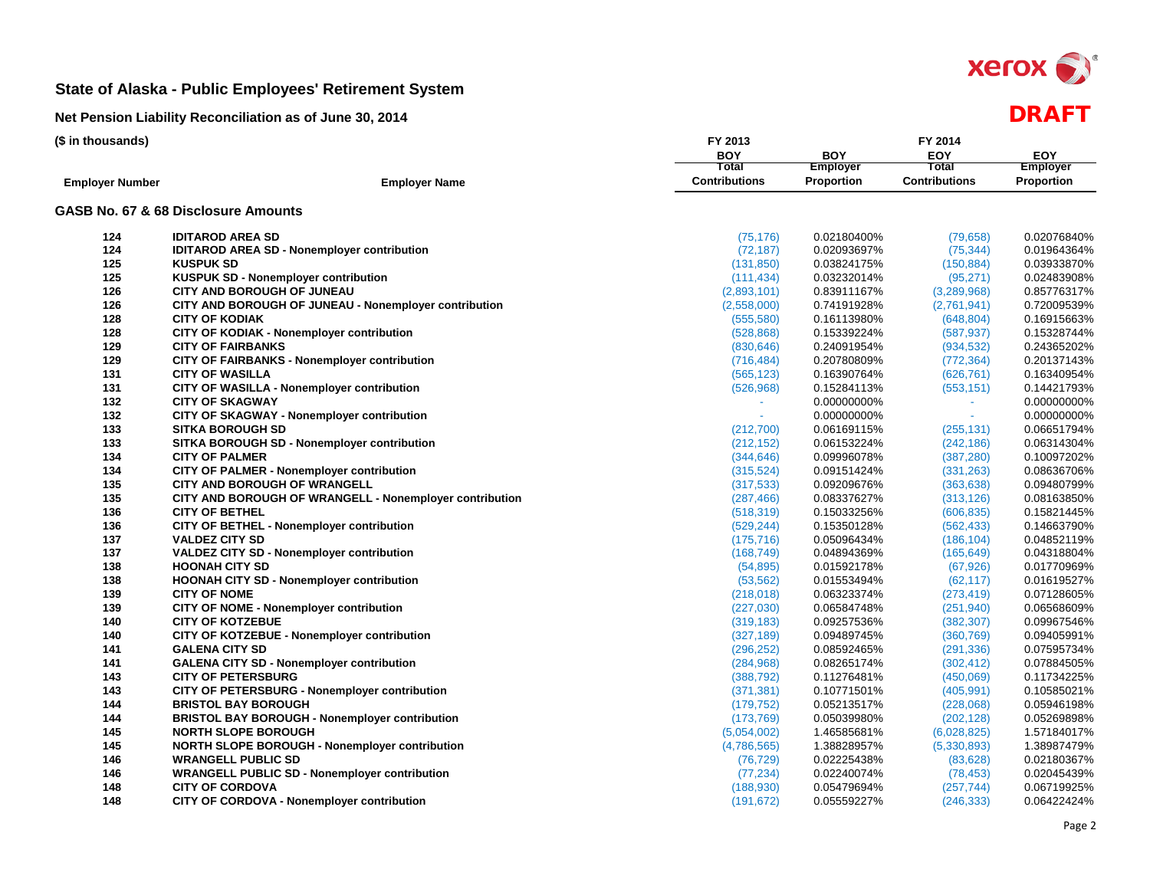

| (\$ in thousands)      |                                                         | FY 2013                 | FY 2014         |                         |                 |  |  |  |  |
|------------------------|---------------------------------------------------------|-------------------------|-----------------|-------------------------|-----------------|--|--|--|--|
|                        |                                                         | <b>BOY</b>              | <b>BOY</b>      | EOY                     | <b>EOY</b>      |  |  |  |  |
|                        |                                                         | Total                   | <b>Employer</b> | Total                   | <b>Employer</b> |  |  |  |  |
| <b>Employer Number</b> | <b>Employer Name</b>                                    | <b>Contributions</b>    | Proportion      | <b>Contributions</b>    | Proportion      |  |  |  |  |
|                        | GASB No. 67 & 68 Disclosure Amounts                     |                         |                 |                         |                 |  |  |  |  |
| 124                    | <b>IDITAROD AREA SD</b>                                 | (75, 176)               | 0.02180400%     | (79, 658)               | 0.02076840%     |  |  |  |  |
| 124                    | <b>IDITAROD AREA SD - Nonemployer contribution</b>      | (72, 187)               | 0.02093697%     | (75, 344)               | 0.01964364%     |  |  |  |  |
| 125                    | <b>KUSPUK SD</b>                                        | (131, 850)              | 0.03824175%     | (150, 884)              | 0.03933870%     |  |  |  |  |
| 125                    | <b>KUSPUK SD - Nonemployer contribution</b>             | (111, 434)              | 0.03232014%     | (95, 271)               | 0.02483908%     |  |  |  |  |
| 126                    | <b>CITY AND BOROUGH OF JUNEAU</b>                       | (2,893,101)             | 0.83911167%     | (3,289,968)             | 0.85776317%     |  |  |  |  |
| 126                    | CITY AND BOROUGH OF JUNEAU - Nonemployer contribution   | (2,558,000)             | 0.74191928%     | (2,761,941)             | 0.72009539%     |  |  |  |  |
| 128                    | <b>CITY OF KODIAK</b>                                   | (555, 580)              | 0.16113980%     | (648, 804)              | 0.16915663%     |  |  |  |  |
| 128                    | CITY OF KODIAK - Nonemployer contribution               | (528, 868)              | 0.15339224%     | (587, 937)              | 0.15328744%     |  |  |  |  |
| 129                    | <b>CITY OF FAIRBANKS</b>                                | (830, 646)              | 0.24091954%     | (934, 532)              | 0.24365202%     |  |  |  |  |
| 129                    | <b>CITY OF FAIRBANKS - Nonemployer contribution</b>     | (716, 484)              | 0.20780809%     | (772, 364)              | 0.20137143%     |  |  |  |  |
| 131                    | <b>CITY OF WASILLA</b>                                  | (565, 123)              | 0.16390764%     | (626, 761)              | 0.16340954%     |  |  |  |  |
| 131                    | CITY OF WASILLA - Nonemployer contribution              | (526, 968)              | 0.15284113%     | (553, 151)              | 0.14421793%     |  |  |  |  |
| 132                    | <b>CITY OF SKAGWAY</b>                                  | $\sim$                  | 0.00000000%     | ÷.                      | 0.00000000%     |  |  |  |  |
| 132                    | CITY OF SKAGWAY - Nonemployer contribution              |                         | 0.00000000%     | ÷.                      | 0.00000000%     |  |  |  |  |
| 133                    | <b>SITKA BOROUGH SD</b>                                 | (212,700)               | 0.06169115%     | (255, 131)              | 0.06651794%     |  |  |  |  |
| 133                    | SITKA BOROUGH SD - Nonemployer contribution             | (212, 152)              | 0.06153224%     | (242, 186)              | 0.06314304%     |  |  |  |  |
| 134                    | <b>CITY OF PALMER</b>                                   | (344, 646)              | 0.09996078%     | (387, 280)              | 0.10097202%     |  |  |  |  |
| 134                    | <b>CITY OF PALMER - Nonemployer contribution</b>        | (315, 524)              | 0.09151424%     | (331, 263)              | 0.08636706%     |  |  |  |  |
| 135                    | CITY AND BOROUGH OF WRANGELL                            | (317, 533)              | 0.09209676%     | (363, 638)              | 0.09480799%     |  |  |  |  |
| 135                    | CITY AND BOROUGH OF WRANGELL - Nonemployer contribution | (287, 466)              | 0.08337627%     | (313, 126)              | 0.08163850%     |  |  |  |  |
| 136                    | <b>CITY OF BETHEL</b>                                   | (518, 319)              | 0.15033256%     | (606, 835)              | 0.15821445%     |  |  |  |  |
| 136                    | CITY OF BETHEL - Nonemployer contribution               | (529, 244)              | 0.15350128%     | (562, 433)              | 0.14663790%     |  |  |  |  |
| 137                    | <b>VALDEZ CITY SD</b>                                   | (175, 716)              | 0.05096434%     | (186, 104)              | 0.04852119%     |  |  |  |  |
| 137                    | VALDEZ CITY SD - Nonemployer contribution               | (168, 749)              | 0.04894369%     |                         | 0.04318804%     |  |  |  |  |
| 138                    | <b>HOONAH CITY SD</b>                                   | (54, 895)               | 0.01592178%     | (165, 649)              | 0.01770969%     |  |  |  |  |
| 138                    | HOONAH CITY SD - Nonemployer contribution               |                         | 0.01553494%     | (67, 926)               | 0.01619527%     |  |  |  |  |
| 139                    | <b>CITY OF NOME</b>                                     | (53, 562)<br>(218, 018) | 0.06323374%     | (62, 117)<br>(273, 419) | 0.07128605%     |  |  |  |  |
| 139                    | <b>CITY OF NOME - Nonemployer contribution</b>          |                         |                 |                         |                 |  |  |  |  |
|                        |                                                         | (227,030)               | 0.06584748%     | (251, 940)              | 0.06568609%     |  |  |  |  |
| 140                    | <b>CITY OF KOTZEBUE</b>                                 | (319, 183)              | 0.09257536%     | (382, 307)              | 0.09967546%     |  |  |  |  |
| 140                    | CITY OF KOTZEBUE - Nonemployer contribution             | (327, 189)              | 0.09489745%     | (360, 769)              | 0.09405991%     |  |  |  |  |
| 141                    | <b>GALENA CITY SD</b>                                   | (296, 252)              | 0.08592465%     | (291, 336)              | 0.07595734%     |  |  |  |  |
| 141                    | <b>GALENA CITY SD - Nonemployer contribution</b>        | (284, 968)              | 0.08265174%     | (302, 412)              | 0.07884505%     |  |  |  |  |
| 143                    | <b>CITY OF PETERSBURG</b>                               | (388, 792)              | 0.11276481%     | (450,069)               | 0.11734225%     |  |  |  |  |
| 143                    | CITY OF PETERSBURG - Nonemployer contribution           | (371, 381)              | 0.10771501%     | (405, 991)              | 0.10585021%     |  |  |  |  |
| 144                    | <b>BRISTOL BAY BOROUGH</b>                              | (179, 752)              | 0.05213517%     | (228,068)               | 0.05946198%     |  |  |  |  |
| 144                    | <b>BRISTOL BAY BOROUGH - Nonemployer contribution</b>   | (173, 769)              | 0.05039980%     | (202, 128)              | 0.05269898%     |  |  |  |  |
| 145                    | <b>NORTH SLOPE BOROUGH</b>                              | (5,054,002)             | 1.46585681%     | (6,028,825)             | 1.57184017%     |  |  |  |  |
| 145                    | NORTH SLOPE BOROUGH - Nonemployer contribution          | (4,786,565)             | 1.38828957%     | (5,330,893)             | 1.38987479%     |  |  |  |  |
| 146                    | <b>WRANGELL PUBLIC SD</b>                               | (76, 729)               | 0.02225438%     | (83, 628)               | 0.02180367%     |  |  |  |  |
| 146                    | <b>WRANGELL PUBLIC SD - Nonemployer contribution</b>    | (77, 234)               | 0.02240074%     | (78, 453)               | 0.02045439%     |  |  |  |  |
| 148                    | <b>CITY OF CORDOVA</b>                                  | (188, 930)              | 0.05479694%     | (257, 744)              | 0.06719925%     |  |  |  |  |
| 148                    | CITY OF CORDOVA - Nonemployer contribution              | (191, 672)              | 0.05559227%     | (246, 333)              | 0.06422424%     |  |  |  |  |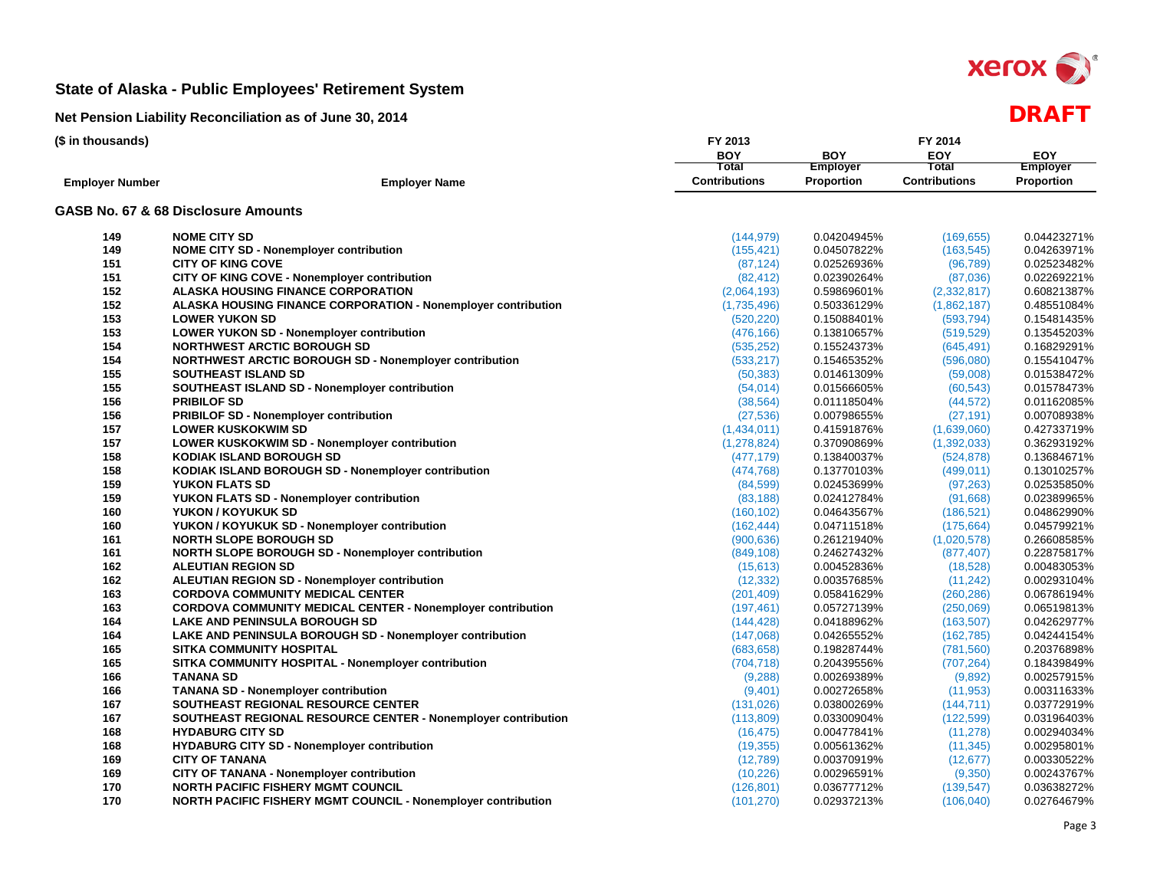

| (\$ in thousands)      |                                                                      | FY 2013              |                 | FY 2014              |                 |
|------------------------|----------------------------------------------------------------------|----------------------|-----------------|----------------------|-----------------|
|                        |                                                                      | <b>BOY</b>           | <b>BOY</b>      | EOY                  | <b>EOY</b>      |
|                        |                                                                      | Total                | <b>Employer</b> | Total                | <b>Employer</b> |
| <b>Employer Number</b> | <b>Employer Name</b>                                                 | <b>Contributions</b> | Proportion      | <b>Contributions</b> | Proportion      |
|                        | GASB No. 67 & 68 Disclosure Amounts                                  |                      |                 |                      |                 |
| 149                    | <b>NOME CITY SD</b>                                                  | (144, 979)           | 0.04204945%     | (169, 655)           | 0.04423271%     |
| 149                    | <b>NOME CITY SD - Nonemployer contribution</b>                       | (155, 421)           | 0.04507822%     | (163, 545)           | 0.04263971%     |
| 151                    | <b>CITY OF KING COVE</b>                                             | (87, 124)            | 0.02526936%     | (96, 789)            | 0.02523482%     |
| 151                    | CITY OF KING COVE - Nonemployer contribution                         | (82, 412)            | 0.02390264%     | (87,036)             | 0.02269221%     |
| 152                    | <b>ALASKA HOUSING FINANCE CORPORATION</b>                            | (2,064,193)          | 0.59869601%     | (2,332,817)          | 0.60821387%     |
| 152                    | <b>ALASKA HOUSING FINANCE CORPORATION - Nonemployer contribution</b> | (1,735,496)          | 0.50336129%     | (1,862,187)          | 0.48551084%     |
| 153                    | <b>LOWER YUKON SD</b>                                                | (520, 220)           | 0.15088401%     | (593, 794)           | 0.15481435%     |
| 153                    | <b>LOWER YUKON SD - Nonemployer contribution</b>                     | (476, 166)           | 0.13810657%     | (519, 529)           | 0.13545203%     |
| 154                    | <b>NORTHWEST ARCTIC BOROUGH SD</b>                                   | (535, 252)           | 0.15524373%     | (645, 491)           | 0.16829291%     |
| 154                    | <b>NORTHWEST ARCTIC BOROUGH SD - Nonemployer contribution</b>        | (533, 217)           | 0.15465352%     | (596,080)            | 0.15541047%     |
| 155                    | <b>SOUTHEAST ISLAND SD</b>                                           | (50, 383)            | 0.01461309%     | (59,008)             | 0.01538472%     |
| 155                    | SOUTHEAST ISLAND SD - Nonemployer contribution                       | (54, 014)            | 0.01566605%     | (60, 543)            | 0.01578473%     |
| 156                    | <b>PRIBILOF SD</b>                                                   | (38, 564)            | 0.01118504%     | (44, 572)            | 0.01162085%     |
| 156                    | PRIBILOF SD - Nonemployer contribution                               | (27, 536)            | 0.00798655%     | (27, 191)            | 0.00708938%     |
| 157                    | <b>LOWER KUSKOKWIM SD</b>                                            | (1,434,011)          | 0.41591876%     | (1,639,060)          | 0.42733719%     |
| 157                    | LOWER KUSKOKWIM SD - Nonemployer contribution                        | (1, 278, 824)        | 0.37090869%     | (1,392,033)          | 0.36293192%     |
| 158                    | <b>KODIAK ISLAND BOROUGH SD</b>                                      | (477, 179)           | 0.13840037%     | (524, 878)           | 0.13684671%     |
| 158                    | KODIAK ISLAND BOROUGH SD - Nonemployer contribution                  | (474, 768)           | 0.13770103%     | (499, 011)           | 0.13010257%     |
| 159                    | YUKON FLATS SD                                                       | (84, 599)            | 0.02453699%     | (97, 263)            | 0.02535850%     |
| 159                    | YUKON FLATS SD - Nonemployer contribution                            | (83, 188)            | 0.02412784%     | (91,668)             | 0.02389965%     |
| 160                    | YUKON / KOYUKUK SD                                                   | (160, 102)           | 0.04643567%     | (186, 521)           | 0.04862990%     |
| 160                    | YUKON / KOYUKUK SD - Nonemployer contribution                        | (162, 444)           | 0.04711518%     | (175, 664)           | 0.04579921%     |
| 161                    | <b>NORTH SLOPE BOROUGH SD</b>                                        | (900, 636)           | 0.26121940%     | (1,020,578)          | 0.26608585%     |
| 161                    | NORTH SLOPE BOROUGH SD - Nonemployer contribution                    | (849, 108)           | 0.24627432%     | (877, 407)           | 0.22875817%     |
| 162                    | <b>ALEUTIAN REGION SD</b>                                            | (15, 613)            | 0.00452836%     | (18,528)             | 0.00483053%     |
| 162                    | <b>ALEUTIAN REGION SD - Nonemployer contribution</b>                 | (12, 332)            | 0.00357685%     | (11, 242)            | 0.00293104%     |
| 163                    | <b>CORDOVA COMMUNITY MEDICAL CENTER</b>                              | (201, 409)           | 0.05841629%     | (260, 286)           | 0.06786194%     |
| 163                    | <b>CORDOVA COMMUNITY MEDICAL CENTER - Nonemployer contribution</b>   | (197, 461)           | 0.05727139%     | (250,069)            | 0.06519813%     |
| 164                    | LAKE AND PENINSULA BOROUGH SD                                        | (144, 428)           | 0.04188962%     | (163, 507)           | 0.04262977%     |
| 164                    | LAKE AND PENINSULA BOROUGH SD - Nonemployer contribution             | (147,068)            | 0.04265552%     | (162, 785)           | 0.04244154%     |
| 165                    | <b>SITKA COMMUNITY HOSPITAL</b>                                      | (683, 658)           | 0.19828744%     | (781, 560)           | 0.20376898%     |
| 165                    | SITKA COMMUNITY HOSPITAL - Nonemployer contribution                  | (704, 718)           | 0.20439556%     | (707, 264)           | 0.18439849%     |
| 166                    | <b>TANANA SD</b>                                                     | (9, 288)             | 0.00269389%     | (9,892)              | 0.00257915%     |
| 166                    | <b>TANANA SD - Nonemployer contribution</b>                          | (9,401)              | 0.00272658%     | (11, 953)            | 0.00311633%     |
| 167                    | SOUTHEAST REGIONAL RESOURCE CENTER                                   | (131, 026)           | 0.03800269%     | (144, 711)           | 0.03772919%     |
| 167                    | SOUTHEAST REGIONAL RESOURCE CENTER - Nonemployer contribution        | (113,809)            | 0.03300904%     | (122, 599)           | 0.03196403%     |
| 168                    | <b>HYDABURG CITY SD</b>                                              | (16, 475)            | 0.00477841%     | (11, 278)            | 0.00294034%     |
| 168                    | <b>HYDABURG CITY SD - Nonemployer contribution</b>                   | (19, 355)            | 0.00561362%     | (11, 345)            | 0.00295801%     |
| 169                    | <b>CITY OF TANANA</b>                                                | (12,789)             | 0.00370919%     | (12, 677)            | 0.00330522%     |
| 169                    | <b>CITY OF TANANA - Nonemployer contribution</b>                     | (10, 226)            | 0.00296591%     | (9,350)              | 0.00243767%     |
| 170                    | <b>NORTH PACIFIC FISHERY MGMT COUNCIL</b>                            | (126, 801)           | 0.03677712%     | (139, 547)           | 0.03638272%     |
| 170                    | NORTH PACIFIC FISHERY MGMT COUNCIL - Nonemployer contribution        | (101, 270)           | 0.02937213%     | (106, 040)           | 0.02764679%     |
|                        |                                                                      |                      |                 |                      |                 |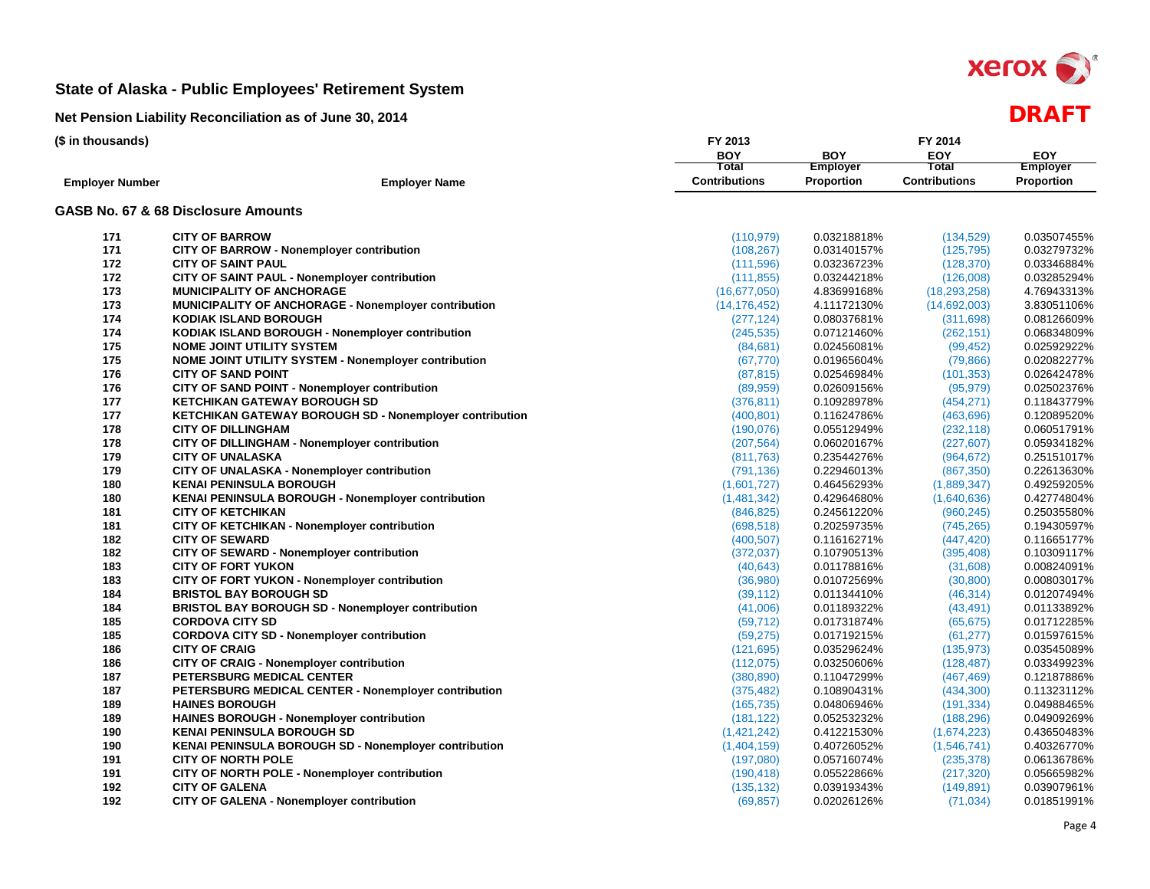

| (\$ in thousands)      |                                                             | FY 2013              |                 |                      |                 |
|------------------------|-------------------------------------------------------------|----------------------|-----------------|----------------------|-----------------|
|                        |                                                             | <b>BOY</b>           | <b>BOY</b>      | <b>EOY</b>           | <b>EOY</b>      |
|                        |                                                             | Total                | <b>Employer</b> | Total                | <b>Employer</b> |
| <b>Employer Number</b> | <b>Employer Name</b>                                        | <b>Contributions</b> | Proportion      | <b>Contributions</b> | Proportion      |
|                        | GASB No. 67 & 68 Disclosure Amounts                         |                      |                 |                      |                 |
| 171                    | <b>CITY OF BARROW</b>                                       | (110, 979)           | 0.03218818%     | (134, 529)           | 0.03507455%     |
| 171                    | <b>CITY OF BARROW - Nonemployer contribution</b>            | (108, 267)           | 0.03140157%     | (125, 795)           | 0.03279732%     |
| 172                    | <b>CITY OF SAINT PAUL</b>                                   | (111,596)            | 0.03236723%     | (128, 370)           | 0.03346884%     |
| 172                    | CITY OF SAINT PAUL - Nonemployer contribution               | (111, 855)           | 0.03244218%     | (126,008)            | 0.03285294%     |
| 173                    | <b>MUNICIPALITY OF ANCHORAGE</b>                            | (16, 677, 050)       | 4.83699168%     | (18, 293, 258)       | 4.76943313%     |
| 173                    | <b>MUNICIPALITY OF ANCHORAGE - Nonemployer contribution</b> | (14, 176, 452)       | 4.11172130%     | (14,692,003)         | 3.83051106%     |
| 174                    | <b>KODIAK ISLAND BOROUGH</b>                                | (277, 124)           | 0.08037681%     | (311, 698)           | 0.08126609%     |
| 174                    | KODIAK ISLAND BOROUGH - Nonemployer contribution            | (245, 535)           | 0.07121460%     | (262, 151)           | 0.06834809%     |
| 175                    | <b>NOME JOINT UTILITY SYSTEM</b>                            | (84, 681)            | 0.02456081%     | (99, 452)            | 0.02592922%     |
| 175                    | NOME JOINT UTILITY SYSTEM - Nonemployer contribution        | (67, 770)            | 0.01965604%     | (79, 866)            | 0.02082277%     |
| 176                    | <b>CITY OF SAND POINT</b>                                   | (87, 815)            | 0.02546984%     | (101, 353)           | 0.02642478%     |
| 176                    | CITY OF SAND POINT - Nonemployer contribution               | (89, 959)            | 0.02609156%     | (95, 979)            | 0.02502376%     |
| 177                    | <b>KETCHIKAN GATEWAY BOROUGH SD</b>                         | (376, 811)           | 0.10928978%     | (454, 271)           | 0.11843779%     |
| 177                    | KETCHIKAN GATEWAY BOROUGH SD - Nonemployer contribution     | (400, 801)           | 0.11624786%     | (463, 696)           | 0.12089520%     |
| 178                    | <b>CITY OF DILLINGHAM</b>                                   | (190, 076)           | 0.05512949%     | (232, 118)           | 0.06051791%     |
| 178                    | CITY OF DILLINGHAM - Nonemployer contribution               | (207, 564)           | 0.06020167%     | (227, 607)           | 0.05934182%     |
| 179                    | <b>CITY OF UNALASKA</b>                                     | (811, 763)           | 0.23544276%     | (964, 672)           | 0.25151017%     |
| 179                    | <b>CITY OF UNALASKA - Nonemployer contribution</b>          | (791, 136)           | 0.22946013%     | (867, 350)           | 0.22613630%     |
| 180                    | <b>KENAI PENINSULA BOROUGH</b>                              | (1,601,727)          | 0.46456293%     | (1,889,347)          | 0.49259205%     |
| 180                    | <b>KENAI PENINSULA BOROUGH - Nonemployer contribution</b>   | (1,481,342)          | 0.42964680%     | (1,640,636)          | 0.42774804%     |
| 181                    | <b>CITY OF KETCHIKAN</b>                                    | (846, 825)           | 0.24561220%     | (960, 245)           | 0.25035580%     |
| 181                    | CITY OF KETCHIKAN - Nonemployer contribution                | (698, 518)           | 0.20259735%     | (745, 265)           | 0.19430597%     |
| 182                    | <b>CITY OF SEWARD</b>                                       | (400, 507)           | 0.11616271%     | (447, 420)           | 0.11665177%     |
| 182                    | CITY OF SEWARD - Nonemployer contribution                   | (372, 037)           | 0.10790513%     | (395, 408)           | 0.10309117%     |
| 183                    | <b>CITY OF FORT YUKON</b>                                   | (40, 643)            | 0.01178816%     | (31,608)             | 0.00824091%     |
| 183                    | CITY OF FORT YUKON - Nonemployer contribution               | (36,980)             | 0.01072569%     | (30, 800)            | 0.00803017%     |
| 184                    | <b>BRISTOL BAY BOROUGH SD</b>                               | (39, 112)            | 0.01134410%     | (46, 314)            | 0.01207494%     |
| 184                    | <b>BRISTOL BAY BOROUGH SD - Nonemployer contribution</b>    | (41,006)             | 0.01189322%     | (43, 491)            | 0.01133892%     |
| 185                    | <b>CORDOVA CITY SD</b>                                      | (59, 712)            | 0.01731874%     | (65, 675)            | 0.01712285%     |
| 185                    | <b>CORDOVA CITY SD - Nonemployer contribution</b>           | (59, 275)            | 0.01719215%     | (61, 277)            | 0.01597615%     |
| 186                    | <b>CITY OF CRAIG</b>                                        | (121, 695)           | 0.03529624%     | (135, 973)           | 0.03545089%     |
| 186                    | CITY OF CRAIG - Nonemployer contribution                    | (112,075)            | 0.03250606%     | (128, 487)           | 0.03349923%     |
| 187                    | PETERSBURG MEDICAL CENTER                                   | (380, 890)           | 0.11047299%     | (467, 469)           | 0.12187886%     |
| 187                    | PETERSBURG MEDICAL CENTER - Nonemployer contribution        | (375, 482)           | 0.10890431%     | (434, 300)           | 0.11323112%     |
| 189                    | <b>HAINES BOROUGH</b>                                       | (165, 735)           | 0.04806946%     | (191, 334)           | 0.04988465%     |
| 189                    | <b>HAINES BOROUGH - Nonemployer contribution</b>            | (181, 122)           | 0.05253232%     | (188, 296)           | 0.04909269%     |
| 190                    | <b>KENAI PENINSULA BOROUGH SD</b>                           | (1,421,242)          | 0.41221530%     | (1,674,223)          | 0.43650483%     |
| 190                    | KENAI PENINSULA BOROUGH SD - Nonemployer contribution       | (1,404,159)          | 0.40726052%     | (1,546,741)          | 0.40326770%     |
| 191                    | <b>CITY OF NORTH POLE</b>                                   | (197,080)            | 0.05716074%     | (235, 378)           | 0.06136786%     |
| 191                    | CITY OF NORTH POLE - Nonemployer contribution               | (190, 418)           | 0.05522866%     | (217, 320)           | 0.05665982%     |
| 192                    | <b>CITY OF GALENA</b>                                       | (135, 132)           | 0.03919343%     | (149, 891)           | 0.03907961%     |
| 192                    | <b>CITY OF GALENA - Nonemployer contribution</b>            | (69, 857)            | 0.02026126%     | (71, 034)            | 0.01851991%     |
|                        |                                                             |                      |                 |                      |                 |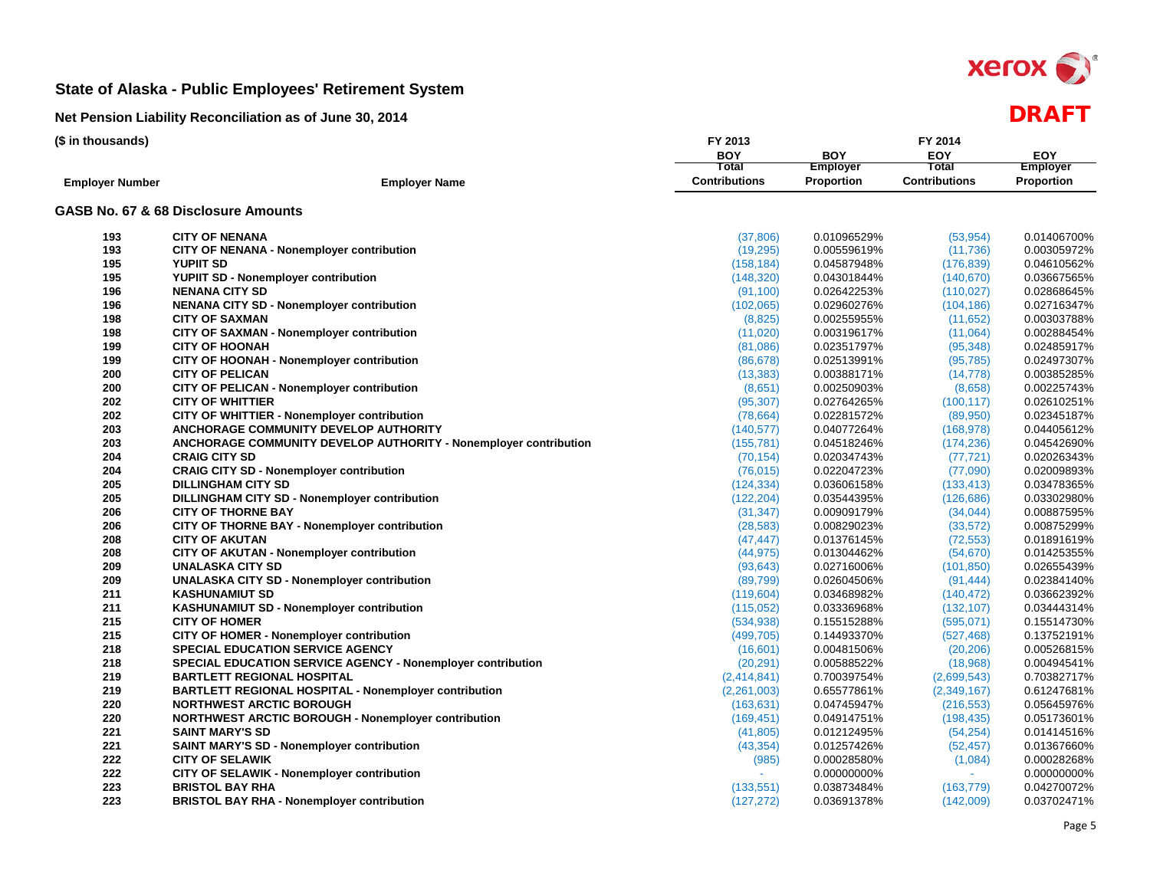

| (\$ in thousands)      |                                                                         | FY 2013              | FY 2014           |                      |                 |  |  |  |  |
|------------------------|-------------------------------------------------------------------------|----------------------|-------------------|----------------------|-----------------|--|--|--|--|
|                        |                                                                         | <b>BOY</b>           | <b>BOY</b>        | EOY                  | <b>EOY</b>      |  |  |  |  |
|                        |                                                                         | Total                | <b>Employer</b>   | <b>Total</b>         | <b>Employer</b> |  |  |  |  |
| <b>Employer Number</b> | <b>Employer Name</b>                                                    | <b>Contributions</b> | <b>Proportion</b> | <b>Contributions</b> | Proportion      |  |  |  |  |
|                        | GASB No. 67 & 68 Disclosure Amounts                                     |                      |                   |                      |                 |  |  |  |  |
| 193                    | <b>CITY OF NENANA</b>                                                   | (37,806)             | 0.01096529%       | (53, 954)            | 0.01406700%     |  |  |  |  |
| 193                    | <b>CITY OF NENANA - Nonemployer contribution</b>                        | (19, 295)            | 0.00559619%       | (11, 736)            | 0.00305972%     |  |  |  |  |
| 195                    | <b>YUPIIT SD</b>                                                        | (158, 184)           | 0.04587948%       | (176, 839)           | 0.04610562%     |  |  |  |  |
| 195                    | YUPIIT SD - Nonemployer contribution                                    | (148, 320)           | 0.04301844%       | (140, 670)           | 0.03667565%     |  |  |  |  |
| 196                    | <b>NENANA CITY SD</b>                                                   | (91, 100)            | 0.02642253%       | (110, 027)           | 0.02868645%     |  |  |  |  |
| 196                    | <b>NENANA CITY SD - Nonemployer contribution</b>                        | (102,065)            | 0.02960276%       | (104, 186)           | 0.02716347%     |  |  |  |  |
| 198                    | <b>CITY OF SAXMAN</b>                                                   | (8,825)              | 0.00255955%       | (11,652)             | 0.00303788%     |  |  |  |  |
| 198                    | CITY OF SAXMAN - Nonemployer contribution                               | (11,020)             | 0.00319617%       | (11,064)             | 0.00288454%     |  |  |  |  |
| 199                    | <b>CITY OF HOONAH</b>                                                   | (81,086)             | 0.02351797%       | (95, 348)            | 0.02485917%     |  |  |  |  |
| 199                    | CITY OF HOONAH - Nonemployer contribution                               | (86, 678)            | 0.02513991%       | (95, 785)            | 0.02497307%     |  |  |  |  |
| 200                    | <b>CITY OF PELICAN</b>                                                  | (13, 383)            | 0.00388171%       | (14, 778)            | 0.00385285%     |  |  |  |  |
| 200                    | <b>CITY OF PELICAN - Nonemployer contribution</b>                       | (8,651)              | 0.00250903%       | (8,658)              | 0.00225743%     |  |  |  |  |
| 202                    | <b>CITY OF WHITTIER</b>                                                 | (95, 307)            | 0.02764265%       | (100, 117)           | 0.02610251%     |  |  |  |  |
| 202                    | CITY OF WHITTIER - Nonemployer contribution                             | (78, 664)            | 0.02281572%       | (89,950)             | 0.02345187%     |  |  |  |  |
| 203                    | ANCHORAGE COMMUNITY DEVELOP AUTHORITY                                   | (140, 577)           | 0.04077264%       | (168, 978)           | 0.04405612%     |  |  |  |  |
| 203                    | <b>ANCHORAGE COMMUNITY DEVELOP AUTHORITY - Nonemployer contribution</b> | (155, 781)           | 0.04518246%       | (174, 236)           | 0.04542690%     |  |  |  |  |
| 204                    | <b>CRAIG CITY SD</b>                                                    | (70, 154)            | 0.02034743%       | (77, 721)            | 0.02026343%     |  |  |  |  |
| 204                    | <b>CRAIG CITY SD - Nonemployer contribution</b>                         | (76, 015)            | 0.02204723%       | (77,090)             | 0.02009893%     |  |  |  |  |
| 205                    | <b>DILLINGHAM CITY SD</b>                                               | (124, 334)           | 0.03606158%       | (133, 413)           | 0.03478365%     |  |  |  |  |
| 205                    | DILLINGHAM CITY SD - Nonemployer contribution                           | (122, 204)           | 0.03544395%       | (126, 686)           | 0.03302980%     |  |  |  |  |
| 206                    | <b>CITY OF THORNE BAY</b>                                               | (31, 347)            | 0.00909179%       | (34, 044)            | 0.00887595%     |  |  |  |  |
| 206                    | CITY OF THORNE BAY - Nonemployer contribution                           | (28, 583)            | 0.00829023%       | (33, 572)            | 0.00875299%     |  |  |  |  |
| 208                    | <b>CITY OF AKUTAN</b>                                                   | (47, 447)            | 0.01376145%       | (72, 553)            | 0.01891619%     |  |  |  |  |
| 208                    | <b>CITY OF AKUTAN - Nonemployer contribution</b>                        | (44, 975)            | 0.01304462%       | (54, 670)            | 0.01425355%     |  |  |  |  |
| 209                    | <b>UNALASKA CITY SD</b>                                                 | (93, 643)            | 0.02716006%       | (101, 850)           | 0.02655439%     |  |  |  |  |
| 209                    | <b>UNALASKA CITY SD - Nonemployer contribution</b>                      | (89, 799)            | 0.02604506%       | (91, 444)            | 0.02384140%     |  |  |  |  |
| 211                    | <b>KASHUNAMIUT SD</b>                                                   | (119, 604)           | 0.03468982%       | (140, 472)           | 0.03662392%     |  |  |  |  |
| 211                    | <b>KASHUNAMIUT SD - Nonemployer contribution</b>                        | (115, 052)           | 0.03336968%       | (132, 107)           | 0.03444314%     |  |  |  |  |
| 215                    | <b>CITY OF HOMER</b>                                                    | (534, 938)           | 0.15515288%       | (595, 071)           | 0.15514730%     |  |  |  |  |
| 215                    | CITY OF HOMER - Nonemployer contribution                                | (499, 705)           | 0.14493370%       | (527, 468)           | 0.13752191%     |  |  |  |  |
| 218                    | <b>SPECIAL EDUCATION SERVICE AGENCY</b>                                 | (16,601)             | 0.00481506%       | (20, 206)            | 0.00526815%     |  |  |  |  |
| 218                    | <b>SPECIAL EDUCATION SERVICE AGENCY - Nonemployer contribution</b>      | (20, 291)            | 0.00588522%       | (18,968)             | 0.00494541%     |  |  |  |  |
| 219                    | <b>BARTLETT REGIONAL HOSPITAL</b>                                       | (2,414,841)          | 0.70039754%       | (2,699,543)          | 0.70382717%     |  |  |  |  |
| 219                    | <b>BARTLETT REGIONAL HOSPITAL - Nonemployer contribution</b>            | (2,261,003)          | 0.65577861%       | (2,349,167)          | 0.61247681%     |  |  |  |  |
| 220                    | <b>NORTHWEST ARCTIC BOROUGH</b>                                         | (163, 631)           | 0.04745947%       | (216, 553)           | 0.05645976%     |  |  |  |  |
| 220                    | <b>NORTHWEST ARCTIC BOROUGH - Nonemployer contribution</b>              | (169, 451)           | 0.04914751%       | (198, 435)           | 0.05173601%     |  |  |  |  |
| 221                    | <b>SAINT MARY'S SD</b>                                                  | (41, 805)            | 0.01212495%       | (54, 254)            | 0.01414516%     |  |  |  |  |
| 221                    | <b>SAINT MARY'S SD - Nonemployer contribution</b>                       | (43, 354)            | 0.01257426%       | (52, 457)            | 0.01367660%     |  |  |  |  |
| 222                    | <b>CITY OF SELAWIK</b>                                                  | (985)                | 0.00028580%       | (1,084)              | 0.00028268%     |  |  |  |  |
| 222                    | CITY OF SELAWIK - Nonemployer contribution                              |                      | 0.00000000%       |                      | 0.00000000%     |  |  |  |  |
| 223                    | <b>BRISTOL BAY RHA</b>                                                  | (133, 551)           | 0.03873484%       | (163, 779)           | 0.04270072%     |  |  |  |  |
| 223                    | <b>BRISTOL BAY RHA - Nonemployer contribution</b>                       | (127, 272)           | 0.03691378%       | (142,009)            | 0.03702471%     |  |  |  |  |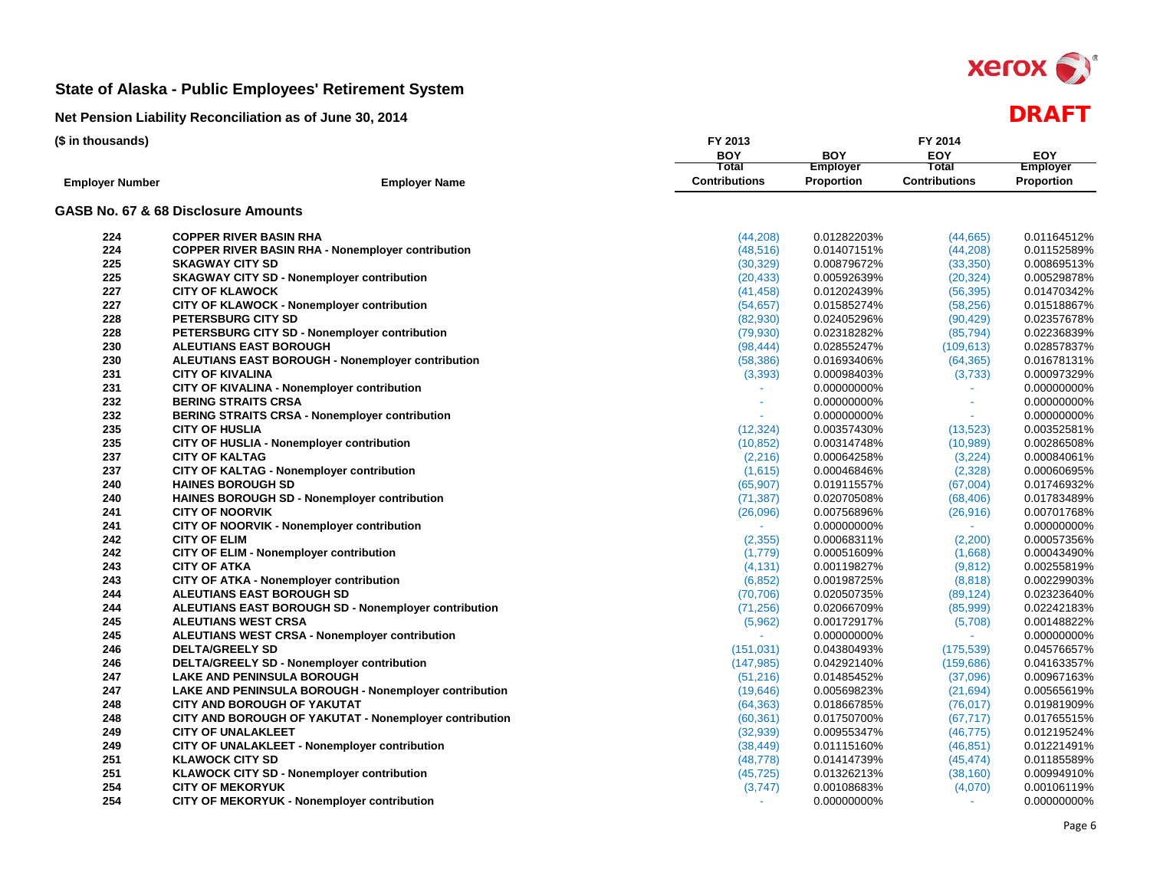

| <b>BOY</b><br>EOY<br><b>BOY</b><br><b>EOY</b><br>Total<br>Employer<br>Total<br><b>Employer</b><br><b>Contributions</b><br><b>Contributions</b><br>Proportion<br><b>Proportion</b><br><b>Employer Number</b><br><b>Employer Name</b><br>GASB No. 67 & 68 Disclosure Amounts<br>224<br><b>COPPER RIVER BASIN RHA</b><br>(44, 208)<br>0.01282203%<br>0.01164512%<br>(44, 665)<br>224<br><b>COPPER RIVER BASIN RHA - Nonemployer contribution</b><br>0.01407151%<br>(48, 516)<br>(44, 208)<br>225<br><b>SKAGWAY CITY SD</b><br>0.00869513%<br>(30, 329)<br>0.00879672%<br>(33, 350)<br>225<br><b>SKAGWAY CITY SD - Nonemployer contribution</b><br>(20, 433)<br>0.00592639%<br>(20, 324)<br>227<br><b>CITY OF KLAWOCK</b><br>(41, 458)<br>0.01202439%<br>(56, 395)<br>227<br><b>CITY OF KLAWOCK - Nonemployer contribution</b><br>(54, 657)<br>0.01585274%<br>(58, 256)<br>0.01518867%<br>228<br><b>PETERSBURG CITY SD</b><br>(82,930)<br>0.02405296%<br>(90, 429)<br>0.02357678%<br>228<br>PETERSBURG CITY SD - Nonemployer contribution<br>(79, 930)<br>0.02318282%<br>(85, 794)<br>0.02236839%<br>230<br>(98, 444)<br>0.02855247%<br>(109, 613)<br>0.02857837%<br><b>ALEUTIANS EAST BOROUGH</b><br>230<br><b>ALEUTIANS EAST BOROUGH - Nonemployer contribution</b><br>(58, 386)<br>0.01693406%<br>(64, 365)<br>0.01678131%<br>231<br><b>CITY OF KIVALINA</b><br>(3, 393)<br>0.00098403%<br>(3,733)<br>231<br>CITY OF KIVALINA - Nonemployer contribution<br>0.00000000%<br>0.00000000%<br>232<br><b>BERING STRAITS CRSA</b><br>0.00000000%<br>ä,<br>232<br><b>BERING STRAITS CRSA - Nonemployer contribution</b><br>0.00000000%<br>0.00000000%<br>235<br><b>CITY OF HUSLIA</b><br>(12, 324)<br>0.00357430%<br>0.00352581%<br>(13, 523)<br>235<br>CITY OF HUSLIA - Nonemployer contribution<br>0.00286508%<br>(10, 852)<br>0.00314748%<br>(10, 989)<br>237<br><b>CITY OF KALTAG</b><br>(2, 216)<br>0.00064258%<br>(3,224)<br>0.00084061%<br>237<br><b>CITY OF KALTAG - Nonemployer contribution</b><br>(1,615)<br>0.00046846%<br>(2,328)<br>0.00060695%<br>240<br><b>HAINES BOROUGH SD</b><br>(65, 907)<br>0.01911557%<br>(67,004)<br>0.01746932%<br>240<br><b>HAINES BOROUGH SD - Nonemployer contribution</b><br>(71, 387)<br>0.02070508%<br>(68, 406)<br>0.01783489%<br>241<br><b>CITY OF NOORVIK</b><br>(26,096)<br>0.00756896%<br>(26, 916)<br>0.00701768%<br>CITY OF NOORVIK - Nonemployer contribution<br>241<br>0.00000000%<br>$\omega_{\rm{eff}}$<br>$\omega_{\rm{eff}}$<br>242<br><b>CITY OF ELIM</b><br>0.00068311%<br>(2,200)<br>0.00057356%<br>(2,355)<br>242<br><b>CITY OF ELIM - Nonemployer contribution</b><br>0.00051609%<br>0.00043490%<br>(1,779)<br>(1,668)<br>243<br><b>CITY OF ATKA</b><br>0.00255819%<br>(4, 131)<br>0.00119827%<br>(9,812)<br>243<br>CITY OF ATKA - Nonemployer contribution<br>0.00229903%<br>(6, 852)<br>0.00198725%<br>(8,818)<br>244<br><b>ALEUTIANS EAST BOROUGH SD</b><br>0.02050735%<br>(89, 124)<br>0.02323640%<br>(70, 706)<br>244<br><b>ALEUTIANS EAST BOROUGH SD - Nonemployer contribution</b><br>0.02242183%<br>(71, 256)<br>0.02066709%<br>(85,999)<br>245<br><b>ALEUTIANS WEST CRSA</b><br>(5,962)<br>0.00172917%<br>0.00148822%<br>(5,708)<br>245<br>ALEUTIANS WEST CRSA - Nonemployer contribution<br>0.00000000%<br>0.00000000%<br>246<br><b>DELTA/GREELY SD</b><br>(151, 031)<br>0.04380493%<br>(175, 539)<br>0.04576657%<br>246<br>DELTA/GREELY SD - Nonemployer contribution<br>(147, 985)<br>0.04292140%<br>(159, 686)<br>0.04163357%<br>247<br><b>LAKE AND PENINSULA BOROUGH</b><br>(51, 216)<br>0.01485452%<br>(37,096)<br>0.00967163%<br>247<br><b>LAKE AND PENINSULA BOROUGH - Nonemployer contribution</b><br>(19,646)<br>0.00569823%<br>(21, 694)<br>0.00565619%<br>248<br><b>CITY AND BOROUGH OF YAKUTAT</b><br>(64, 363)<br>0.01866785%<br>0.01981909%<br>(76, 017)<br>248<br>CITY AND BOROUGH OF YAKUTAT - Nonemployer contribution<br>(60, 361)<br>0.01750700%<br>(67, 717)<br>0.01765515%<br>249<br>(32, 939)<br><b>CITY OF UNALAKLEET</b><br>0.00955347%<br>(46, 775)<br>0.01219524%<br>249<br>CITY OF UNALAKLEET - Nonemployer contribution<br>(38, 449)<br>0.01115160%<br>(46, 851)<br>0.01221491%<br>251<br><b>KLAWOCK CITY SD</b><br>0.01185589%<br>(48, 778)<br>0.01414739%<br>(45, 474)<br>251<br>KLAWOCK CITY SD - Nonemployer contribution<br>(45, 725)<br>0.01326213%<br>(38, 160)<br>0.00994910%<br>254<br><b>CITY OF MEKORYUK</b><br>(3,747)<br>0.00108683%<br>(4,070)<br>0.00106119%<br>254<br>CITY OF MEKORYUK - Nonemployer contribution<br>0.00000000%<br>0.00000000%<br>$\sim$<br>×. | (\$ in thousands) | FY 2013 | FY 2014 |  |             |  |  |  |  |
|-------------------------------------------------------------------------------------------------------------------------------------------------------------------------------------------------------------------------------------------------------------------------------------------------------------------------------------------------------------------------------------------------------------------------------------------------------------------------------------------------------------------------------------------------------------------------------------------------------------------------------------------------------------------------------------------------------------------------------------------------------------------------------------------------------------------------------------------------------------------------------------------------------------------------------------------------------------------------------------------------------------------------------------------------------------------------------------------------------------------------------------------------------------------------------------------------------------------------------------------------------------------------------------------------------------------------------------------------------------------------------------------------------------------------------------------------------------------------------------------------------------------------------------------------------------------------------------------------------------------------------------------------------------------------------------------------------------------------------------------------------------------------------------------------------------------------------------------------------------------------------------------------------------------------------------------------------------------------------------------------------------------------------------------------------------------------------------------------------------------------------------------------------------------------------------------------------------------------------------------------------------------------------------------------------------------------------------------------------------------------------------------------------------------------------------------------------------------------------------------------------------------------------------------------------------------------------------------------------------------------------------------------------------------------------------------------------------------------------------------------------------------------------------------------------------------------------------------------------------------------------------------------------------------------------------------------------------------------------------------------------------------------------------------------------------------------------------------------------------------------------------------------------------------------------------------------------------------------------------------------------------------------------------------------------------------------------------------------------------------------------------------------------------------------------------------------------------------------------------------------------------------------------------------------------------------------------------------------------------------------------------------------------------------------------------------------------------------------------------------------------------------------------------------------------------------------------------------------------------------------------------------------------------------------------------------------------------------------------------------------------------------------------------------------------------------------------------------------------------------------------------------------------------------------------------------------------------------------------------------------------------------------------------------------------------------------------------------------------------------------------------------------------------------------------------------------------------------------------------------------------------------------------------------------------------------------------|-------------------|---------|---------|--|-------------|--|--|--|--|
|                                                                                                                                                                                                                                                                                                                                                                                                                                                                                                                                                                                                                                                                                                                                                                                                                                                                                                                                                                                                                                                                                                                                                                                                                                                                                                                                                                                                                                                                                                                                                                                                                                                                                                                                                                                                                                                                                                                                                                                                                                                                                                                                                                                                                                                                                                                                                                                                                                                                                                                                                                                                                                                                                                                                                                                                                                                                                                                                                                                                                                                                                                                                                                                                                                                                                                                                                                                                                                                                                                                                                                                                                                                                                                                                                                                                                                                                                                                                                                                                                                                                                                                                                                                                                                                                                                                                                                                                                                                                                                                                                                               |                   |         |         |  |             |  |  |  |  |
|                                                                                                                                                                                                                                                                                                                                                                                                                                                                                                                                                                                                                                                                                                                                                                                                                                                                                                                                                                                                                                                                                                                                                                                                                                                                                                                                                                                                                                                                                                                                                                                                                                                                                                                                                                                                                                                                                                                                                                                                                                                                                                                                                                                                                                                                                                                                                                                                                                                                                                                                                                                                                                                                                                                                                                                                                                                                                                                                                                                                                                                                                                                                                                                                                                                                                                                                                                                                                                                                                                                                                                                                                                                                                                                                                                                                                                                                                                                                                                                                                                                                                                                                                                                                                                                                                                                                                                                                                                                                                                                                                                               |                   |         |         |  |             |  |  |  |  |
|                                                                                                                                                                                                                                                                                                                                                                                                                                                                                                                                                                                                                                                                                                                                                                                                                                                                                                                                                                                                                                                                                                                                                                                                                                                                                                                                                                                                                                                                                                                                                                                                                                                                                                                                                                                                                                                                                                                                                                                                                                                                                                                                                                                                                                                                                                                                                                                                                                                                                                                                                                                                                                                                                                                                                                                                                                                                                                                                                                                                                                                                                                                                                                                                                                                                                                                                                                                                                                                                                                                                                                                                                                                                                                                                                                                                                                                                                                                                                                                                                                                                                                                                                                                                                                                                                                                                                                                                                                                                                                                                                                               |                   |         |         |  |             |  |  |  |  |
|                                                                                                                                                                                                                                                                                                                                                                                                                                                                                                                                                                                                                                                                                                                                                                                                                                                                                                                                                                                                                                                                                                                                                                                                                                                                                                                                                                                                                                                                                                                                                                                                                                                                                                                                                                                                                                                                                                                                                                                                                                                                                                                                                                                                                                                                                                                                                                                                                                                                                                                                                                                                                                                                                                                                                                                                                                                                                                                                                                                                                                                                                                                                                                                                                                                                                                                                                                                                                                                                                                                                                                                                                                                                                                                                                                                                                                                                                                                                                                                                                                                                                                                                                                                                                                                                                                                                                                                                                                                                                                                                                                               |                   |         |         |  |             |  |  |  |  |
|                                                                                                                                                                                                                                                                                                                                                                                                                                                                                                                                                                                                                                                                                                                                                                                                                                                                                                                                                                                                                                                                                                                                                                                                                                                                                                                                                                                                                                                                                                                                                                                                                                                                                                                                                                                                                                                                                                                                                                                                                                                                                                                                                                                                                                                                                                                                                                                                                                                                                                                                                                                                                                                                                                                                                                                                                                                                                                                                                                                                                                                                                                                                                                                                                                                                                                                                                                                                                                                                                                                                                                                                                                                                                                                                                                                                                                                                                                                                                                                                                                                                                                                                                                                                                                                                                                                                                                                                                                                                                                                                                                               |                   |         |         |  |             |  |  |  |  |
|                                                                                                                                                                                                                                                                                                                                                                                                                                                                                                                                                                                                                                                                                                                                                                                                                                                                                                                                                                                                                                                                                                                                                                                                                                                                                                                                                                                                                                                                                                                                                                                                                                                                                                                                                                                                                                                                                                                                                                                                                                                                                                                                                                                                                                                                                                                                                                                                                                                                                                                                                                                                                                                                                                                                                                                                                                                                                                                                                                                                                                                                                                                                                                                                                                                                                                                                                                                                                                                                                                                                                                                                                                                                                                                                                                                                                                                                                                                                                                                                                                                                                                                                                                                                                                                                                                                                                                                                                                                                                                                                                                               |                   |         |         |  | 0.01152589% |  |  |  |  |
|                                                                                                                                                                                                                                                                                                                                                                                                                                                                                                                                                                                                                                                                                                                                                                                                                                                                                                                                                                                                                                                                                                                                                                                                                                                                                                                                                                                                                                                                                                                                                                                                                                                                                                                                                                                                                                                                                                                                                                                                                                                                                                                                                                                                                                                                                                                                                                                                                                                                                                                                                                                                                                                                                                                                                                                                                                                                                                                                                                                                                                                                                                                                                                                                                                                                                                                                                                                                                                                                                                                                                                                                                                                                                                                                                                                                                                                                                                                                                                                                                                                                                                                                                                                                                                                                                                                                                                                                                                                                                                                                                                               |                   |         |         |  |             |  |  |  |  |
|                                                                                                                                                                                                                                                                                                                                                                                                                                                                                                                                                                                                                                                                                                                                                                                                                                                                                                                                                                                                                                                                                                                                                                                                                                                                                                                                                                                                                                                                                                                                                                                                                                                                                                                                                                                                                                                                                                                                                                                                                                                                                                                                                                                                                                                                                                                                                                                                                                                                                                                                                                                                                                                                                                                                                                                                                                                                                                                                                                                                                                                                                                                                                                                                                                                                                                                                                                                                                                                                                                                                                                                                                                                                                                                                                                                                                                                                                                                                                                                                                                                                                                                                                                                                                                                                                                                                                                                                                                                                                                                                                                               |                   |         |         |  | 0.00529878% |  |  |  |  |
|                                                                                                                                                                                                                                                                                                                                                                                                                                                                                                                                                                                                                                                                                                                                                                                                                                                                                                                                                                                                                                                                                                                                                                                                                                                                                                                                                                                                                                                                                                                                                                                                                                                                                                                                                                                                                                                                                                                                                                                                                                                                                                                                                                                                                                                                                                                                                                                                                                                                                                                                                                                                                                                                                                                                                                                                                                                                                                                                                                                                                                                                                                                                                                                                                                                                                                                                                                                                                                                                                                                                                                                                                                                                                                                                                                                                                                                                                                                                                                                                                                                                                                                                                                                                                                                                                                                                                                                                                                                                                                                                                                               |                   |         |         |  | 0.01470342% |  |  |  |  |
|                                                                                                                                                                                                                                                                                                                                                                                                                                                                                                                                                                                                                                                                                                                                                                                                                                                                                                                                                                                                                                                                                                                                                                                                                                                                                                                                                                                                                                                                                                                                                                                                                                                                                                                                                                                                                                                                                                                                                                                                                                                                                                                                                                                                                                                                                                                                                                                                                                                                                                                                                                                                                                                                                                                                                                                                                                                                                                                                                                                                                                                                                                                                                                                                                                                                                                                                                                                                                                                                                                                                                                                                                                                                                                                                                                                                                                                                                                                                                                                                                                                                                                                                                                                                                                                                                                                                                                                                                                                                                                                                                                               |                   |         |         |  |             |  |  |  |  |
|                                                                                                                                                                                                                                                                                                                                                                                                                                                                                                                                                                                                                                                                                                                                                                                                                                                                                                                                                                                                                                                                                                                                                                                                                                                                                                                                                                                                                                                                                                                                                                                                                                                                                                                                                                                                                                                                                                                                                                                                                                                                                                                                                                                                                                                                                                                                                                                                                                                                                                                                                                                                                                                                                                                                                                                                                                                                                                                                                                                                                                                                                                                                                                                                                                                                                                                                                                                                                                                                                                                                                                                                                                                                                                                                                                                                                                                                                                                                                                                                                                                                                                                                                                                                                                                                                                                                                                                                                                                                                                                                                                               |                   |         |         |  |             |  |  |  |  |
|                                                                                                                                                                                                                                                                                                                                                                                                                                                                                                                                                                                                                                                                                                                                                                                                                                                                                                                                                                                                                                                                                                                                                                                                                                                                                                                                                                                                                                                                                                                                                                                                                                                                                                                                                                                                                                                                                                                                                                                                                                                                                                                                                                                                                                                                                                                                                                                                                                                                                                                                                                                                                                                                                                                                                                                                                                                                                                                                                                                                                                                                                                                                                                                                                                                                                                                                                                                                                                                                                                                                                                                                                                                                                                                                                                                                                                                                                                                                                                                                                                                                                                                                                                                                                                                                                                                                                                                                                                                                                                                                                                               |                   |         |         |  |             |  |  |  |  |
|                                                                                                                                                                                                                                                                                                                                                                                                                                                                                                                                                                                                                                                                                                                                                                                                                                                                                                                                                                                                                                                                                                                                                                                                                                                                                                                                                                                                                                                                                                                                                                                                                                                                                                                                                                                                                                                                                                                                                                                                                                                                                                                                                                                                                                                                                                                                                                                                                                                                                                                                                                                                                                                                                                                                                                                                                                                                                                                                                                                                                                                                                                                                                                                                                                                                                                                                                                                                                                                                                                                                                                                                                                                                                                                                                                                                                                                                                                                                                                                                                                                                                                                                                                                                                                                                                                                                                                                                                                                                                                                                                                               |                   |         |         |  |             |  |  |  |  |
|                                                                                                                                                                                                                                                                                                                                                                                                                                                                                                                                                                                                                                                                                                                                                                                                                                                                                                                                                                                                                                                                                                                                                                                                                                                                                                                                                                                                                                                                                                                                                                                                                                                                                                                                                                                                                                                                                                                                                                                                                                                                                                                                                                                                                                                                                                                                                                                                                                                                                                                                                                                                                                                                                                                                                                                                                                                                                                                                                                                                                                                                                                                                                                                                                                                                                                                                                                                                                                                                                                                                                                                                                                                                                                                                                                                                                                                                                                                                                                                                                                                                                                                                                                                                                                                                                                                                                                                                                                                                                                                                                                               |                   |         |         |  |             |  |  |  |  |
|                                                                                                                                                                                                                                                                                                                                                                                                                                                                                                                                                                                                                                                                                                                                                                                                                                                                                                                                                                                                                                                                                                                                                                                                                                                                                                                                                                                                                                                                                                                                                                                                                                                                                                                                                                                                                                                                                                                                                                                                                                                                                                                                                                                                                                                                                                                                                                                                                                                                                                                                                                                                                                                                                                                                                                                                                                                                                                                                                                                                                                                                                                                                                                                                                                                                                                                                                                                                                                                                                                                                                                                                                                                                                                                                                                                                                                                                                                                                                                                                                                                                                                                                                                                                                                                                                                                                                                                                                                                                                                                                                                               |                   |         |         |  | 0.00097329% |  |  |  |  |
|                                                                                                                                                                                                                                                                                                                                                                                                                                                                                                                                                                                                                                                                                                                                                                                                                                                                                                                                                                                                                                                                                                                                                                                                                                                                                                                                                                                                                                                                                                                                                                                                                                                                                                                                                                                                                                                                                                                                                                                                                                                                                                                                                                                                                                                                                                                                                                                                                                                                                                                                                                                                                                                                                                                                                                                                                                                                                                                                                                                                                                                                                                                                                                                                                                                                                                                                                                                                                                                                                                                                                                                                                                                                                                                                                                                                                                                                                                                                                                                                                                                                                                                                                                                                                                                                                                                                                                                                                                                                                                                                                                               |                   |         |         |  |             |  |  |  |  |
|                                                                                                                                                                                                                                                                                                                                                                                                                                                                                                                                                                                                                                                                                                                                                                                                                                                                                                                                                                                                                                                                                                                                                                                                                                                                                                                                                                                                                                                                                                                                                                                                                                                                                                                                                                                                                                                                                                                                                                                                                                                                                                                                                                                                                                                                                                                                                                                                                                                                                                                                                                                                                                                                                                                                                                                                                                                                                                                                                                                                                                                                                                                                                                                                                                                                                                                                                                                                                                                                                                                                                                                                                                                                                                                                                                                                                                                                                                                                                                                                                                                                                                                                                                                                                                                                                                                                                                                                                                                                                                                                                                               |                   |         |         |  | 0.00000000% |  |  |  |  |
|                                                                                                                                                                                                                                                                                                                                                                                                                                                                                                                                                                                                                                                                                                                                                                                                                                                                                                                                                                                                                                                                                                                                                                                                                                                                                                                                                                                                                                                                                                                                                                                                                                                                                                                                                                                                                                                                                                                                                                                                                                                                                                                                                                                                                                                                                                                                                                                                                                                                                                                                                                                                                                                                                                                                                                                                                                                                                                                                                                                                                                                                                                                                                                                                                                                                                                                                                                                                                                                                                                                                                                                                                                                                                                                                                                                                                                                                                                                                                                                                                                                                                                                                                                                                                                                                                                                                                                                                                                                                                                                                                                               |                   |         |         |  |             |  |  |  |  |
|                                                                                                                                                                                                                                                                                                                                                                                                                                                                                                                                                                                                                                                                                                                                                                                                                                                                                                                                                                                                                                                                                                                                                                                                                                                                                                                                                                                                                                                                                                                                                                                                                                                                                                                                                                                                                                                                                                                                                                                                                                                                                                                                                                                                                                                                                                                                                                                                                                                                                                                                                                                                                                                                                                                                                                                                                                                                                                                                                                                                                                                                                                                                                                                                                                                                                                                                                                                                                                                                                                                                                                                                                                                                                                                                                                                                                                                                                                                                                                                                                                                                                                                                                                                                                                                                                                                                                                                                                                                                                                                                                                               |                   |         |         |  |             |  |  |  |  |
|                                                                                                                                                                                                                                                                                                                                                                                                                                                                                                                                                                                                                                                                                                                                                                                                                                                                                                                                                                                                                                                                                                                                                                                                                                                                                                                                                                                                                                                                                                                                                                                                                                                                                                                                                                                                                                                                                                                                                                                                                                                                                                                                                                                                                                                                                                                                                                                                                                                                                                                                                                                                                                                                                                                                                                                                                                                                                                                                                                                                                                                                                                                                                                                                                                                                                                                                                                                                                                                                                                                                                                                                                                                                                                                                                                                                                                                                                                                                                                                                                                                                                                                                                                                                                                                                                                                                                                                                                                                                                                                                                                               |                   |         |         |  |             |  |  |  |  |
|                                                                                                                                                                                                                                                                                                                                                                                                                                                                                                                                                                                                                                                                                                                                                                                                                                                                                                                                                                                                                                                                                                                                                                                                                                                                                                                                                                                                                                                                                                                                                                                                                                                                                                                                                                                                                                                                                                                                                                                                                                                                                                                                                                                                                                                                                                                                                                                                                                                                                                                                                                                                                                                                                                                                                                                                                                                                                                                                                                                                                                                                                                                                                                                                                                                                                                                                                                                                                                                                                                                                                                                                                                                                                                                                                                                                                                                                                                                                                                                                                                                                                                                                                                                                                                                                                                                                                                                                                                                                                                                                                                               |                   |         |         |  |             |  |  |  |  |
|                                                                                                                                                                                                                                                                                                                                                                                                                                                                                                                                                                                                                                                                                                                                                                                                                                                                                                                                                                                                                                                                                                                                                                                                                                                                                                                                                                                                                                                                                                                                                                                                                                                                                                                                                                                                                                                                                                                                                                                                                                                                                                                                                                                                                                                                                                                                                                                                                                                                                                                                                                                                                                                                                                                                                                                                                                                                                                                                                                                                                                                                                                                                                                                                                                                                                                                                                                                                                                                                                                                                                                                                                                                                                                                                                                                                                                                                                                                                                                                                                                                                                                                                                                                                                                                                                                                                                                                                                                                                                                                                                                               |                   |         |         |  |             |  |  |  |  |
|                                                                                                                                                                                                                                                                                                                                                                                                                                                                                                                                                                                                                                                                                                                                                                                                                                                                                                                                                                                                                                                                                                                                                                                                                                                                                                                                                                                                                                                                                                                                                                                                                                                                                                                                                                                                                                                                                                                                                                                                                                                                                                                                                                                                                                                                                                                                                                                                                                                                                                                                                                                                                                                                                                                                                                                                                                                                                                                                                                                                                                                                                                                                                                                                                                                                                                                                                                                                                                                                                                                                                                                                                                                                                                                                                                                                                                                                                                                                                                                                                                                                                                                                                                                                                                                                                                                                                                                                                                                                                                                                                                               |                   |         |         |  |             |  |  |  |  |
|                                                                                                                                                                                                                                                                                                                                                                                                                                                                                                                                                                                                                                                                                                                                                                                                                                                                                                                                                                                                                                                                                                                                                                                                                                                                                                                                                                                                                                                                                                                                                                                                                                                                                                                                                                                                                                                                                                                                                                                                                                                                                                                                                                                                                                                                                                                                                                                                                                                                                                                                                                                                                                                                                                                                                                                                                                                                                                                                                                                                                                                                                                                                                                                                                                                                                                                                                                                                                                                                                                                                                                                                                                                                                                                                                                                                                                                                                                                                                                                                                                                                                                                                                                                                                                                                                                                                                                                                                                                                                                                                                                               |                   |         |         |  |             |  |  |  |  |
|                                                                                                                                                                                                                                                                                                                                                                                                                                                                                                                                                                                                                                                                                                                                                                                                                                                                                                                                                                                                                                                                                                                                                                                                                                                                                                                                                                                                                                                                                                                                                                                                                                                                                                                                                                                                                                                                                                                                                                                                                                                                                                                                                                                                                                                                                                                                                                                                                                                                                                                                                                                                                                                                                                                                                                                                                                                                                                                                                                                                                                                                                                                                                                                                                                                                                                                                                                                                                                                                                                                                                                                                                                                                                                                                                                                                                                                                                                                                                                                                                                                                                                                                                                                                                                                                                                                                                                                                                                                                                                                                                                               |                   |         |         |  |             |  |  |  |  |
|                                                                                                                                                                                                                                                                                                                                                                                                                                                                                                                                                                                                                                                                                                                                                                                                                                                                                                                                                                                                                                                                                                                                                                                                                                                                                                                                                                                                                                                                                                                                                                                                                                                                                                                                                                                                                                                                                                                                                                                                                                                                                                                                                                                                                                                                                                                                                                                                                                                                                                                                                                                                                                                                                                                                                                                                                                                                                                                                                                                                                                                                                                                                                                                                                                                                                                                                                                                                                                                                                                                                                                                                                                                                                                                                                                                                                                                                                                                                                                                                                                                                                                                                                                                                                                                                                                                                                                                                                                                                                                                                                                               |                   |         |         |  | 0.00000000% |  |  |  |  |
|                                                                                                                                                                                                                                                                                                                                                                                                                                                                                                                                                                                                                                                                                                                                                                                                                                                                                                                                                                                                                                                                                                                                                                                                                                                                                                                                                                                                                                                                                                                                                                                                                                                                                                                                                                                                                                                                                                                                                                                                                                                                                                                                                                                                                                                                                                                                                                                                                                                                                                                                                                                                                                                                                                                                                                                                                                                                                                                                                                                                                                                                                                                                                                                                                                                                                                                                                                                                                                                                                                                                                                                                                                                                                                                                                                                                                                                                                                                                                                                                                                                                                                                                                                                                                                                                                                                                                                                                                                                                                                                                                                               |                   |         |         |  |             |  |  |  |  |
|                                                                                                                                                                                                                                                                                                                                                                                                                                                                                                                                                                                                                                                                                                                                                                                                                                                                                                                                                                                                                                                                                                                                                                                                                                                                                                                                                                                                                                                                                                                                                                                                                                                                                                                                                                                                                                                                                                                                                                                                                                                                                                                                                                                                                                                                                                                                                                                                                                                                                                                                                                                                                                                                                                                                                                                                                                                                                                                                                                                                                                                                                                                                                                                                                                                                                                                                                                                                                                                                                                                                                                                                                                                                                                                                                                                                                                                                                                                                                                                                                                                                                                                                                                                                                                                                                                                                                                                                                                                                                                                                                                               |                   |         |         |  |             |  |  |  |  |
|                                                                                                                                                                                                                                                                                                                                                                                                                                                                                                                                                                                                                                                                                                                                                                                                                                                                                                                                                                                                                                                                                                                                                                                                                                                                                                                                                                                                                                                                                                                                                                                                                                                                                                                                                                                                                                                                                                                                                                                                                                                                                                                                                                                                                                                                                                                                                                                                                                                                                                                                                                                                                                                                                                                                                                                                                                                                                                                                                                                                                                                                                                                                                                                                                                                                                                                                                                                                                                                                                                                                                                                                                                                                                                                                                                                                                                                                                                                                                                                                                                                                                                                                                                                                                                                                                                                                                                                                                                                                                                                                                                               |                   |         |         |  |             |  |  |  |  |
|                                                                                                                                                                                                                                                                                                                                                                                                                                                                                                                                                                                                                                                                                                                                                                                                                                                                                                                                                                                                                                                                                                                                                                                                                                                                                                                                                                                                                                                                                                                                                                                                                                                                                                                                                                                                                                                                                                                                                                                                                                                                                                                                                                                                                                                                                                                                                                                                                                                                                                                                                                                                                                                                                                                                                                                                                                                                                                                                                                                                                                                                                                                                                                                                                                                                                                                                                                                                                                                                                                                                                                                                                                                                                                                                                                                                                                                                                                                                                                                                                                                                                                                                                                                                                                                                                                                                                                                                                                                                                                                                                                               |                   |         |         |  |             |  |  |  |  |
|                                                                                                                                                                                                                                                                                                                                                                                                                                                                                                                                                                                                                                                                                                                                                                                                                                                                                                                                                                                                                                                                                                                                                                                                                                                                                                                                                                                                                                                                                                                                                                                                                                                                                                                                                                                                                                                                                                                                                                                                                                                                                                                                                                                                                                                                                                                                                                                                                                                                                                                                                                                                                                                                                                                                                                                                                                                                                                                                                                                                                                                                                                                                                                                                                                                                                                                                                                                                                                                                                                                                                                                                                                                                                                                                                                                                                                                                                                                                                                                                                                                                                                                                                                                                                                                                                                                                                                                                                                                                                                                                                                               |                   |         |         |  |             |  |  |  |  |
|                                                                                                                                                                                                                                                                                                                                                                                                                                                                                                                                                                                                                                                                                                                                                                                                                                                                                                                                                                                                                                                                                                                                                                                                                                                                                                                                                                                                                                                                                                                                                                                                                                                                                                                                                                                                                                                                                                                                                                                                                                                                                                                                                                                                                                                                                                                                                                                                                                                                                                                                                                                                                                                                                                                                                                                                                                                                                                                                                                                                                                                                                                                                                                                                                                                                                                                                                                                                                                                                                                                                                                                                                                                                                                                                                                                                                                                                                                                                                                                                                                                                                                                                                                                                                                                                                                                                                                                                                                                                                                                                                                               |                   |         |         |  |             |  |  |  |  |
|                                                                                                                                                                                                                                                                                                                                                                                                                                                                                                                                                                                                                                                                                                                                                                                                                                                                                                                                                                                                                                                                                                                                                                                                                                                                                                                                                                                                                                                                                                                                                                                                                                                                                                                                                                                                                                                                                                                                                                                                                                                                                                                                                                                                                                                                                                                                                                                                                                                                                                                                                                                                                                                                                                                                                                                                                                                                                                                                                                                                                                                                                                                                                                                                                                                                                                                                                                                                                                                                                                                                                                                                                                                                                                                                                                                                                                                                                                                                                                                                                                                                                                                                                                                                                                                                                                                                                                                                                                                                                                                                                                               |                   |         |         |  |             |  |  |  |  |
|                                                                                                                                                                                                                                                                                                                                                                                                                                                                                                                                                                                                                                                                                                                                                                                                                                                                                                                                                                                                                                                                                                                                                                                                                                                                                                                                                                                                                                                                                                                                                                                                                                                                                                                                                                                                                                                                                                                                                                                                                                                                                                                                                                                                                                                                                                                                                                                                                                                                                                                                                                                                                                                                                                                                                                                                                                                                                                                                                                                                                                                                                                                                                                                                                                                                                                                                                                                                                                                                                                                                                                                                                                                                                                                                                                                                                                                                                                                                                                                                                                                                                                                                                                                                                                                                                                                                                                                                                                                                                                                                                                               |                   |         |         |  |             |  |  |  |  |
|                                                                                                                                                                                                                                                                                                                                                                                                                                                                                                                                                                                                                                                                                                                                                                                                                                                                                                                                                                                                                                                                                                                                                                                                                                                                                                                                                                                                                                                                                                                                                                                                                                                                                                                                                                                                                                                                                                                                                                                                                                                                                                                                                                                                                                                                                                                                                                                                                                                                                                                                                                                                                                                                                                                                                                                                                                                                                                                                                                                                                                                                                                                                                                                                                                                                                                                                                                                                                                                                                                                                                                                                                                                                                                                                                                                                                                                                                                                                                                                                                                                                                                                                                                                                                                                                                                                                                                                                                                                                                                                                                                               |                   |         |         |  |             |  |  |  |  |
|                                                                                                                                                                                                                                                                                                                                                                                                                                                                                                                                                                                                                                                                                                                                                                                                                                                                                                                                                                                                                                                                                                                                                                                                                                                                                                                                                                                                                                                                                                                                                                                                                                                                                                                                                                                                                                                                                                                                                                                                                                                                                                                                                                                                                                                                                                                                                                                                                                                                                                                                                                                                                                                                                                                                                                                                                                                                                                                                                                                                                                                                                                                                                                                                                                                                                                                                                                                                                                                                                                                                                                                                                                                                                                                                                                                                                                                                                                                                                                                                                                                                                                                                                                                                                                                                                                                                                                                                                                                                                                                                                                               |                   |         |         |  |             |  |  |  |  |
|                                                                                                                                                                                                                                                                                                                                                                                                                                                                                                                                                                                                                                                                                                                                                                                                                                                                                                                                                                                                                                                                                                                                                                                                                                                                                                                                                                                                                                                                                                                                                                                                                                                                                                                                                                                                                                                                                                                                                                                                                                                                                                                                                                                                                                                                                                                                                                                                                                                                                                                                                                                                                                                                                                                                                                                                                                                                                                                                                                                                                                                                                                                                                                                                                                                                                                                                                                                                                                                                                                                                                                                                                                                                                                                                                                                                                                                                                                                                                                                                                                                                                                                                                                                                                                                                                                                                                                                                                                                                                                                                                                               |                   |         |         |  |             |  |  |  |  |
|                                                                                                                                                                                                                                                                                                                                                                                                                                                                                                                                                                                                                                                                                                                                                                                                                                                                                                                                                                                                                                                                                                                                                                                                                                                                                                                                                                                                                                                                                                                                                                                                                                                                                                                                                                                                                                                                                                                                                                                                                                                                                                                                                                                                                                                                                                                                                                                                                                                                                                                                                                                                                                                                                                                                                                                                                                                                                                                                                                                                                                                                                                                                                                                                                                                                                                                                                                                                                                                                                                                                                                                                                                                                                                                                                                                                                                                                                                                                                                                                                                                                                                                                                                                                                                                                                                                                                                                                                                                                                                                                                                               |                   |         |         |  |             |  |  |  |  |
|                                                                                                                                                                                                                                                                                                                                                                                                                                                                                                                                                                                                                                                                                                                                                                                                                                                                                                                                                                                                                                                                                                                                                                                                                                                                                                                                                                                                                                                                                                                                                                                                                                                                                                                                                                                                                                                                                                                                                                                                                                                                                                                                                                                                                                                                                                                                                                                                                                                                                                                                                                                                                                                                                                                                                                                                                                                                                                                                                                                                                                                                                                                                                                                                                                                                                                                                                                                                                                                                                                                                                                                                                                                                                                                                                                                                                                                                                                                                                                                                                                                                                                                                                                                                                                                                                                                                                                                                                                                                                                                                                                               |                   |         |         |  |             |  |  |  |  |
|                                                                                                                                                                                                                                                                                                                                                                                                                                                                                                                                                                                                                                                                                                                                                                                                                                                                                                                                                                                                                                                                                                                                                                                                                                                                                                                                                                                                                                                                                                                                                                                                                                                                                                                                                                                                                                                                                                                                                                                                                                                                                                                                                                                                                                                                                                                                                                                                                                                                                                                                                                                                                                                                                                                                                                                                                                                                                                                                                                                                                                                                                                                                                                                                                                                                                                                                                                                                                                                                                                                                                                                                                                                                                                                                                                                                                                                                                                                                                                                                                                                                                                                                                                                                                                                                                                                                                                                                                                                                                                                                                                               |                   |         |         |  |             |  |  |  |  |
|                                                                                                                                                                                                                                                                                                                                                                                                                                                                                                                                                                                                                                                                                                                                                                                                                                                                                                                                                                                                                                                                                                                                                                                                                                                                                                                                                                                                                                                                                                                                                                                                                                                                                                                                                                                                                                                                                                                                                                                                                                                                                                                                                                                                                                                                                                                                                                                                                                                                                                                                                                                                                                                                                                                                                                                                                                                                                                                                                                                                                                                                                                                                                                                                                                                                                                                                                                                                                                                                                                                                                                                                                                                                                                                                                                                                                                                                                                                                                                                                                                                                                                                                                                                                                                                                                                                                                                                                                                                                                                                                                                               |                   |         |         |  |             |  |  |  |  |
|                                                                                                                                                                                                                                                                                                                                                                                                                                                                                                                                                                                                                                                                                                                                                                                                                                                                                                                                                                                                                                                                                                                                                                                                                                                                                                                                                                                                                                                                                                                                                                                                                                                                                                                                                                                                                                                                                                                                                                                                                                                                                                                                                                                                                                                                                                                                                                                                                                                                                                                                                                                                                                                                                                                                                                                                                                                                                                                                                                                                                                                                                                                                                                                                                                                                                                                                                                                                                                                                                                                                                                                                                                                                                                                                                                                                                                                                                                                                                                                                                                                                                                                                                                                                                                                                                                                                                                                                                                                                                                                                                                               |                   |         |         |  |             |  |  |  |  |
|                                                                                                                                                                                                                                                                                                                                                                                                                                                                                                                                                                                                                                                                                                                                                                                                                                                                                                                                                                                                                                                                                                                                                                                                                                                                                                                                                                                                                                                                                                                                                                                                                                                                                                                                                                                                                                                                                                                                                                                                                                                                                                                                                                                                                                                                                                                                                                                                                                                                                                                                                                                                                                                                                                                                                                                                                                                                                                                                                                                                                                                                                                                                                                                                                                                                                                                                                                                                                                                                                                                                                                                                                                                                                                                                                                                                                                                                                                                                                                                                                                                                                                                                                                                                                                                                                                                                                                                                                                                                                                                                                                               |                   |         |         |  |             |  |  |  |  |
|                                                                                                                                                                                                                                                                                                                                                                                                                                                                                                                                                                                                                                                                                                                                                                                                                                                                                                                                                                                                                                                                                                                                                                                                                                                                                                                                                                                                                                                                                                                                                                                                                                                                                                                                                                                                                                                                                                                                                                                                                                                                                                                                                                                                                                                                                                                                                                                                                                                                                                                                                                                                                                                                                                                                                                                                                                                                                                                                                                                                                                                                                                                                                                                                                                                                                                                                                                                                                                                                                                                                                                                                                                                                                                                                                                                                                                                                                                                                                                                                                                                                                                                                                                                                                                                                                                                                                                                                                                                                                                                                                                               |                   |         |         |  |             |  |  |  |  |
|                                                                                                                                                                                                                                                                                                                                                                                                                                                                                                                                                                                                                                                                                                                                                                                                                                                                                                                                                                                                                                                                                                                                                                                                                                                                                                                                                                                                                                                                                                                                                                                                                                                                                                                                                                                                                                                                                                                                                                                                                                                                                                                                                                                                                                                                                                                                                                                                                                                                                                                                                                                                                                                                                                                                                                                                                                                                                                                                                                                                                                                                                                                                                                                                                                                                                                                                                                                                                                                                                                                                                                                                                                                                                                                                                                                                                                                                                                                                                                                                                                                                                                                                                                                                                                                                                                                                                                                                                                                                                                                                                                               |                   |         |         |  |             |  |  |  |  |
|                                                                                                                                                                                                                                                                                                                                                                                                                                                                                                                                                                                                                                                                                                                                                                                                                                                                                                                                                                                                                                                                                                                                                                                                                                                                                                                                                                                                                                                                                                                                                                                                                                                                                                                                                                                                                                                                                                                                                                                                                                                                                                                                                                                                                                                                                                                                                                                                                                                                                                                                                                                                                                                                                                                                                                                                                                                                                                                                                                                                                                                                                                                                                                                                                                                                                                                                                                                                                                                                                                                                                                                                                                                                                                                                                                                                                                                                                                                                                                                                                                                                                                                                                                                                                                                                                                                                                                                                                                                                                                                                                                               |                   |         |         |  |             |  |  |  |  |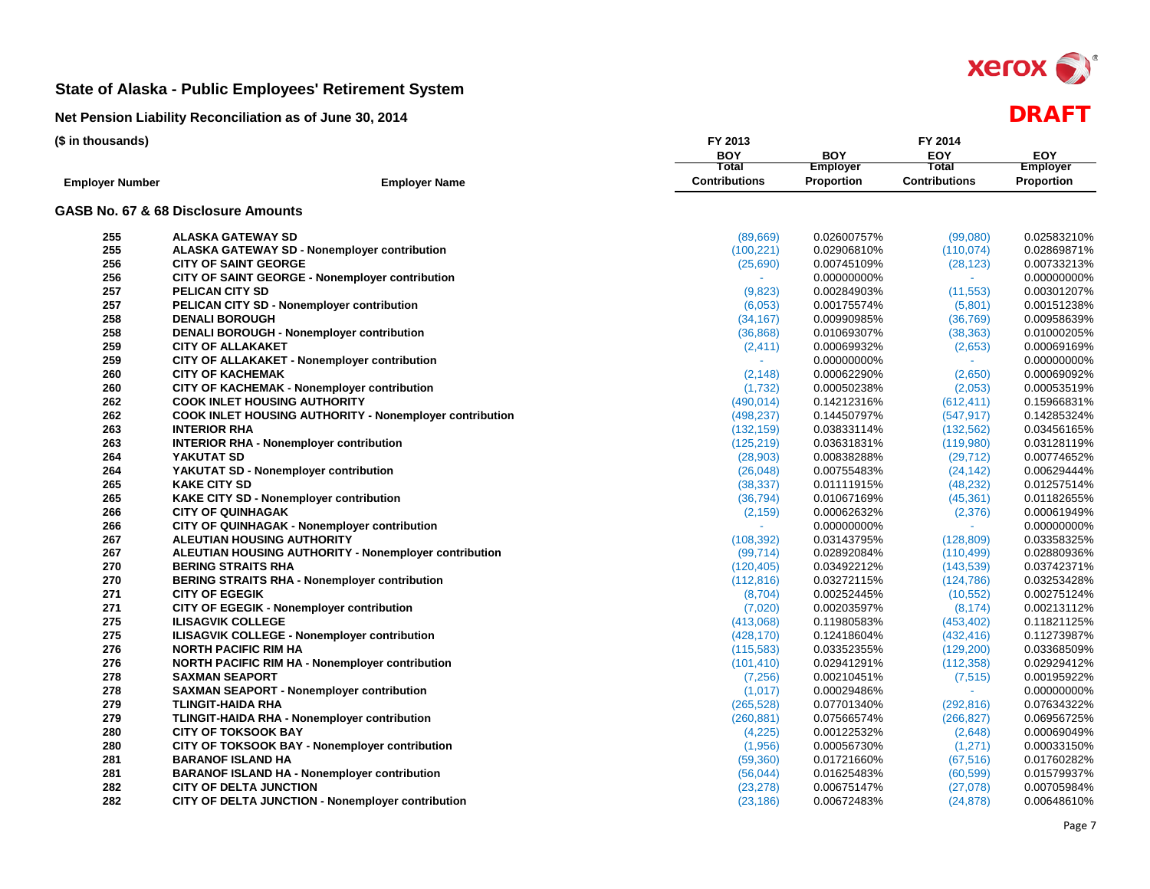

| (\$ in thousands)      |                                                         | FY 2013              |                   | FY 2014              |                   |  |
|------------------------|---------------------------------------------------------|----------------------|-------------------|----------------------|-------------------|--|
|                        |                                                         | <b>BOY</b>           | <b>BOY</b>        | EOY                  | <b>EOY</b>        |  |
|                        |                                                         | Total                | <b>Employer</b>   | Total                | <b>Employer</b>   |  |
| <b>Employer Number</b> | <b>Employer Name</b>                                    | <b>Contributions</b> | <b>Proportion</b> | <b>Contributions</b> | <b>Proportion</b> |  |
|                        | GASB No. 67 & 68 Disclosure Amounts                     |                      |                   |                      |                   |  |
| 255                    | <b>ALASKA GATEWAY SD</b>                                | (89,669)             | 0.02600757%       | (99,080)             | 0.02583210%       |  |
| 255                    | <b>ALASKA GATEWAY SD - Nonemployer contribution</b>     | (100, 221)           | 0.02906810%       | (110, 074)           | 0.02869871%       |  |
| 256                    | <b>CITY OF SAINT GEORGE</b>                             | (25,690)             | 0.00745109%       | (28, 123)            | 0.00733213%       |  |
| 256                    | CITY OF SAINT GEORGE - Nonemployer contribution         |                      | 0.00000000%       |                      | 0.00000000%       |  |
| 257                    | <b>PELICAN CITY SD</b>                                  | (9,823)              | 0.00284903%       | (11, 553)            | 0.00301207%       |  |
| 257                    | PELICAN CITY SD - Nonemployer contribution              | (6,053)              | 0.00175574%       | (5,801)              | 0.00151238%       |  |
| 258                    | <b>DENALI BOROUGH</b>                                   | (34, 167)            | 0.00990985%       | (36, 769)            | 0.00958639%       |  |
| 258                    | <b>DENALI BOROUGH - Nonemployer contribution</b>        | (36, 868)            | 0.01069307%       | (38, 363)            | 0.01000205%       |  |
| 259                    | <b>CITY OF ALLAKAKET</b>                                | (2, 411)             | 0.00069932%       | (2,653)              | 0.00069169%       |  |
| 259                    | CITY OF ALLAKAKET - Nonemployer contribution            |                      | 0.00000000%       |                      | 0.00000000%       |  |
| 260                    | <b>CITY OF KACHEMAK</b>                                 | (2, 148)             | 0.00062290%       | (2,650)              | 0.00069092%       |  |
| 260                    | <b>CITY OF KACHEMAK - Nonemployer contribution</b>      | (1,732)              | 0.00050238%       | (2,053)              | 0.00053519%       |  |
| 262                    | <b>COOK INLET HOUSING AUTHORITY</b>                     | (490, 014)           | 0.14212316%       | (612, 411)           | 0.15966831%       |  |
| 262                    | COOK INLET HOUSING AUTHORITY - Nonemployer contribution | (498, 237)           | 0.14450797%       | (547, 917)           | 0.14285324%       |  |
| 263                    | <b>INTERIOR RHA</b>                                     | (132, 159)           | 0.03833114%       | (132, 562)           | 0.03456165%       |  |
| 263                    | <b>INTERIOR RHA - Nonemployer contribution</b>          | (125, 219)           | 0.03631831%       | (119,980)            | 0.03128119%       |  |
| 264                    | YAKUTAT SD                                              | (28, 903)            | 0.00838288%       | (29, 712)            | 0.00774652%       |  |
| 264                    | YAKUTAT SD - Nonemployer contribution                   | (26, 048)            | 0.00755483%       | (24, 142)            | 0.00629444%       |  |
| 265                    | <b>KAKE CITY SD</b>                                     | (38, 337)            | 0.01111915%       | (48, 232)            | 0.01257514%       |  |
| 265                    | KAKE CITY SD - Nonemployer contribution                 | (36, 794)            | 0.01067169%       | (45, 361)            | 0.01182655%       |  |
| 266                    | <b>CITY OF QUINHAGAK</b>                                | (2, 159)             | 0.00062632%       | (2,376)              | 0.00061949%       |  |
| 266                    | CITY OF QUINHAGAK - Nonemployer contribution            |                      | 0.00000000%       |                      | 0.00000000%       |  |
| 267                    | <b>ALEUTIAN HOUSING AUTHORITY</b>                       | (108, 392)           | 0.03143795%       | (128, 809)           | 0.03358325%       |  |
| 267                    | ALEUTIAN HOUSING AUTHORITY - Nonemployer contribution   | (99, 714)            | 0.02892084%       | (110, 499)           | 0.02880936%       |  |
| 270                    | <b>BERING STRAITS RHA</b>                               | (120, 405)           | 0.03492212%       | (143, 539)           | 0.03742371%       |  |
| 270                    | <b>BERING STRAITS RHA - Nonemployer contribution</b>    | (112, 816)           | 0.03272115%       | (124, 786)           | 0.03253428%       |  |
| 271                    | <b>CITY OF EGEGIK</b>                                   | (8,704)              | 0.00252445%       | (10, 552)            | 0.00275124%       |  |
| 271                    | CITY OF EGEGIK - Nonemployer contribution               | (7,020)              | 0.00203597%       | (8, 174)             | 0.00213112%       |  |
| 275                    | <b>ILISAGVIK COLLEGE</b>                                | (413,068)            | 0.11980583%       | (453, 402)           | 0.11821125%       |  |
| 275                    | ILISAGVIK COLLEGE - Nonemployer contribution            | (428, 170)           | 0.12418604%       | (432, 416)           | 0.11273987%       |  |
| 276                    | <b>NORTH PACIFIC RIM HA</b>                             | (115, 583)           | 0.03352355%       | (129, 200)           | 0.03368509%       |  |
| 276                    | <b>NORTH PACIFIC RIM HA - Nonemployer contribution</b>  | (101, 410)           | 0.02941291%       | (112, 358)           | 0.02929412%       |  |
| 278                    | <b>SAXMAN SEAPORT</b>                                   | (7, 256)             | 0.00210451%       | (7, 515)             | 0.00195922%       |  |
| 278                    | <b>SAXMAN SEAPORT - Nonemployer contribution</b>        | (1,017)              | 0.00029486%       |                      | 0.00000000%       |  |
| 279                    | <b>TLINGIT-HAIDA RHA</b>                                | (265, 528)           | 0.07701340%       | (292, 816)           | 0.07634322%       |  |
| 279                    | TLINGIT-HAIDA RHA - Nonemployer contribution            | (260, 881)           | 0.07566574%       | (266, 827)           | 0.06956725%       |  |
| 280                    | <b>CITY OF TOKSOOK BAY</b>                              | (4,225)              | 0.00122532%       | (2,648)              | 0.00069049%       |  |
| 280                    | CITY OF TOKSOOK BAY - Nonemployer contribution          | (1,956)              | 0.00056730%       | (1,271)              | 0.00033150%       |  |
| 281                    | <b>BARANOF ISLAND HA</b>                                | (59, 360)            | 0.01721660%       | (67, 516)            | 0.01760282%       |  |
| 281                    | <b>BARANOF ISLAND HA - Nonemployer contribution</b>     | (56, 044)            | 0.01625483%       | (60, 599)            | 0.01579937%       |  |
| 282                    | <b>CITY OF DELTA JUNCTION</b>                           | (23, 278)            | 0.00675147%       | (27,078)             | 0.00705984%       |  |
| 282                    | CITY OF DELTA JUNCTION - Nonemployer contribution       | (23, 186)            | 0.00672483%       | (24, 878)            | 0.00648610%       |  |
|                        |                                                         |                      |                   |                      |                   |  |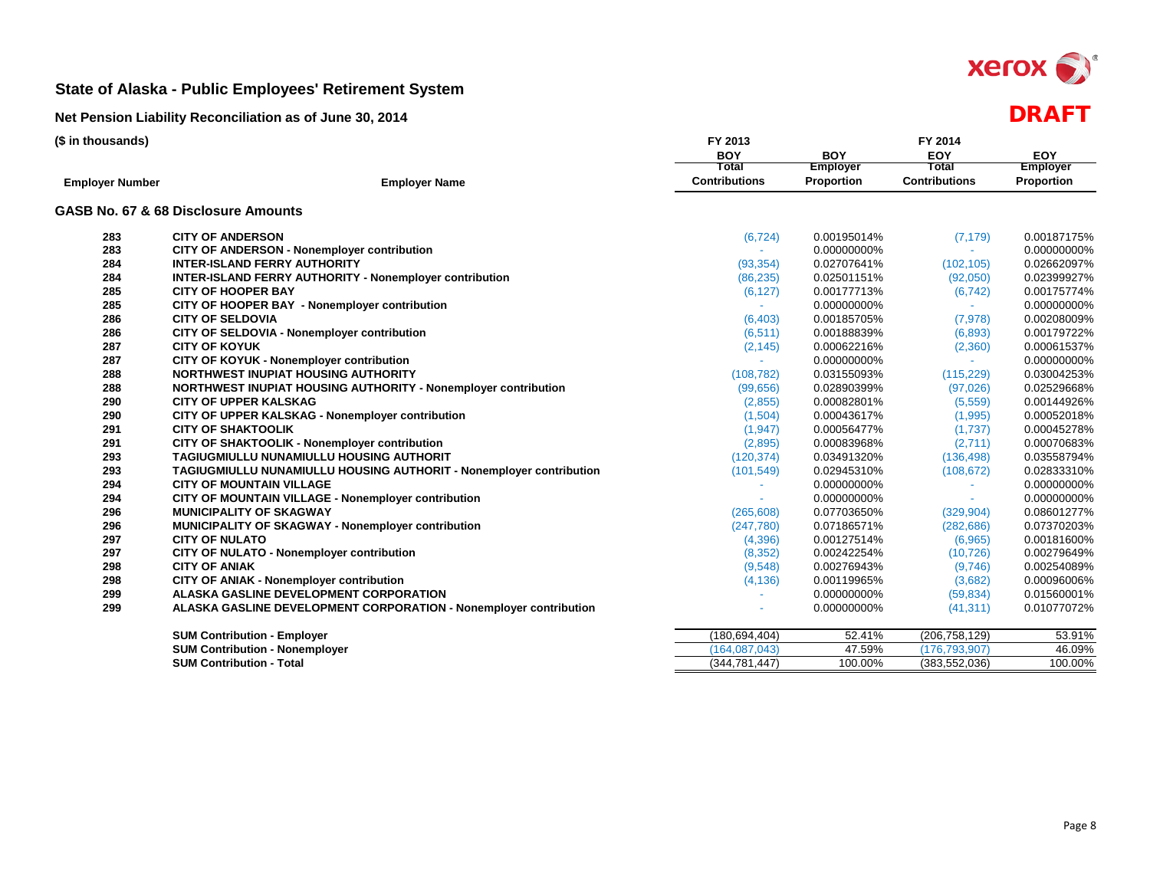

| <b>BOY</b><br><b>BOY</b><br>EOY<br><b>EOY</b><br>Total<br>Total<br><b>Employer</b><br><b>Employer</b><br><b>Contributions</b><br><b>Contributions</b><br>Proportion<br>Proportion<br><b>Employer Name</b><br><b>Employer Number</b><br>GASB No. 67 & 68 Disclosure Amounts<br><b>CITY OF ANDERSON</b><br>0.00187175%<br>283<br>(6, 724)<br>0.00195014%<br>(7, 179)<br>283<br><b>CITY OF ANDERSON - Nonemployer contribution</b><br>0.00000000%<br>0.00000000%<br>$\sim$<br>284<br><b>INTER-ISLAND FERRY AUTHORITY</b><br>0.02707641%<br>(102, 105)<br>0.02662097%<br>(93, 354)<br>284<br><b>INTER-ISLAND FERRY AUTHORITY - Nonemployer contribution</b><br>0.02399927%<br>(86, 235)<br>0.02501151%<br>(92,050)<br>285<br>(6, 127)<br>(6, 742)<br>0.00175774%<br><b>CITY OF HOOPER BAY</b><br>0.00177713%<br>285<br>CITY OF HOOPER BAY - Nonemployer contribution<br>0.00000000%<br>0.00000000%<br>286<br><b>CITY OF SELDOVIA</b><br>0.00185705%<br>(7, 978)<br>0.00208009%<br>(6, 403)<br>286<br>CITY OF SELDOVIA - Nonemployer contribution<br>0.00179722%<br>(6, 511)<br>0.00188839%<br>(6,893)<br>287<br><b>CITY OF KOYUK</b><br>(2, 145)<br>0.00062216%<br>(2,360)<br>0.00061537%<br>CITY OF KOYUK - Nonemployer contribution<br>287<br>0.00000000%<br>0.00000000%<br>288<br><b>NORTHWEST INUPIAT HOUSING AUTHORITY</b><br>0.03004253%<br>(108, 782)<br>0.03155093%<br>(115, 229)<br>288<br><b>NORTHWEST INUPIAT HOUSING AUTHORITY - Nonemployer contribution</b><br>(99, 656)<br>0.02890399%<br>0.02529668%<br>(97, 026)<br>290<br><b>CITY OF UPPER KALSKAG</b><br>(2,855)<br>0.00082801%<br>(5,559)<br>0.00144926%<br>290<br>CITY OF UPPER KALSKAG - Nonemployer contribution<br>(1,995)<br>0.00052018%<br>(1,504)<br>0.00043617%<br>291<br><b>CITY OF SHAKTOOLIK</b><br>0.00045278%<br>(1, 947)<br>0.00056477%<br>(1,737)<br>291<br>CITY OF SHAKTOOLIK - Nonemployer contribution<br>0.00070683%<br>(2,895)<br>0.00083968%<br>(2,711)<br>293<br>TAGIUGMIULLU NUNAMIULLU HOUSING AUTHORIT<br>(120, 374)<br>0.03491320%<br>(136, 498)<br>0.03558794%<br>293<br>0.02833310%<br>TAGIUGMIULLU NUNAMIULLU HOUSING AUTHORIT - Nonemployer contribution<br>(101, 549)<br>0.02945310%<br>(108, 672)<br>294<br>0.00000000%<br><b>CITY OF MOUNTAIN VILLAGE</b><br>0.00000000%<br>$\sim$<br>294<br>CITY OF MOUNTAIN VILLAGE - Nonemployer contribution<br>0.00000000%<br>0.00000000%<br>÷.<br>$\sim$<br>296<br><b>MUNICIPALITY OF SKAGWAY</b><br>0.07703650%<br>0.08601277%<br>(265, 608)<br>(329, 904)<br>296<br>MUNICIPALITY OF SKAGWAY - Nonemployer contribution<br>0.07370203%<br>(247,780)<br>0.07186571%<br>(282, 686)<br>297<br><b>CITY OF NULATO</b><br>(6,965)<br>0.00181600%<br>(4,396)<br>0.00127514%<br>297<br><b>CITY OF NULATO - Nonemployer contribution</b><br>0.00242254%<br>0.00279649%<br>(8, 352)<br>(10, 726)<br>298<br><b>CITY OF ANIAK</b><br>(9,548)<br>0.00276943%<br>(9,746)<br>0.00254089%<br>298<br>CITY OF ANIAK - Nonemployer contribution<br>(3,682)<br>0.00096006%<br>(4, 136)<br>0.00119965%<br>299<br>ALASKA GASLINE DEVELOPMENT CORPORATION<br>0.00000000%<br>(59, 834)<br>0.01560001%<br>299<br>ALASKA GASLINE DEVELOPMENT CORPORATION - Nonemployer contribution<br>0.00000000%<br>(41, 311)<br>0.01077072%<br>(206, 758, 129)<br><b>SUM Contribution - Employer</b><br>(180, 694, 404)<br>52.41%<br>53.91%<br><b>SUM Contribution - Nonemployer</b><br>(164, 087, 043)<br>47.59%<br>(176, 793, 907)<br>46.09%<br><b>SUM Contribution - Total</b><br>100.00%<br>(383, 552, 036)<br>100.00%<br>(344, 781, 447) | (\$ in thousands) | FY 2013 |  |  |  |
|------------------------------------------------------------------------------------------------------------------------------------------------------------------------------------------------------------------------------------------------------------------------------------------------------------------------------------------------------------------------------------------------------------------------------------------------------------------------------------------------------------------------------------------------------------------------------------------------------------------------------------------------------------------------------------------------------------------------------------------------------------------------------------------------------------------------------------------------------------------------------------------------------------------------------------------------------------------------------------------------------------------------------------------------------------------------------------------------------------------------------------------------------------------------------------------------------------------------------------------------------------------------------------------------------------------------------------------------------------------------------------------------------------------------------------------------------------------------------------------------------------------------------------------------------------------------------------------------------------------------------------------------------------------------------------------------------------------------------------------------------------------------------------------------------------------------------------------------------------------------------------------------------------------------------------------------------------------------------------------------------------------------------------------------------------------------------------------------------------------------------------------------------------------------------------------------------------------------------------------------------------------------------------------------------------------------------------------------------------------------------------------------------------------------------------------------------------------------------------------------------------------------------------------------------------------------------------------------------------------------------------------------------------------------------------------------------------------------------------------------------------------------------------------------------------------------------------------------------------------------------------------------------------------------------------------------------------------------------------------------------------------------------------------------------------------------------------------------------------------------------------------------------------------------------------------------------------------------------------------------------------------------------------------------------------------------------------------------------------------------------------------------------------------------------------------------------------------------------------------------------------------------------------------------|-------------------|---------|--|--|--|
|                                                                                                                                                                                                                                                                                                                                                                                                                                                                                                                                                                                                                                                                                                                                                                                                                                                                                                                                                                                                                                                                                                                                                                                                                                                                                                                                                                                                                                                                                                                                                                                                                                                                                                                                                                                                                                                                                                                                                                                                                                                                                                                                                                                                                                                                                                                                                                                                                                                                                                                                                                                                                                                                                                                                                                                                                                                                                                                                                                                                                                                                                                                                                                                                                                                                                                                                                                                                                                                                                                                                                |                   |         |  |  |  |
|                                                                                                                                                                                                                                                                                                                                                                                                                                                                                                                                                                                                                                                                                                                                                                                                                                                                                                                                                                                                                                                                                                                                                                                                                                                                                                                                                                                                                                                                                                                                                                                                                                                                                                                                                                                                                                                                                                                                                                                                                                                                                                                                                                                                                                                                                                                                                                                                                                                                                                                                                                                                                                                                                                                                                                                                                                                                                                                                                                                                                                                                                                                                                                                                                                                                                                                                                                                                                                                                                                                                                |                   |         |  |  |  |
|                                                                                                                                                                                                                                                                                                                                                                                                                                                                                                                                                                                                                                                                                                                                                                                                                                                                                                                                                                                                                                                                                                                                                                                                                                                                                                                                                                                                                                                                                                                                                                                                                                                                                                                                                                                                                                                                                                                                                                                                                                                                                                                                                                                                                                                                                                                                                                                                                                                                                                                                                                                                                                                                                                                                                                                                                                                                                                                                                                                                                                                                                                                                                                                                                                                                                                                                                                                                                                                                                                                                                |                   |         |  |  |  |
|                                                                                                                                                                                                                                                                                                                                                                                                                                                                                                                                                                                                                                                                                                                                                                                                                                                                                                                                                                                                                                                                                                                                                                                                                                                                                                                                                                                                                                                                                                                                                                                                                                                                                                                                                                                                                                                                                                                                                                                                                                                                                                                                                                                                                                                                                                                                                                                                                                                                                                                                                                                                                                                                                                                                                                                                                                                                                                                                                                                                                                                                                                                                                                                                                                                                                                                                                                                                                                                                                                                                                |                   |         |  |  |  |
|                                                                                                                                                                                                                                                                                                                                                                                                                                                                                                                                                                                                                                                                                                                                                                                                                                                                                                                                                                                                                                                                                                                                                                                                                                                                                                                                                                                                                                                                                                                                                                                                                                                                                                                                                                                                                                                                                                                                                                                                                                                                                                                                                                                                                                                                                                                                                                                                                                                                                                                                                                                                                                                                                                                                                                                                                                                                                                                                                                                                                                                                                                                                                                                                                                                                                                                                                                                                                                                                                                                                                |                   |         |  |  |  |
|                                                                                                                                                                                                                                                                                                                                                                                                                                                                                                                                                                                                                                                                                                                                                                                                                                                                                                                                                                                                                                                                                                                                                                                                                                                                                                                                                                                                                                                                                                                                                                                                                                                                                                                                                                                                                                                                                                                                                                                                                                                                                                                                                                                                                                                                                                                                                                                                                                                                                                                                                                                                                                                                                                                                                                                                                                                                                                                                                                                                                                                                                                                                                                                                                                                                                                                                                                                                                                                                                                                                                |                   |         |  |  |  |
|                                                                                                                                                                                                                                                                                                                                                                                                                                                                                                                                                                                                                                                                                                                                                                                                                                                                                                                                                                                                                                                                                                                                                                                                                                                                                                                                                                                                                                                                                                                                                                                                                                                                                                                                                                                                                                                                                                                                                                                                                                                                                                                                                                                                                                                                                                                                                                                                                                                                                                                                                                                                                                                                                                                                                                                                                                                                                                                                                                                                                                                                                                                                                                                                                                                                                                                                                                                                                                                                                                                                                |                   |         |  |  |  |
|                                                                                                                                                                                                                                                                                                                                                                                                                                                                                                                                                                                                                                                                                                                                                                                                                                                                                                                                                                                                                                                                                                                                                                                                                                                                                                                                                                                                                                                                                                                                                                                                                                                                                                                                                                                                                                                                                                                                                                                                                                                                                                                                                                                                                                                                                                                                                                                                                                                                                                                                                                                                                                                                                                                                                                                                                                                                                                                                                                                                                                                                                                                                                                                                                                                                                                                                                                                                                                                                                                                                                |                   |         |  |  |  |
|                                                                                                                                                                                                                                                                                                                                                                                                                                                                                                                                                                                                                                                                                                                                                                                                                                                                                                                                                                                                                                                                                                                                                                                                                                                                                                                                                                                                                                                                                                                                                                                                                                                                                                                                                                                                                                                                                                                                                                                                                                                                                                                                                                                                                                                                                                                                                                                                                                                                                                                                                                                                                                                                                                                                                                                                                                                                                                                                                                                                                                                                                                                                                                                                                                                                                                                                                                                                                                                                                                                                                |                   |         |  |  |  |
|                                                                                                                                                                                                                                                                                                                                                                                                                                                                                                                                                                                                                                                                                                                                                                                                                                                                                                                                                                                                                                                                                                                                                                                                                                                                                                                                                                                                                                                                                                                                                                                                                                                                                                                                                                                                                                                                                                                                                                                                                                                                                                                                                                                                                                                                                                                                                                                                                                                                                                                                                                                                                                                                                                                                                                                                                                                                                                                                                                                                                                                                                                                                                                                                                                                                                                                                                                                                                                                                                                                                                |                   |         |  |  |  |
|                                                                                                                                                                                                                                                                                                                                                                                                                                                                                                                                                                                                                                                                                                                                                                                                                                                                                                                                                                                                                                                                                                                                                                                                                                                                                                                                                                                                                                                                                                                                                                                                                                                                                                                                                                                                                                                                                                                                                                                                                                                                                                                                                                                                                                                                                                                                                                                                                                                                                                                                                                                                                                                                                                                                                                                                                                                                                                                                                                                                                                                                                                                                                                                                                                                                                                                                                                                                                                                                                                                                                |                   |         |  |  |  |
|                                                                                                                                                                                                                                                                                                                                                                                                                                                                                                                                                                                                                                                                                                                                                                                                                                                                                                                                                                                                                                                                                                                                                                                                                                                                                                                                                                                                                                                                                                                                                                                                                                                                                                                                                                                                                                                                                                                                                                                                                                                                                                                                                                                                                                                                                                                                                                                                                                                                                                                                                                                                                                                                                                                                                                                                                                                                                                                                                                                                                                                                                                                                                                                                                                                                                                                                                                                                                                                                                                                                                |                   |         |  |  |  |
|                                                                                                                                                                                                                                                                                                                                                                                                                                                                                                                                                                                                                                                                                                                                                                                                                                                                                                                                                                                                                                                                                                                                                                                                                                                                                                                                                                                                                                                                                                                                                                                                                                                                                                                                                                                                                                                                                                                                                                                                                                                                                                                                                                                                                                                                                                                                                                                                                                                                                                                                                                                                                                                                                                                                                                                                                                                                                                                                                                                                                                                                                                                                                                                                                                                                                                                                                                                                                                                                                                                                                |                   |         |  |  |  |
|                                                                                                                                                                                                                                                                                                                                                                                                                                                                                                                                                                                                                                                                                                                                                                                                                                                                                                                                                                                                                                                                                                                                                                                                                                                                                                                                                                                                                                                                                                                                                                                                                                                                                                                                                                                                                                                                                                                                                                                                                                                                                                                                                                                                                                                                                                                                                                                                                                                                                                                                                                                                                                                                                                                                                                                                                                                                                                                                                                                                                                                                                                                                                                                                                                                                                                                                                                                                                                                                                                                                                |                   |         |  |  |  |
|                                                                                                                                                                                                                                                                                                                                                                                                                                                                                                                                                                                                                                                                                                                                                                                                                                                                                                                                                                                                                                                                                                                                                                                                                                                                                                                                                                                                                                                                                                                                                                                                                                                                                                                                                                                                                                                                                                                                                                                                                                                                                                                                                                                                                                                                                                                                                                                                                                                                                                                                                                                                                                                                                                                                                                                                                                                                                                                                                                                                                                                                                                                                                                                                                                                                                                                                                                                                                                                                                                                                                |                   |         |  |  |  |
|                                                                                                                                                                                                                                                                                                                                                                                                                                                                                                                                                                                                                                                                                                                                                                                                                                                                                                                                                                                                                                                                                                                                                                                                                                                                                                                                                                                                                                                                                                                                                                                                                                                                                                                                                                                                                                                                                                                                                                                                                                                                                                                                                                                                                                                                                                                                                                                                                                                                                                                                                                                                                                                                                                                                                                                                                                                                                                                                                                                                                                                                                                                                                                                                                                                                                                                                                                                                                                                                                                                                                |                   |         |  |  |  |
|                                                                                                                                                                                                                                                                                                                                                                                                                                                                                                                                                                                                                                                                                                                                                                                                                                                                                                                                                                                                                                                                                                                                                                                                                                                                                                                                                                                                                                                                                                                                                                                                                                                                                                                                                                                                                                                                                                                                                                                                                                                                                                                                                                                                                                                                                                                                                                                                                                                                                                                                                                                                                                                                                                                                                                                                                                                                                                                                                                                                                                                                                                                                                                                                                                                                                                                                                                                                                                                                                                                                                |                   |         |  |  |  |
|                                                                                                                                                                                                                                                                                                                                                                                                                                                                                                                                                                                                                                                                                                                                                                                                                                                                                                                                                                                                                                                                                                                                                                                                                                                                                                                                                                                                                                                                                                                                                                                                                                                                                                                                                                                                                                                                                                                                                                                                                                                                                                                                                                                                                                                                                                                                                                                                                                                                                                                                                                                                                                                                                                                                                                                                                                                                                                                                                                                                                                                                                                                                                                                                                                                                                                                                                                                                                                                                                                                                                |                   |         |  |  |  |
|                                                                                                                                                                                                                                                                                                                                                                                                                                                                                                                                                                                                                                                                                                                                                                                                                                                                                                                                                                                                                                                                                                                                                                                                                                                                                                                                                                                                                                                                                                                                                                                                                                                                                                                                                                                                                                                                                                                                                                                                                                                                                                                                                                                                                                                                                                                                                                                                                                                                                                                                                                                                                                                                                                                                                                                                                                                                                                                                                                                                                                                                                                                                                                                                                                                                                                                                                                                                                                                                                                                                                |                   |         |  |  |  |
|                                                                                                                                                                                                                                                                                                                                                                                                                                                                                                                                                                                                                                                                                                                                                                                                                                                                                                                                                                                                                                                                                                                                                                                                                                                                                                                                                                                                                                                                                                                                                                                                                                                                                                                                                                                                                                                                                                                                                                                                                                                                                                                                                                                                                                                                                                                                                                                                                                                                                                                                                                                                                                                                                                                                                                                                                                                                                                                                                                                                                                                                                                                                                                                                                                                                                                                                                                                                                                                                                                                                                |                   |         |  |  |  |
|                                                                                                                                                                                                                                                                                                                                                                                                                                                                                                                                                                                                                                                                                                                                                                                                                                                                                                                                                                                                                                                                                                                                                                                                                                                                                                                                                                                                                                                                                                                                                                                                                                                                                                                                                                                                                                                                                                                                                                                                                                                                                                                                                                                                                                                                                                                                                                                                                                                                                                                                                                                                                                                                                                                                                                                                                                                                                                                                                                                                                                                                                                                                                                                                                                                                                                                                                                                                                                                                                                                                                |                   |         |  |  |  |
|                                                                                                                                                                                                                                                                                                                                                                                                                                                                                                                                                                                                                                                                                                                                                                                                                                                                                                                                                                                                                                                                                                                                                                                                                                                                                                                                                                                                                                                                                                                                                                                                                                                                                                                                                                                                                                                                                                                                                                                                                                                                                                                                                                                                                                                                                                                                                                                                                                                                                                                                                                                                                                                                                                                                                                                                                                                                                                                                                                                                                                                                                                                                                                                                                                                                                                                                                                                                                                                                                                                                                |                   |         |  |  |  |
|                                                                                                                                                                                                                                                                                                                                                                                                                                                                                                                                                                                                                                                                                                                                                                                                                                                                                                                                                                                                                                                                                                                                                                                                                                                                                                                                                                                                                                                                                                                                                                                                                                                                                                                                                                                                                                                                                                                                                                                                                                                                                                                                                                                                                                                                                                                                                                                                                                                                                                                                                                                                                                                                                                                                                                                                                                                                                                                                                                                                                                                                                                                                                                                                                                                                                                                                                                                                                                                                                                                                                |                   |         |  |  |  |
|                                                                                                                                                                                                                                                                                                                                                                                                                                                                                                                                                                                                                                                                                                                                                                                                                                                                                                                                                                                                                                                                                                                                                                                                                                                                                                                                                                                                                                                                                                                                                                                                                                                                                                                                                                                                                                                                                                                                                                                                                                                                                                                                                                                                                                                                                                                                                                                                                                                                                                                                                                                                                                                                                                                                                                                                                                                                                                                                                                                                                                                                                                                                                                                                                                                                                                                                                                                                                                                                                                                                                |                   |         |  |  |  |
|                                                                                                                                                                                                                                                                                                                                                                                                                                                                                                                                                                                                                                                                                                                                                                                                                                                                                                                                                                                                                                                                                                                                                                                                                                                                                                                                                                                                                                                                                                                                                                                                                                                                                                                                                                                                                                                                                                                                                                                                                                                                                                                                                                                                                                                                                                                                                                                                                                                                                                                                                                                                                                                                                                                                                                                                                                                                                                                                                                                                                                                                                                                                                                                                                                                                                                                                                                                                                                                                                                                                                |                   |         |  |  |  |
|                                                                                                                                                                                                                                                                                                                                                                                                                                                                                                                                                                                                                                                                                                                                                                                                                                                                                                                                                                                                                                                                                                                                                                                                                                                                                                                                                                                                                                                                                                                                                                                                                                                                                                                                                                                                                                                                                                                                                                                                                                                                                                                                                                                                                                                                                                                                                                                                                                                                                                                                                                                                                                                                                                                                                                                                                                                                                                                                                                                                                                                                                                                                                                                                                                                                                                                                                                                                                                                                                                                                                |                   |         |  |  |  |
|                                                                                                                                                                                                                                                                                                                                                                                                                                                                                                                                                                                                                                                                                                                                                                                                                                                                                                                                                                                                                                                                                                                                                                                                                                                                                                                                                                                                                                                                                                                                                                                                                                                                                                                                                                                                                                                                                                                                                                                                                                                                                                                                                                                                                                                                                                                                                                                                                                                                                                                                                                                                                                                                                                                                                                                                                                                                                                                                                                                                                                                                                                                                                                                                                                                                                                                                                                                                                                                                                                                                                |                   |         |  |  |  |
|                                                                                                                                                                                                                                                                                                                                                                                                                                                                                                                                                                                                                                                                                                                                                                                                                                                                                                                                                                                                                                                                                                                                                                                                                                                                                                                                                                                                                                                                                                                                                                                                                                                                                                                                                                                                                                                                                                                                                                                                                                                                                                                                                                                                                                                                                                                                                                                                                                                                                                                                                                                                                                                                                                                                                                                                                                                                                                                                                                                                                                                                                                                                                                                                                                                                                                                                                                                                                                                                                                                                                |                   |         |  |  |  |
|                                                                                                                                                                                                                                                                                                                                                                                                                                                                                                                                                                                                                                                                                                                                                                                                                                                                                                                                                                                                                                                                                                                                                                                                                                                                                                                                                                                                                                                                                                                                                                                                                                                                                                                                                                                                                                                                                                                                                                                                                                                                                                                                                                                                                                                                                                                                                                                                                                                                                                                                                                                                                                                                                                                                                                                                                                                                                                                                                                                                                                                                                                                                                                                                                                                                                                                                                                                                                                                                                                                                                |                   |         |  |  |  |
|                                                                                                                                                                                                                                                                                                                                                                                                                                                                                                                                                                                                                                                                                                                                                                                                                                                                                                                                                                                                                                                                                                                                                                                                                                                                                                                                                                                                                                                                                                                                                                                                                                                                                                                                                                                                                                                                                                                                                                                                                                                                                                                                                                                                                                                                                                                                                                                                                                                                                                                                                                                                                                                                                                                                                                                                                                                                                                                                                                                                                                                                                                                                                                                                                                                                                                                                                                                                                                                                                                                                                |                   |         |  |  |  |
|                                                                                                                                                                                                                                                                                                                                                                                                                                                                                                                                                                                                                                                                                                                                                                                                                                                                                                                                                                                                                                                                                                                                                                                                                                                                                                                                                                                                                                                                                                                                                                                                                                                                                                                                                                                                                                                                                                                                                                                                                                                                                                                                                                                                                                                                                                                                                                                                                                                                                                                                                                                                                                                                                                                                                                                                                                                                                                                                                                                                                                                                                                                                                                                                                                                                                                                                                                                                                                                                                                                                                |                   |         |  |  |  |
|                                                                                                                                                                                                                                                                                                                                                                                                                                                                                                                                                                                                                                                                                                                                                                                                                                                                                                                                                                                                                                                                                                                                                                                                                                                                                                                                                                                                                                                                                                                                                                                                                                                                                                                                                                                                                                                                                                                                                                                                                                                                                                                                                                                                                                                                                                                                                                                                                                                                                                                                                                                                                                                                                                                                                                                                                                                                                                                                                                                                                                                                                                                                                                                                                                                                                                                                                                                                                                                                                                                                                |                   |         |  |  |  |
|                                                                                                                                                                                                                                                                                                                                                                                                                                                                                                                                                                                                                                                                                                                                                                                                                                                                                                                                                                                                                                                                                                                                                                                                                                                                                                                                                                                                                                                                                                                                                                                                                                                                                                                                                                                                                                                                                                                                                                                                                                                                                                                                                                                                                                                                                                                                                                                                                                                                                                                                                                                                                                                                                                                                                                                                                                                                                                                                                                                                                                                                                                                                                                                                                                                                                                                                                                                                                                                                                                                                                |                   |         |  |  |  |
|                                                                                                                                                                                                                                                                                                                                                                                                                                                                                                                                                                                                                                                                                                                                                                                                                                                                                                                                                                                                                                                                                                                                                                                                                                                                                                                                                                                                                                                                                                                                                                                                                                                                                                                                                                                                                                                                                                                                                                                                                                                                                                                                                                                                                                                                                                                                                                                                                                                                                                                                                                                                                                                                                                                                                                                                                                                                                                                                                                                                                                                                                                                                                                                                                                                                                                                                                                                                                                                                                                                                                |                   |         |  |  |  |
|                                                                                                                                                                                                                                                                                                                                                                                                                                                                                                                                                                                                                                                                                                                                                                                                                                                                                                                                                                                                                                                                                                                                                                                                                                                                                                                                                                                                                                                                                                                                                                                                                                                                                                                                                                                                                                                                                                                                                                                                                                                                                                                                                                                                                                                                                                                                                                                                                                                                                                                                                                                                                                                                                                                                                                                                                                                                                                                                                                                                                                                                                                                                                                                                                                                                                                                                                                                                                                                                                                                                                |                   |         |  |  |  |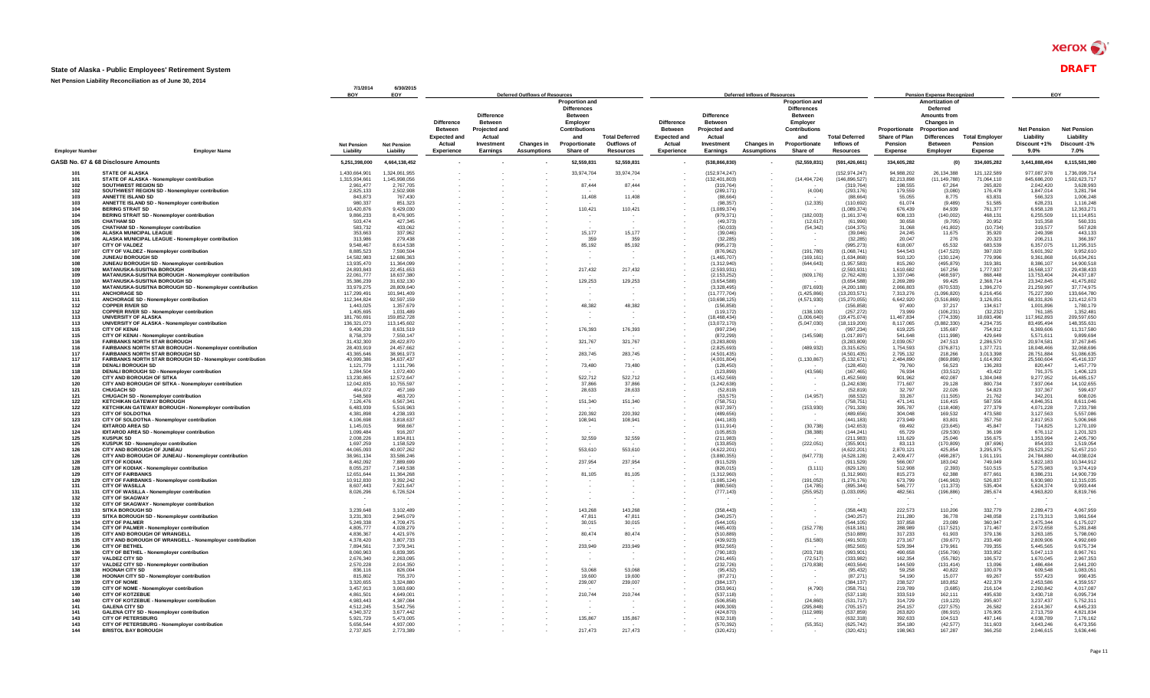#### **State of Alaska - Public Employees' Retirement System** DRAFT

|                        |                                                                                                | 7/1/2014<br>BOY                 | 6/30/2015<br>EOY                |                                                                                    |                                                                     | Deferred Outflows of Resources          |                                                               |                                                          |                                                                                    |                                                                     | Deferred Inflows of Resources           |                                                               |                                                         |                                                             | <b>Pension Expense Recognized</b>                                                              |                                                   |                                                            | EOY                                                     |
|------------------------|------------------------------------------------------------------------------------------------|---------------------------------|---------------------------------|------------------------------------------------------------------------------------|---------------------------------------------------------------------|-----------------------------------------|---------------------------------------------------------------|----------------------------------------------------------|------------------------------------------------------------------------------------|---------------------------------------------------------------------|-----------------------------------------|---------------------------------------------------------------|---------------------------------------------------------|-------------------------------------------------------------|------------------------------------------------------------------------------------------------|---------------------------------------------------|------------------------------------------------------------|---------------------------------------------------------|
|                        |                                                                                                |                                 |                                 |                                                                                    | <b>Difference</b>                                                   |                                         | <b>Proportion and</b><br><b>Differences</b><br><b>Between</b> |                                                          |                                                                                    | <b>Difference</b>                                                   |                                         | <b>Proportion and</b><br><b>Differences</b><br><b>Between</b> |                                                         |                                                             | <b>Amortization of</b><br><b>Deferred</b><br><b>Amounts from</b>                               |                                                   |                                                            |                                                         |
|                        | <b>Employer Name</b>                                                                           | <b>Net Pension</b><br>Liability | <b>Net Pension</b><br>Liability | <b>Difference</b><br><b>Between</b><br><b>Expected and</b><br>Actual<br>Experience | Between<br><b>Projected and</b><br>Actual<br>Investment<br>Earnings | <b>Changes in</b><br><b>Assumptions</b> | Employer<br>Contributions<br>and<br>Proportionate<br>Share of | <b>Total Deferred</b><br>Outflows of<br><b>Resources</b> | <b>Difference</b><br><b>Between</b><br><b>Expected and</b><br>Actual<br>Experience | Between<br><b>Projected and</b><br>Actual<br>Investment<br>Earnings | <b>Changes in</b><br><b>Assumptions</b> | Emplover<br>Contributions<br>and<br>Proportionate<br>Share of | <b>Total Deferred</b><br>Inflows of<br><b>Resources</b> | Proportionate<br><b>Share of Plar</b><br>Pension<br>Expense | <b>Changes in</b><br><b>Proportion and</b><br><b>Differences</b><br><b>Between</b><br>Employer | <b>Total Employe</b><br>Pension<br><b>Expense</b> | <b>Net Pension</b><br>Liability<br>Discount +1%<br>$9.0\%$ | <b>Net Pension</b><br>Liability<br>Discount -1%<br>7.0% |
| <b>Employer Number</b> | GASB No. 67 & 68 Disclosure Amounts                                                            | 5.251.398.000                   | 4,664,138,452                   |                                                                                    |                                                                     |                                         |                                                               |                                                          |                                                                                    |                                                                     |                                         |                                                               |                                                         |                                                             |                                                                                                |                                                   |                                                            |                                                         |
|                        | <b>STATE OF ALASKA</b>                                                                         |                                 |                                 |                                                                                    |                                                                     |                                         | 52,559,831                                                    | 52,559,831                                               |                                                                                    | (538, 866, 830)                                                     |                                         | (52, 559, 831)                                                | (591, 426, 661)                                         | 334,605,282                                                 | (0)                                                                                            | 334,605,282                                       | 3,441,888,494                                              | 6,115,581,980                                           |
| 101<br>101             | STATE OF ALASKA - Nonemployer contribution                                                     | 1.430.664.901<br>1,315,934,661  | 1,324,061,955<br>1.145.998.056  |                                                                                    |                                                                     |                                         | 33,974,704                                                    | 33,974,704                                               |                                                                                    | (152, 974, 247)<br>(132, 401, 803)                                  |                                         | (14, 494, 724)                                                | (152, 974, 247)<br>(146.896.527)                        | 94,988,202<br>82.213.898                                    | 26,134,388<br>(11, 149, 788)                                                                   | 121,122,589<br>71,064,110                         | 977,087,978<br>845,686,200                                 | 1,736,099,714<br>1,502,623,717                          |
| 102<br>102             | SOUTHWEST REGION SD<br>SOUTHWEST REGION SD - Nonemployer contribution                          | 2,961,477<br>2.825.133          | 2,767,705<br>2.502.908          |                                                                                    |                                                                     |                                         | 87,444                                                        | 87,444                                                   |                                                                                    | (319, 764)<br>(289.171)                                             |                                         | (4.004)                                                       | (319, 764)<br>(293.176)                                 | 198.555<br>179.559                                          | 67,264<br>(3.080)                                                                              | 265,820<br>176.478                                | 2,042,420<br>1.847.014                                     | 3,628,993<br>3.281.794                                  |
| 103                    | <b>ANNETTE ISLAND SD</b>                                                                       | 843.873                         | 767.430                         |                                                                                    |                                                                     |                                         | 11,408                                                        | 11.408                                                   |                                                                                    | (88.664)                                                            |                                         |                                                               | (88.664)                                                | 55.055                                                      | 8.775                                                                                          | 63.831                                            | 566.323                                                    | 1.006.248                                               |
| 103<br>104             | ANNETTE ISLAND SD - Nonemployer contribution<br><b>BERING STRAIT SD</b>                        | 980.337<br>10.420.876           | 851.323<br>9.429.030            |                                                                                    |                                                                     |                                         | 110,421                                                       | 110,421                                                  |                                                                                    | (98.357)<br>(1.089.374)                                             |                                         | (12, 335)                                                     | (110.692)<br>(1.089.374)                                | 61.074<br>676.439                                           | (9.489)<br>84.939                                                                              | 51.585<br>761.377                                 | 628.231<br>6.958.128                                       | 1.116.248<br>12,363,271                                 |
| 104                    | <b>BERING STRAIT SD - Nonemployer contribution</b>                                             | 9.866.233                       | 8 476 905                       |                                                                                    |                                                                     |                                         |                                                               |                                                          |                                                                                    | (979.371)                                                           |                                         | (182,003)                                                     | (1.161.374)                                             | 608 133                                                     | (140.002)                                                                                      | 468 131                                           | 6.255.509                                                  | 11.114.851                                              |
| 105<br>105             | <b>CHATHAM SD</b><br><b>CHATHAM SD - Nonemployer contribution</b>                              | 503,474<br>583.732              | 427,345<br>433.062              |                                                                                    |                                                                     |                                         |                                                               |                                                          |                                                                                    | (49, 373)<br>(50.033)                                               |                                         | (12, 617)<br>(54, 342)                                        | (61,990)<br>(104.375)                                   | 30,658<br>31,068                                            | (9,705)<br>(41.802)                                                                            | 20,952<br>(10.734)                                | 315,358<br>319,577                                         | 560,331<br>567.828                                      |
| 106                    | ALASKA MUNICIPAL LEAGUE                                                                        | 353,663                         | 337,962                         |                                                                                    |                                                                     |                                         | 15,177                                                        | 15,177                                                   |                                                                                    | (39.046)                                                            |                                         |                                                               | (39,046)                                                | 24,245                                                      | 11,675                                                                                         | 35,920                                            | 249,398                                                    | 443,133                                                 |
| 106<br>107             | ALASKA MUNICIPAL LEAGUE - Nonemployer contribution<br><b>CITY OF VALDEZ</b>                    | 313.986<br>9.548.467            | 279.438<br>8.614.538            |                                                                                    |                                                                     |                                         | 359<br>85,192                                                 | 359<br>85,192                                            |                                                                                    | (32.285)<br>(995, 273)                                              |                                         |                                                               | (32.285)<br>(995, 273)                                  | 20.047<br>618,007                                           | 276<br>65.532                                                                                  | 20.323<br>683,539                                 | 206.211<br>6,357,075                                       | 366.397<br>11,295,315                                   |
| 107                    | CITY OF VALDEZ - Nonemployer contribution                                                      | 8,885,523                       | 7,590,504                       |                                                                                    |                                                                     |                                         |                                                               |                                                          |                                                                                    | (876.962)                                                           |                                         | (191, 780)                                                    | (1,068,741)                                             | 544,543                                                     | (147, 523)                                                                                     | 397,020                                           | 5,601,392                                                  | 9,952,610                                               |
| 108<br>108             | JUNEAU BOROUGH SD<br>JUNEAU BOROUGH SD - Nonemployer contribution                              | 14,582,983<br>13.935.470        | 12,686,363<br>11.364.099        |                                                                                    |                                                                     |                                         |                                                               |                                                          |                                                                                    | (1,465,707)<br>(1.312.940)                                          |                                         | (169, 161)<br>(644, 643)                                      | (1,634,868)<br>(1.957.583)                              | 910,120<br>815.260                                          | (130, 124)<br>(495.879)                                                                        | 779,996<br>319.381                                | 9,361,868<br>8.386.107                                     | 16,634,261<br>14,900,518                                |
| 109                    | <b>MATANUSKA-SUSITNA BOROUGH</b>                                                               | 24.893.843                      | 22.451.653                      |                                                                                    |                                                                     |                                         | 217.432                                                       | 217.432                                                  |                                                                                    | (2.593.931)                                                         |                                         |                                                               | (2.593.931)                                             | 1.610.682                                                   | 167.256                                                                                        | 1,777,937                                         | 16.568.137                                                 | 29.438.433                                              |
| 109<br>110             | MATANUSKA-SUSITNA BOROUGH - Nonemployer contribution<br><b>MATANUSKA-SUSITNA BOROUGH SD</b>    | 22,061,777<br>35.386.239        | 18.637.380<br>31.632.130        |                                                                                    |                                                                     |                                         | 129.253                                                       | 129.253                                                  |                                                                                    | (2, 153, 252)<br>(3.654.588)                                        |                                         | (609, 176)                                                    | (2,762,428)<br>(3.654.588)                              | 1.337.046<br>2.269.289                                      | (468, 597)<br>99.425                                                                           | 868.448<br>2.368.714                              | 13,753,404<br>23.342.845                                   | 24 437 187<br>41.475.802                                |
| 110                    | MATANUSKA-SUSITNA BOROUGH SD - Nonemployer contribution                                        | 33.979.275                      | 28,809,640                      |                                                                                    |                                                                     |                                         |                                                               |                                                          |                                                                                    | (3.328.495)                                                         |                                         | (871.693)                                                     | (4.200.188)                                             | 2.066.803                                                   | (670.533)                                                                                      | 1.396.270                                         | 21.259.997                                                 | 37.774.975                                              |
| 111<br>111             | <b>ANCHORAGE SD</b><br>ANCHORAGE SD - Nonemployer contribution                                 | 117,299,491<br>112.344.824      | 101,941,409<br>92.597.159       |                                                                                    |                                                                     |                                         |                                                               |                                                          |                                                                                    | (11, 777, 704)<br>(10, 698, 125)                                    |                                         | (1,425,866)<br>(4,571,930)                                    | (13, 203, 571)<br>(15, 270, 055)                        | 7,313,276<br>6,642,920                                      | (1,096,820)<br>(3,516,869)                                                                     | 6,216,456<br>3.126.051                            | 75,227,390<br>68,331,826                                   | 133,664,780<br>121,412,673                              |
| 112                    | <b>COPPER RIVER SD</b>                                                                         | 1.443.025<br>1 405 695          | 1,357,679<br>1 031 489          |                                                                                    |                                                                     |                                         | 48,382                                                        | 48,382                                                   |                                                                                    | (156.858)<br>(119172)                                               |                                         | (138, 100)                                                    | (156.858)                                               | 97.400<br>73.999                                            | 37.217                                                                                         | 134.617                                           | 1.001.896<br>761 185                                       | 1.780.179<br>1 352 481                                  |
| 112<br>113             | COPPER RIVER SD - Nonemployer contribution<br><b>UNIVERSITY OF ALASKA</b>                      | 181,760,691                     | 159,852,728                     |                                                                                    |                                                                     |                                         |                                                               |                                                          |                                                                                    | (18, 468, 434)                                                      |                                         | (1,006,640)                                                   | (257.272)<br>(19, 475, 074)                             | 11,467,834                                                  | (106, 231)<br>(774, 339)                                                                       | (32.232)<br>10,693,496                            | 117,962,893                                                | 209,597,650                                             |
| 113                    | UNIVERSITY OF ALASKA - Nonemployer contribution                                                | 136.321.073                     | 113,145,602                     |                                                                                    |                                                                     |                                         |                                                               |                                                          |                                                                                    | (13,072,170)                                                        |                                         | (5,047,030)                                                   | (18.119.200)                                            | 8.117.065                                                   | (3.882.330)                                                                                    | 4.234.735                                         | 83.495.494                                                 | 148.355.631                                             |
| 115<br>115             | <b>CITY OF KENAI</b><br>CITY OF KENAI - Nonemplover contribution                               | 9.406.230<br>8.758.379          | 8,631,519<br>7.550.147          |                                                                                    |                                                                     |                                         | 176,393                                                       | 176,393                                                  |                                                                                    | (997.234)<br>(872.299)                                              |                                         | (145, 598)                                                    | (997, 234)<br>(1.017.897)                               | 619,225<br>541.648                                          | 135,687<br>(111.998)                                                                           | 754,912<br>429.649                                | 6,369,606<br>5.571.611                                     | 11,317,580<br>9.899.694                                 |
| 116                    | <b>FAIRBANKS NORTH STAR BOROUGH</b><br>FAIRBANKS NORTH STAR BOROUGH - Nonemployer contribution | 31.432.300<br>28,403,919        | 28.422.870<br>24.457.662        |                                                                                    |                                                                     |                                         | 321,767                                                       | 321,767                                                  |                                                                                    | (3,283,809)<br>(2.825.693)                                          |                                         | (489, 932)                                                    | (3, 283, 809)<br>(3.315.625)                            | 2.039.057<br>1.754.593                                      | 247,513<br>(376, 871)                                                                          | 2.286.570<br>1,377,721                            | 20.974.581<br>18,048,466                                   | 37.267.845<br>32,068,696                                |
| 116<br>117             | <b>FAIRBANKS NORTH STAR BOROUGH SD</b>                                                         | 43.365.646                      | 38.961.973                      |                                                                                    |                                                                     |                                         | 283.745                                                       | 283,745                                                  |                                                                                    | (4.501.435)                                                         |                                         |                                                               | (4.501.435)                                             | 2.795.132                                                   | 218.266                                                                                        | 3.013.398                                         | 28.751.884                                                 | 51.086.635                                              |
| 117                    | FAIRBANKS NORTH STAR BOROUGH SD - Nonemplover contribution                                     | 40.999.386                      | 34.637.437                      |                                                                                    |                                                                     |                                         |                                                               |                                                          |                                                                                    | (4.001.804)                                                         |                                         | (1, 130, 867)                                                 | (5.132.671)                                             | 2.484.890                                                   | (869.898)                                                                                      | 1.614.992                                         | 25.560.604                                                 | 45.416.337                                              |
| 118<br>118             | <b>DENALI BOROUGH SD</b><br>DENALI BOROUGH SD - Nonemployer contribution                       | 1,121,779<br>1,284,504          | 1,111,796<br>1,072,400          |                                                                                    |                                                                     |                                         | 73,480                                                        | 73,480                                                   |                                                                                    | (128.450)<br>(123, 899)                                             |                                         | (43, 566)                                                     | (128.450)<br>(167, 465)                                 | 79,760<br>76,934                                            | 56,523<br>(33, 512)                                                                            | 136,283<br>43.422                                 | 820,447<br>791,375                                         | 1,457,779<br>1,406,123                                  |
| 120                    | <b>CITY AND BOROUGH OF SITKA</b>                                                               | 13.230.865                      | 12.572.647                      |                                                                                    |                                                                     |                                         | 522.712                                                       | 522,712                                                  |                                                                                    | (1.452.569)                                                         |                                         |                                                               | (1.452.569)                                             | 901.962                                                     | 402.087                                                                                        | 1.304.048                                         | 9.277.952                                                  | 16,485,157                                              |
| 120<br>121             | CITY AND BOROUGH OF SITKA - Nonemployer contribution<br><b>CHUGACH SD</b>                      | 12.042.835<br>464.072           | 10.755.597<br>457,169           |                                                                                    |                                                                     |                                         | 37.866<br>28,633                                              | 37.866<br>28,633                                         |                                                                                    | (1.242.638)<br>(52.819)                                             |                                         |                                                               | (1.242.638)<br>(52.819)                                 | 771,607<br>32,797                                           | 29,128<br>22,026                                                                               | 800.734<br>54,823                                 | 7.937.064<br>337,367                                       | 14,102,655<br>599,437                                   |
| 121                    | <b>CHUGACH SD - Nonemployer contribution</b>                                                   | 548,569                         | 463,720                         |                                                                                    |                                                                     |                                         |                                                               |                                                          |                                                                                    | (53.575)                                                            |                                         | (14, 957)                                                     | (68.532)                                                | 33.267                                                      | (11, 505)                                                                                      | 21.762                                            | 342.201                                                    | 608.026                                                 |
| 122<br>122             | <b>KETCHIKAN GATEWAY BOROUGH</b><br>KETCHIKAN GATEWAY BOROUGH - Nonemployer contribution       | 7,126,476<br>6.483.939          | 6,567,341<br>5.516.963          |                                                                                    |                                                                     |                                         | 151.340                                                       | 151,340                                                  |                                                                                    | (758.751)<br>(637.397)                                              |                                         | (153, 930)                                                    | (758, 751)<br>(791.328)                                 | 471,141<br>395.787                                          | 116,415<br>(118.408)                                                                           | 587,556<br>277.379                                | 4,846,351<br>4.071,228                                     | 8,611,046<br>7.233.798                                  |
| 123                    | <b>CITY OF SOLDOTNA</b>                                                                        | 4.381.898                       | 4,238,193                       |                                                                                    |                                                                     |                                         | 220,392                                                       | 220,392                                                  |                                                                                    | (489, 656)                                                          |                                         |                                                               | (489.656)                                               | 304.048                                                     | 169,532                                                                                        | 473,580                                           | 3,127,563                                                  | 5.557.086                                               |
| 123<br>124             | CITY OF SOLDOTNA - Nonemployer contribution<br><b>IDITAROD AREA SD</b>                         | 4.106.698<br>1.145.015          | 3.818.637<br>968.667            |                                                                                    |                                                                     |                                         | 108,941                                                       | 108,941                                                  |                                                                                    | (441.183)<br>(111.914)                                              |                                         | (30.738)                                                      | (441.183)<br>(142.653)                                  | 273,949<br>69.492                                           | 83,801<br>(23.645)                                                                             | 357,750<br>45.847                                 | 2.817.953<br>714.825                                       | 5.006.968<br>1.270.109                                  |
| 124                    | <b>IDITAROD AREA SD - Nonemployer contribution</b>                                             | 1.099.484                       | 916,207                         |                                                                                    |                                                                     |                                         |                                                               |                                                          |                                                                                    | (105, 853)                                                          |                                         | (38, 388)                                                     | (144.241)                                               | 65.729                                                      | (29.530)                                                                                       | 36,199                                            | 676,112                                                    | 1.201.323                                               |
| 125<br>125             | <b>KUSPUK SD</b><br>KUSPUK SD - Nonemployer contribution                                       | 2.008.226<br>1,697,259          | 1.834.811<br>1,158,529          |                                                                                    |                                                                     |                                         | 32,559                                                        | 32,559                                                   |                                                                                    | (211.983)<br>(133, 850)                                             |                                         | (222,051)                                                     | (211.983)<br>(355, 901)                                 | 131.629<br>83,113                                           | 25.046<br>(170, 809)                                                                           | 156,675<br>(87, 696)                              | 1.353.994<br>854,933                                       | 2.405.790<br>1,519,054                                  |
| 126                    | CITY AND BOROUGH OF JUNEAU                                                                     | 44.065.093                      | 40.007.262                      |                                                                                    |                                                                     |                                         | 553,610                                                       | 553,610                                                  |                                                                                    | (4.622.201)                                                         |                                         |                                                               | (4.622.201)                                             | 2.870.121                                                   | 425.854                                                                                        | 3.295.975                                         | 29.523.252                                                 | 52.457.210                                              |
| 126<br>128             | CITY AND BOROUGH OF JUNEAU - Nonemplover contribution<br><b>CITY OF KODIAK</b>                 | 38.961.134<br>8,462,092         | 33.586.246<br>7,889,699         |                                                                                    |                                                                     |                                         | 237,954                                                       | 237,954                                                  |                                                                                    | (3.880.355)<br>(911.529)                                            |                                         | (647, 773)                                                    | (4.528.128)<br>(911.529)                                | 2.409.477<br>566,007                                        | (498,287<br>183,042                                                                            | 1.911.191<br>749,049                              | 24.784.880<br>5,822,183                                    | 44.038.024<br>10,344,912                                |
| 128<br>129             | CITY OF KODIAK - Nonemployer contribution<br><b>CITY OF FAIRBANKS</b>                          | 8,055,237<br>12.651.644         | 7,149,538<br>11.364.268         |                                                                                    |                                                                     |                                         | 81.105                                                        | 81.105                                                   |                                                                                    | (826, 015)<br>(1.312.960)                                           |                                         | (3, 111)                                                      | (829, 126)<br>(1.312.960)                               | 512,908<br>815.273                                          | (2, 393)<br>62,388                                                                             | 510,515<br>877.661                                | 5,275,983                                                  | 9,374,419<br>14,900,739                                 |
| 129                    | CITY OF FAIRBANKS - Nonemployer contribution                                                   | 10.912.830                      | 9.392.242                       |                                                                                    |                                                                     |                                         |                                                               |                                                          |                                                                                    | (1.085.124)                                                         |                                         | (191, 052)                                                    | (1.276.176)                                             | 673.799                                                     | (146.963)                                                                                      | 526,837                                           | 8.386.231<br>6.930.980                                     | 12:315.035                                              |
| 131                    | <b>CITY OF WASILLA</b>                                                                         | 8,607,443                       | 7,621,647                       |                                                                                    |                                                                     |                                         |                                                               |                                                          |                                                                                    | (880.560)                                                           |                                         | (14, 785)                                                     | (895, 344)                                              | 546,777                                                     | (11, 373)                                                                                      | 535,404                                           | 5,624,374                                                  | 9,993,444                                               |
| 131<br>132             | CITY OF WASILLA - Nonemployer contribution<br><b>CITY OF SKAGWAY</b>                           | 8,026,296                       | 6,726,524                       |                                                                                    |                                                                     |                                         |                                                               |                                                          |                                                                                    | (777, 143)                                                          |                                         | (255, 952)                                                    | (1,033,095)                                             | 482,561                                                     | (196, 886)                                                                                     | 285,674                                           | 4,963,820                                                  | 8,819,766                                               |
| 132                    | CITY OF SKAGWAY - Nonemployer contribution                                                     |                                 |                                 |                                                                                    |                                                                     |                                         |                                                               |                                                          |                                                                                    |                                                                     |                                         |                                                               |                                                         |                                                             |                                                                                                |                                                   |                                                            |                                                         |
| 133<br>133             | <b>SITKA BOROUGH SD</b><br>SITKA BOROUGH SD - Nonemployer contribution                         | 3.239.648<br>3,231,303          | 3.102.489<br>2,945,079          |                                                                                    |                                                                     |                                         | 143.268<br>47.811                                             | 143.268<br>47.811                                        |                                                                                    | (358.443)<br>(340.257)                                              |                                         |                                                               | (358.443)<br>(340, 257)                                 | 222.573<br>211,280                                          | 110,206<br>36,778                                                                              | 332,779<br>248,058                                | 2,289,473<br>2,173,313                                     | 4,067,959<br>3,861,564                                  |
| 134                    | <b>CITY OF PALMER</b>                                                                          | 5.249.338                       | 4.709.475                       |                                                                                    |                                                                     |                                         | 30.015                                                        | 30.015                                                   |                                                                                    | (544.105)                                                           |                                         |                                                               | (544.105)                                               | 337.858                                                     | 23.089                                                                                         | 360.947                                           | 3.475.344                                                  | 6.175.027                                               |
| 134<br>135             | CITY OF PALMER - Nonemployer contribution<br>CITY AND BOROUGH OF WRANGELL                      | 4,805,777<br>4.836.367          | 4,028,279<br>4.421.976          |                                                                                    |                                                                     |                                         | 80,474                                                        | 80,474                                                   |                                                                                    | (465, 403)<br>(510.889)                                             |                                         | (152, 778)                                                    | (618.181)<br>(510.889)                                  | 288,989<br>317,233                                          | (117, 521)<br>61,903                                                                           | 171.467<br>379.136                                | 2,972,658<br>3.263.185                                     | 5.281.848<br>5.798.060                                  |
| 135<br>136             | CITY AND BOROUGH OF WRANGELL - Nonemployer contribution<br><b>CITY OF BETHEL</b>               | 4,378,420<br>7.894.561          | 3,807,733<br>7.379.341          |                                                                                    |                                                                     |                                         | 233.949                                                       | 233,949                                                  |                                                                                    | (439, 923)<br>(852.565)                                             |                                         | (51, 580)                                                     | (491, 503)<br>(852.565)                                 | 273,167<br>529.394                                          | (39, 677)<br>179.961                                                                           | 233,490<br>709.355                                | 2,809,906<br>5.445.565                                     | 4,992,669<br>9.675.734                                  |
| 136                    | CITY OF BETHEL - Nonemployer contribution                                                      | 8.060.963                       | 6.839.395                       |                                                                                    |                                                                     |                                         |                                                               |                                                          |                                                                                    | (790.183)                                                           |                                         | (203, 718)                                                    | (993.901)                                               | 490.658                                                     | (156, 706)                                                                                     | 333.952                                           | 5.047.113                                                  | 8.967.761                                               |
| 137<br>137             | <b>VALDEZ CITY SD</b><br>VALDEZ CITY SD - Nonemployer contribution                             | 2,676,340<br>2,570,228          | 2,263,095<br>2,014,350          |                                                                                    |                                                                     |                                         |                                                               |                                                          |                                                                                    | (261.465)<br>(232, 726)                                             |                                         | (72, 517)<br>(170, 838)                                       | (333, 982)<br>(403, 564)                                | 162,354<br>144,509                                          | (55, 782)<br>(131, 414)                                                                        | 106,572<br>13,096                                 | 1,670,045<br>1,486,484                                     | 2,967,353<br>2,641,200                                  |
| 138                    | HOONAH CITY SD                                                                                 | 836.116                         | 826,004                         |                                                                                    |                                                                     |                                         | 53.068                                                        | 53.068                                                   |                                                                                    | (95.432)                                                            |                                         |                                                               | (95.432)                                                | 59.258                                                      | 40.822                                                                                         | 100.079                                           | 609.548                                                    | 1.083.051                                               |
| 138                    | HOONAH CITY SD - Nonemployer contribution                                                      | 815,802                         | 755,370                         |                                                                                    |                                                                     |                                         | 19,600                                                        | 19,600                                                   |                                                                                    | (87, 271)                                                           |                                         |                                                               | (87, 271)                                               | 54,190                                                      | 15,077                                                                                         | 69,267                                            | 557,423                                                    | 990,435                                                 |
| 139<br>139             | <b>CITY OF NOME</b><br>CITY OF NOME - Nonemployer contribution                                 | 3.320.655<br>3.457.913          | 3.324.880<br>3.063.690          |                                                                                    |                                                                     |                                         | 239,007                                                       | 239,007                                                  |                                                                                    | (384.137)<br>(353.961)                                              |                                         | (4.790)                                                       | (384.137)<br>(358.751)                                  | 238.527<br>219.789                                          | 183.852<br>(3.685)                                                                             | 422.379<br>216.104                                | 2.453.586<br>2.260.842                                     | 4.359.557<br>4.017.087                                  |
| 140                    | <b>CITY OF KOTZERUE</b>                                                                        | 4.861.501                       | 4 649 001                       |                                                                                    |                                                                     |                                         | 210,744                                                       | 210,744                                                  |                                                                                    | (537.118)                                                           |                                         |                                                               | (537 118)                                               | 333.519                                                     | 162.111                                                                                        | 495.630                                           | 3.430.718                                                  | 6.095.734                                               |
| 140<br>141             | CITY OF KOTZEBUE - Nonemployer contribution<br><b>GALENA CITY SD</b>                           | 4,983,443<br>4.512.245          | 4.387.084<br>3.542.756          |                                                                                    |                                                                     |                                         |                                                               |                                                          |                                                                                    | (506, 858)<br>(409.309)                                             |                                         | (24, 860)<br>(295.848)                                        | (531, 717)<br>(705.157)                                 | 314,729<br>254.157                                          | (19, 123)<br>(227.575)                                                                         | 295,607<br>26,582                                 | 3,237,437<br>2.614.367                                     | 5,752,311<br>4.645.233                                  |
| 141                    | <b>GALENA CITY SD - Nonemployer contribution</b>                                               | 4,340,372                       | 3,677,442                       |                                                                                    |                                                                     |                                         |                                                               |                                                          |                                                                                    | (424.870)                                                           |                                         | (112,989)                                                     | (537, 859)                                              | 263,820                                                     | (86, 915)                                                                                      | 176,905                                           | 2,713,759                                                  | 4,821,834                                               |
| 143<br>143             | <b>CITY OF PETERSBURG</b><br>CITY OF PETERSBURG - Nonemployer contribution                     | 5.921.729<br>5,656,544          | 5.473.005<br>4.937.000          |                                                                                    |                                                                     |                                         | 135,867                                                       | 135,867                                                  |                                                                                    | (632.318)<br>(570, 392)                                             |                                         | (55, 351)                                                     | (632.318)<br>(625.742)                                  | 392.633<br>354.180                                          | 104.513<br>(42, 577)                                                                           | 497.146<br>311,603                                | 4.038.789<br>3,643,246                                     | 7.176.162<br>6.473.356                                  |
| 144                    | <b>BRISTOL BAY BOROUGH</b>                                                                     | 2.737.825                       | 2.773.389                       |                                                                                    |                                                                     |                                         | 217,473                                                       | 217,473                                                  |                                                                                    | (320.421)                                                           |                                         |                                                               | (320.421)                                               | 198.963                                                     | 167.287                                                                                        | 366.250                                           | 2.046.615                                                  | 3.636.446                                               |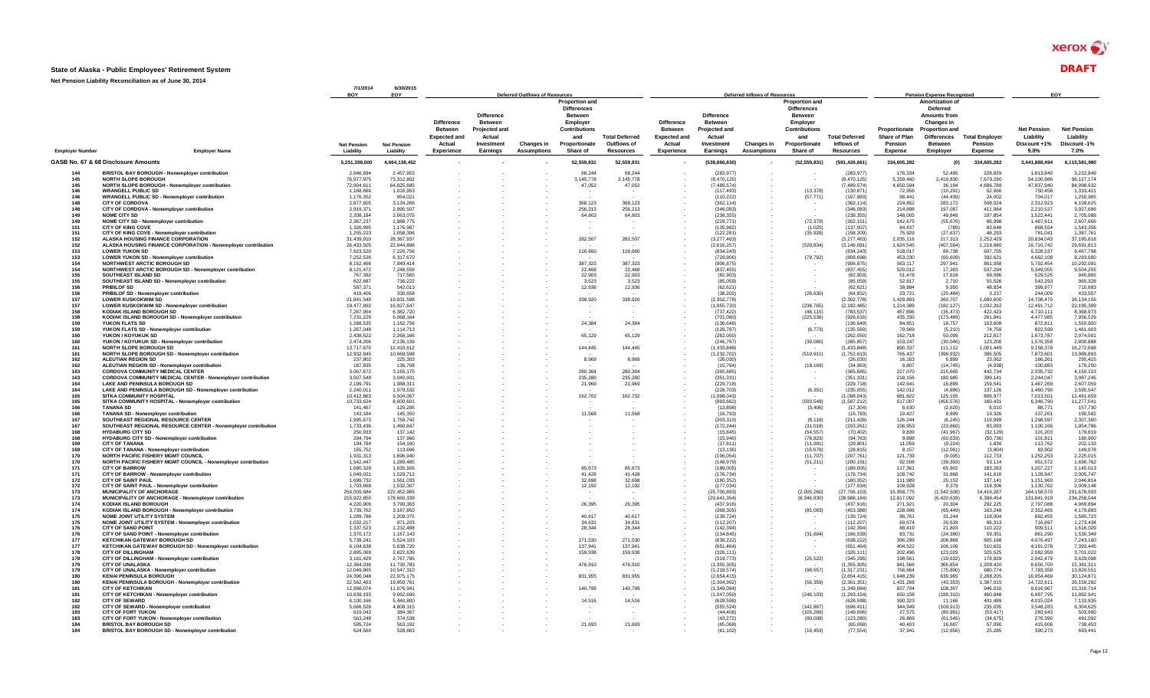#### **State of Alaska - Public Employees' Retirement System** DRAFT

|                        | Net Pension Liability Reconciliation as of June                                                     |                                 | 6/30/2015<br>EOY                | <b>Deferred Outflows of Resources</b>                      |                                                                       |                                  |                                                                                                   |                          |                                                            | <b>Deferred Inflows of Resources</b>                                  |                                         |                                                                                                   |                                |                                | <b>Pension Expense Recognized</b>                                                                        | EOY                   |                                 |                                 |
|------------------------|-----------------------------------------------------------------------------------------------------|---------------------------------|---------------------------------|------------------------------------------------------------|-----------------------------------------------------------------------|----------------------------------|---------------------------------------------------------------------------------------------------|--------------------------|------------------------------------------------------------|-----------------------------------------------------------------------|-----------------------------------------|---------------------------------------------------------------------------------------------------|--------------------------------|--------------------------------|----------------------------------------------------------------------------------------------------------|-----------------------|---------------------------------|---------------------------------|
|                        |                                                                                                     |                                 |                                 | <b>Difference</b><br><b>Between</b><br><b>Expected and</b> | <b>Difference</b><br><b>Between</b><br><b>Projected and</b><br>Actual |                                  | <b>Proportion and</b><br><b>Differences</b><br><b>Between</b><br>Employer<br>Contributions<br>and | <b>Total Deferred</b>    | <b>Difference</b><br><b>Between</b><br><b>Expected and</b> | <b>Difference</b><br><b>Between</b><br><b>Projected and</b><br>Actual |                                         | <b>Proportion and</b><br><b>Differences</b><br><b>Between</b><br>Employer<br>Contributions<br>and | <b>Total Deferred</b>          | Proportionate<br>Share of Plan | <b>Amortization of</b><br>Deferred<br>Amounts from<br>Changes in<br><b>Proportion and</b><br>Differences | <b>Total Employer</b> | <b>Net Pension</b><br>Liability | <b>Net Pension</b><br>Liability |
| <b>Employer Number</b> | <b>Employer Name</b>                                                                                | <b>Net Pension</b><br>Liability | <b>Net Pension</b><br>Liability | Actual<br>Experience                                       | Investment<br>Earnings                                                | Changes in<br><b>Assumptions</b> | Proportionate<br>Share of                                                                         | Outflows of<br>Resources | Actual<br>Experience                                       | Investment<br>Earnings                                                | <b>Changes in</b><br><b>Assumptions</b> | Proportionate<br>Share of                                                                         | Inflows of<br><b>Resources</b> | Pension<br>Expense             | <b>Between</b><br>Employer                                                                               | Pension<br>Expense    | Discount +1%<br>$9.0\%$         | Discount -1%<br>7.0%            |
|                        | GASB No. 67 & 68 Disclosure Amounts                                                                 | 5.251.398.000                   | 4,664,138,452                   |                                                            |                                                                       |                                  | 52.559.831                                                                                        | 52,559,831               |                                                            | (538, 866, 830)                                                       |                                         | (52, 559, 831)                                                                                    | (591, 426, 661)                | 334,605,282                    | (0)                                                                                                      | 334,605,282           | 3,441,888,494                   | 6,115,581,980                   |
| 144                    | <b>BRISTOL BAY BOROUGH - Nonemployer contribution</b>                                               | 2,646,694                       | 2,457,953                       |                                                            |                                                                       |                                  | 68,244                                                                                            | 68,244                   |                                                            | (283, 977)                                                            |                                         |                                                                                                   | (283, 977)                     | 176,334                        | 52,495                                                                                                   | 228,829               | 1,813,840                       | 3,222,849                       |
| 145                    | NORTH SLOPE BOROUGH                                                                                 | 76.977.975                      | 73.312.802                      |                                                            |                                                                       |                                  | 3.145.778                                                                                         | 3,145,778                |                                                            | (8.470.125)                                                           |                                         |                                                                                                   | (8.470.125)                    | 5.259.460                      | 2,419,830                                                                                                | 7,679,290             | 54.100.986                      | 96,127,174                      |
| 145<br>146             | NORTH SLOPE BOROUGH - Nonemployer contribution<br><b>WRANGELL PUBLIC SD</b>                         | 72.904.611<br>1.168.666         | 64.825.685<br>1.016.953         |                                                            |                                                                       |                                  | 47.052                                                                                            | 47.052                   |                                                            | (7.489.574)<br>(117, 493)                                             |                                         | (13, 378)                                                                                         | (7.489.574)<br>(130.871)       | 4.650.594<br>72,956            | 36.194<br>(10, 291)                                                                                      | 4.686.788<br>62,666   | 47.837.940<br>750.458           | 84.998.932<br>1,333,421         |
| 146                    | <b>WRANGELL PUBLIC SD - Nonemployer contribution</b>                                                | 1,176,352                       | 954,021                         |                                                            |                                                                       |                                  |                                                                                                   |                          |                                                            | (110, 222)                                                            |                                         | (57, 771)                                                                                         | (167, 993)                     | 68,441                         | (44, 439)                                                                                                | 24,002                | 704,017                         | 1,250,905                       |
| 148<br>148             | CITY OF CORDOVA<br>CITY OF CORDOVA - Nonemployer contribution                                       | 2.877.605<br>2,919,371          | 3.134.266<br>2.995.507          |                                                            |                                                                       |                                  | 368.123<br>256,213                                                                                | 368.123<br>256,213       |                                                            | (362.114)<br>(346,083)                                                |                                         |                                                                                                   | (362.114)<br>(346,083)         | 224.852<br>214,898             | 283.172<br>197,087                                                                                       | 508.024<br>411,984    | 2.312.923<br>2,210,527          | 4.109.625<br>3,927,686          |
| 149                    | NOME CITY SD                                                                                        | 2,208,184                       | 2,063,075                       |                                                            |                                                                       |                                  | 64,803                                                                                            | 64,803                   |                                                            | (238, 355)                                                            |                                         |                                                                                                   | (238, 355)                     | 148,005                        | 49,849                                                                                                   | 197,854               | 1,522,441                       | 2,705,088                       |
| 149                    | NOME CITY SD - Nonemployer contribution                                                             | 2.367.237                       | 1.988.775                       |                                                            |                                                                       |                                  |                                                                                                   |                          |                                                            | (229.771)                                                             |                                         | (72.379)                                                                                          | (302.151)                      | 142.675                        | (55, 676)                                                                                                | 86.998                | 1.467.611                       | 2.607.666                       |
| 151<br>151             | <b>CITY OF KING COVE</b><br>CITY OF KING COVE - Nonemployer contribution                            | 1.326.995<br>1,255,223          | 1.176.987<br>1,058,396          |                                                            |                                                                       |                                  |                                                                                                   |                          |                                                            | (135.982)<br>(122, 281)                                               |                                         | (1.025)<br>(35, 928)                                                                              | (137.007)<br>(158, 209)        | 84.437<br>75,929               | (789<br>(27, 637)                                                                                        | 83.648<br>48,293      | 868.554<br>781,041              | 1.543.256<br>1,387,761          |
| 152                    | ALASKA HOUSING FINANCE CORPORATION                                                                  | 31.439.910                      | 28.367.937                      |                                                            |                                                                       |                                  | 282,507                                                                                           | 282.507                  |                                                            | (3.277.463)                                                           |                                         |                                                                                                   | (3, 277, 463)                  | 2,035,116                      | 217.313                                                                                                  | 2.252.429             | 20,934,043                      | 37,195,818                      |
| 152<br>153             | ALASKA HOUSING FINANCE CORPORATION - Nonemployer contribution<br><b>LOWER YUKON SD</b>              | 26.433.505<br>7.923.520         | 22.644.898<br>7.220.756         |                                                            |                                                                       |                                  | 116,660                                                                                           | 116.660                  |                                                            | (2.616.257)<br>(834.243)                                              |                                         | (529, 834)                                                                                        | (3.146.091)<br>(834.243)       | 1.624.545<br>518 017           | (407.564)<br>89.738                                                                                      | 1.216.980<br>607.755  | 16.710.742<br>5 328 537         | 29.691.813<br>9 467 798         |
| 153                    | LOWER YUKON SD - Nonemployer contribution                                                           | 7,252,526                       | 6,317,670                       |                                                            |                                                                       |                                  |                                                                                                   |                          |                                                            | (729, 906)                                                            |                                         | (78, 792)                                                                                         | (808, 698)                     | 453,230                        | (60, 609)                                                                                                | 392,621               | 4,662,108                       | 8,283,680                       |
| 154                    | NORTHWEST ARCTIC BOROUGH SD                                                                         | 8.152.466                       | 7.849.414                       |                                                            |                                                                       |                                  | 387.323                                                                                           | 387,323                  |                                                            | (906.875)                                                             |                                         |                                                                                                   | (906.875)                      | 563,117                        | 297.941                                                                                                  | 861.058               | 5.792.454                       | 10.292.091                      |
| 154<br>155             | NORTHWEST ARCTIC BOROUGH SD - Nonemployer contribution<br>SOUTHEAST ISLAND SD                       | 8.121.472<br>767.392            | 7,248,559<br>717.565            |                                                            |                                                                       |                                  | 22,468<br>22,903                                                                                  | 22.468<br>22,903         |                                                            | (837.455)<br>(82.903)                                                 |                                         |                                                                                                   | (837, 455)<br>(82.903)         | 520.012<br>51,478              | 17,283<br>17,618                                                                                         | 537,294<br>69,096     | 5,349,055<br>529,525            | 9,504,255<br>940.865            |
| 155                    | SOUTHEAST ISLAND SD - Nonemployer contribution                                                      | 822.687                         | 736,222                         |                                                            |                                                                       |                                  | 3.523                                                                                             | 3.523                    |                                                            | (85.059)                                                              |                                         |                                                                                                   | (85.059)                       | 52.817                         | 2,710                                                                                                    | 55.526                | 543.293                         | 965.328                         |
| 156                    | PRIBILOF SD                                                                                         | 587,371<br>419.406              | 542,013<br>330.658              |                                                            |                                                                       |                                  | 12,936                                                                                            | 12,936                   |                                                            | (62, 621)<br>(38.202)                                                 |                                         |                                                                                                   | (62, 621)<br>(64.832)          | 38,884<br>23,721               | 9,950<br>(20.484)                                                                                        | 48,834<br>3,237       | 399,977<br>244.009              | 710,683<br>433.557              |
| 156<br>157             | PRIBILOF SD - Nonemployer contribution<br><b>LOWER KUSKOKWIM SD</b>                                 | 21.841.549                      | 19.931.598                      |                                                            |                                                                       |                                  | 338,920                                                                                           | 338,920                  |                                                            | (2,302,778)                                                           |                                         | (26, 630)                                                                                         | (2.302.778)                    | 1.429.893                      | 260.707                                                                                                  | 1.690.600             | 14.708.470                      | 26.134.156                      |
| 157                    | LOWER KUSKOKWIM SD - Nonemployer contribution                                                       | 19.477.892                      | 16.927.647                      |                                                            |                                                                       |                                  |                                                                                                   |                          |                                                            | (1.955.720)                                                           |                                         | (236, 765)                                                                                        | (2.192.485)                    | 1,214,389                      | (182, 127)                                                                                               | 1,032,262             | 12,491,712                      | 22,195,399                      |
| 158<br>158             | KODIAK ISLAND BOROUGH SD<br>KODIAK ISLAND BOROUGH SD - Nonemplover contribution                     | 7,267,954<br>7.231.229          | 6,382,720<br>6.068.164          |                                                            |                                                                       |                                  |                                                                                                   |                          |                                                            | (737.422)<br>(701.080)                                                |                                         | (46.115)<br>(225, 536)                                                                            | (783, 537)<br>(926.616)        | 457,896<br>435.330             | (35, 473)<br>(173.489)                                                                                   | 422,423<br>261.841    | 4,710,111<br>4.477.985          | 8,368,973<br>7.956.529          |
| 159                    | YUKON FLATS SD                                                                                      | 1.288.535                       | 1.182.756                       |                                                            |                                                                       |                                  | 24,384                                                                                            | 24,384                   |                                                            | (136, 649)                                                            |                                         |                                                                                                   | (136.649)                      | 84.851                         | 18,757                                                                                                   | 103,608               | 872,811                         | 1.550.820                       |
| 159<br>160             | YUKON FLATS SD - Nonemployer contribution<br>YUKON / KOYUKUK SD                                     | 1,267,049<br>2,438,522          | 1,114,713<br>2,268,166          |                                                            |                                                                       |                                  | 65,129                                                                                            | 65,129                   |                                                            | (128.787)<br>(262,050)                                                |                                         | (6, 773)                                                                                          | (135.560)<br>(262,050)         | 79,969<br>162,718              | (5, 210)<br>50,099                                                                                       | 74.759<br>212,817     | 822.599<br>1,673,787            | 1,461,603<br>2,974,001          |
| 160                    | YUKON / KOYUKUK SD - Nonemployer contribution                                                       | 2.474.206                       | 2.136.139                       |                                                            |                                                                       |                                  |                                                                                                   |                          |                                                            | (246.797)                                                             |                                         | (39,060)                                                                                          | (285.857)                      | 153.247                        | (30.046)                                                                                                 | 123,200               | 1.576.358                       | 2.800.888                       |
| 161                    | NORTH SLOPE BOROUGH SD                                                                              | 13.717.670                      | 12.410.612                      |                                                            |                                                                       |                                  | 144.445                                                                                           | 144.445                  |                                                            | (1.433.848)                                                           |                                         |                                                                                                   | (1.433.848)                    | 890.337                        | 111.112                                                                                                  | 1.001.449             | 9.158.378                       | 16.272.698                      |
| 161<br>162             | NORTH SLOPE BOROUGH SD - Nonemployer contribution<br><b>ALEUTIAN REGION SD</b>                      | 12.932.845<br>237.802           | 10.669.598<br>225.303           |                                                            |                                                                       |                                  | 8,969                                                                                             | 8.969                    |                                                            | (1, 232, 702)<br>(26.030)                                             |                                         | (519, 911)                                                                                        | (1,752,613)<br>(26.030)        | 765,437<br>16.163              | (399, 932)<br>6.899                                                                                      | 365,505<br>23.062     | 7,873,601<br>166.261            | 13,989,893<br>295.415           |
| 162                    | ALEUTIAN REGION SD - Nonemployer contribution                                                       | 187835                          | 136.708                         |                                                            |                                                                       |                                  |                                                                                                   |                          |                                                            | (15.794)                                                              |                                         | (19, 169)                                                                                         | (34.963)                       | 9.807                          | (14.745)                                                                                                 | (4.938)               | 100 883                         | 179,250                         |
| 163                    | <b>CORDOVA COMMUNITY MEDICAL CENTER</b>                                                             | 3,067,672                       | 3,165,175                       |                                                            |                                                                       |                                  | 280,364                                                                                           | 280,364                  |                                                            | (365, 685)                                                            |                                         |                                                                                                   | (365, 685)                     | 227,070                        | 215,665                                                                                                  | 442,734               | 2,335,732                       | 4,150,153                       |
| 163<br>164             | CORDOVA COMMUNITY MEDICAL CENTER - Nonemployer contribution<br><b>LAKE AND PENINSULA BOROUGH SD</b> | 3.007.549<br>2.199.791          | 3,040,931<br>1.988.311          |                                                            |                                                                       |                                  | 235,280<br>21.969                                                                                 | 235,280<br>21.969        |                                                            | (351.331)<br>(229.718)                                                |                                         |                                                                                                   | (351.331)<br>(229.718)         | 218,156<br>142.641             | 180,985<br>16.899                                                                                        | 399,141<br>159.541    | 2.244.047<br>1.467.269          | 3.987.245<br>2.607.059          |
| 164                    | LAKE AND PENINSULA BOROUGH SD - Nonemployer contribution                                            | 2.240.011                       | 1.979.532                       |                                                            |                                                                       |                                  |                                                                                                   |                          |                                                            | (228.703)                                                             |                                         | (6, 351)                                                                                          | (235.055)                      | 142.012                        | (4.886)                                                                                                  | 137.126               | 1.460.790                       | 2.595.547                       |
| 165<br>165             | <b>SITKA COMMUNITY HOSPITAL</b><br>SITKA COMMUNITY HOSPITAL - Nonemployer contribution              | 10,412,863<br>10.733.624        | 9.504.067<br>8,600,601          |                                                            |                                                                       |                                  | 162,702                                                                                           | 162,702                  |                                                            | (1,098,043)<br>(993, 662)                                             |                                         | (593, 549)                                                                                        | (1,098,043)<br>(1,587,212)     | 681.822<br>617,007             | 125,155<br>(456, 576)                                                                                    | 806,977<br>160.431    | 7.013.501<br>6.346.790          | 12,461,659<br>11,277,041        |
| 166                    | <b>TANANA SD</b>                                                                                    | 141.467                         | 120,295                         |                                                            |                                                                       |                                  |                                                                                                   |                          |                                                            | (13.898)                                                              |                                         | (3, 406)                                                                                          | (17.304)                       | 8,630                          | (2,620)                                                                                                  | 6.010                 | 88,771                          | 157,730                         |
| 166                    | <b>TANANA SD - Nonemplover contribution</b>                                                         | 143.184                         | 145.350                         |                                                            |                                                                       |                                  | 11.568                                                                                            | 11.568                   |                                                            | (16.793)                                                              |                                         |                                                                                                   | (16.793)                       | 10.427                         | 8.899                                                                                                    | 19.326                | 107.261                         | 190.582                         |
| 167<br>167             | SOUTHEAST REGIONAL RESOURCE CENTER<br>SOUTHEAST REGIONAL RESOURCE CENTER - Nonemployer contribution | 1,995,673<br>1,733,436          | 1,759,742<br>1,490,847          |                                                            |                                                                       |                                  |                                                                                                   |                          |                                                            | (203, 310)<br>(172, 244)                                              |                                         | (8, 118)<br>(31, 018)                                                                             | (211, 428)<br>(203, 261)       | 126,244<br>106,953             | (6, 245)<br>(23, 860)                                                                                    | 119,999<br>83,093     | 1,298,597<br>1,100,166          | 2,307,360<br>1,954,786          |
| 168                    | <b>HYDABURG CITY SD</b>                                                                             | 250.933                         | 137.142                         |                                                            |                                                                       |                                  |                                                                                                   |                          |                                                            | (15.845)                                                              |                                         | (54.557)                                                                                          | (70.402)                       | 9.839                          | (41.967)                                                                                                 | (32.129)              | 101.203                         | 179.819                         |
| 168                    | HYDABURG CITY SD - Nonemployer contribution<br><b>CITY OF TANANA</b>                                | 294.794<br>194.784              | 137,966<br>154.160              |                                                            |                                                                       |                                  |                                                                                                   |                          |                                                            | (15.940)<br>(17.811)                                                  |                                         | (78.823)<br>(11.991)                                                                              | (94.763)<br>(29.801)           | 9.898<br>11.059                | (60, 633)<br>(9.224)                                                                                     | (50.736)<br>1.836     | 101.811<br>113,762              | 180,900<br>202.133              |
| 169<br>169             | CITY OF TANANA - Nonemployer contribution                                                           | 155,752                         | 113,696                         |                                                            |                                                                       |                                  |                                                                                                   |                          |                                                            | (13, 136)                                                             |                                         | (15, 679)                                                                                         | (28, 815)                      | 8,157                          | (12,061)                                                                                                 | (3,904)               | 83,902                          | 149,078                         |
| 170                    | NORTH PACIFIC FISHERY MGMT COUNCIL                                                                  | 1.931.313                       | 1.696.940                       |                                                            |                                                                       |                                  |                                                                                                   |                          |                                                            | (196.054)                                                             |                                         | (11.707)                                                                                          | (207.761)                      | 121.739                        | (9.005)                                                                                                  | 112,733               | 1.252.253                       | 2,225,015                       |
| 170<br>171             | NORTH PACIFIC FISHERY MGMT COUNCIL - Nonemployer contribution<br><b>CITY OF BARROW</b>              | 1.542.447<br>1,690,329          | 1.289.485<br>1,635,926          |                                                            |                                                                       |                                  | 85,673                                                                                            | 85,673                   |                                                            | (148.979)<br>(189.005)                                                |                                         | (51, 211)                                                                                         | (200.191)<br>(189.005)         | 92.508<br>117,361              | (39.393)<br>65,902                                                                                       | 53.114<br>183,263     | 951.572<br>1,207,227            | 1.690.762<br>2,145,013          |
| 171                    | CITY OF BARROW - Nonemployer contribution                                                           | 1,649,021                       | 1,529,712                       |                                                            |                                                                       |                                  | 41,428                                                                                            | 41,428                   |                                                            | (176, 734)                                                            |                                         |                                                                                                   | (176, 734)                     | 109,742                        | 31,868                                                                                                   | 141,610               | 1,128,847                       | 2,005,747                       |
| 172<br>172             | <b>CITY OF SAINT PAUL</b><br>CITY OF SAINT PAUL - Nonemplover contribution                          | 1.699.732<br>1,703,668          | 1.561.033<br>1.532.307          |                                                            |                                                                       |                                  | 32.698<br>12.192                                                                                  | 32.698<br>12,192         |                                                            | (180.352)<br>(177.034)                                                |                                         |                                                                                                   | (180.352)<br>(177.034)         | 111.989<br>109,928             | 25,152<br>9.379                                                                                          | 137.141<br>119,306    | 1.151.960<br>1.130.762          | 2.046.814<br>2,009,148          |
| 173                    | MUNICIPALITY OF ANCHORAGE                                                                           | 254,009,684                     | 222,452,965                     |                                                            |                                                                       |                                  |                                                                                                   |                          |                                                            | (25,700,893)                                                          |                                         | (2,005,260)                                                                                       | (27,706,153)                   | 15,958,775                     | (1,542,508)                                                                                              | 14,416,267            | 164, 158, 570                   | 291,678,593                     |
| 173                    | MUNICIPALITY OF ANCHORAGE - Nonemployer contribution                                                | 215,922,850                     | 178.660.339<br>3.790.363        |                                                            |                                                                       |                                  |                                                                                                   |                          |                                                            | (20, 641, 354)                                                        |                                         | (8,346,830)                                                                                       | (28,988,184)                   | 12,817,092                     | (6,420,639)                                                                                              | 6,396,454             | 131,841,919                     | 234,258,044                     |
| 174<br>174             | <b>KODIAK ISLAND BOROUGH</b><br>KODIAK ISLAND BOROUGH - Nonemployer contribution                    | 4.220.906<br>3,739,762          | 3,187,850                       |                                                            |                                                                       |                                  | 26,395                                                                                            | 26.395                   |                                                            | (437.916)<br>(368, 305)                                               |                                         | (85,083)                                                                                          | (437.916)<br>(453, 388)        | 271.921<br>228,696             | 20.304<br>(65, 449)                                                                                      | 292,225<br>163,248    | 2.797.088<br>2,352,465          | 4.969.894<br>4,179,883          |
| 175                    | NOME JOINT UTILITY SYSTEM                                                                           | 1,289,786                       | 1,209,375                       |                                                            |                                                                       |                                  | 40.617                                                                                            | 40.617                   |                                                            | (139, 724)                                                            |                                         |                                                                                                   | (139, 724)                     | 86,761                         | 31,244                                                                                                   | 118.004               | 892.455                         | 1.585.723                       |
| 175<br>176             | NOME JOINT UTILITY SYSTEM - Nonemployer contribution<br><b>CITY OF SAND POINT</b>                   | 1.032.217<br>1.337,523          | 971.203<br>1.232.488            |                                                            |                                                                       |                                  | 34.631<br>28,344                                                                                  | 34.631<br>28,344         |                                                            | (112.207)<br>(142.394)                                                |                                         |                                                                                                   | (112.207)<br>(142.394)         | 69.674<br>88.419               | 26.639<br>21.803                                                                                         | 96.313<br>110,222     | 716.697<br>909.511              | 1.273.434<br>1.616.029          |
| 176                    | CITY OF SAND POINT - Nonemployer contribution                                                       | 1.370.172                       | 1.167.143                       |                                                            |                                                                       |                                  |                                                                                                   |                          |                                                            | (134, 845)                                                            |                                         | (31, 694)                                                                                         | (166, 539)                     | 83,731                         | (24, 380)                                                                                                | 59.351                | 861,290                         | 1.530.349                       |
| 177                    | <b>KETCHIKAN GATEWAY BOROUGH SD</b>                                                                 | 5.739.241                       | 5.524.103                       |                                                            |                                                                       |                                  | 271.530                                                                                           | 271,530                  |                                                            | (638.222)                                                             |                                         |                                                                                                   | (638, 222)                     | 396,299                        | 208.869                                                                                                  | 605.168               | 4.076.497                       | 7.243.160                       |
| 177<br>178             | KETCHIKAN GATEWAY BOROUGH SD - Nonemployer contribution<br><b>CITY OF DILLINGHAM</b>                | 6,104,638<br>2.895.069          | 5,638,720<br>2.822.639          |                                                            |                                                                       |                                  | 137,941<br>159,938                                                                                | 137.941<br>159,938       |                                                            | (651.464)<br>(326.111)                                                |                                         |                                                                                                   | (651.464)<br>(326.111)         | 404,522<br>202,496             | 106,109<br>123.029                                                                                       | 510,631<br>325.525    | 4,161,078<br>2.082.959          | 7,393,445<br>3.701.022          |
| 178                    | CITY OF DILLINGHAM - Nonemployer contribution                                                       | 3,161,429                       | 2,767,785                       |                                                            |                                                                       |                                  |                                                                                                   |                          |                                                            | (319, 773)                                                            |                                         | (25, 522)                                                                                         | (345, 295)                     | 198,561                        | (19, 632)                                                                                                | 178,929               | 2,042,479                       | 3,629,098                       |
| 179<br>179             | <b>CITY OF UNALASKA</b><br>CITY OF UNALASKA - Nonemployer contribution                              | 12.364.036<br>12,049,865        | 11.730.783<br>10,547,310        |                                                            |                                                                       |                                  | 476,910                                                                                           | 476,910                  |                                                            | (1.355.305)<br>(1, 218, 574)                                          |                                         | (98, 657)                                                                                         | (1, 355, 305)<br>(1,317,231)   | 841,566<br>756,664             | 366,854<br>(75, 890)                                                                                     | 1.208.420<br>680,774  | 8.656.700<br>7,783,359          | 15,381,311<br>13,829,551        |
| 180                    | <b>KENAI PENINSULA BOROUGH</b>                                                                      | 24.396.048                      | 22,975,175                      |                                                            |                                                                       |                                  | 831,955                                                                                           | 831,955                  |                                                            | (2.654.415)                                                           |                                         |                                                                                                   | (2.654.415)                    | 1.648.239                      | 639.965                                                                                                  | 2.288.205             | 16.954.469                      | 30.124.871                      |
| 180                    | KENAI PENINSULA BOROUGH - Nonemployer contribution                                                  | 22.562.463                      | 19.950.761                      |                                                            |                                                                       |                                  |                                                                                                   |                          |                                                            | (2,304,992)                                                           |                                         | (56, 359)                                                                                         | (2,361,351)                    | 1,431,268                      | (43, 353)                                                                                                | 1,387,915             | 14,722,611                      | 26,159,282                      |
| 181<br>181             | <b>CITY OF KETCHIKAN</b><br>CITY OF KETCHIKAN - Nonemployer contribution                            | 12,898,074<br>10.639.193        | 11,676,941<br>9.062.699         |                                                            |                                                                       |                                  | 140,799                                                                                           | 140,799                  |                                                            | (1,349,084)<br>(1.047.050)                                            |                                         | (246, 103)                                                                                        | (1,349,084)<br>(1, 293, 154)   | 837,704<br>650.158             | 108,307<br>(189.310)                                                                                     | 946,010<br>460,848    | 8,616,967<br>6.687.795          | 15,310,714<br>11.882.941        |
| 182                    | <b>CITY OF SEWARD</b>                                                                               | 6.100.166                       | 5,440,800                       |                                                            |                                                                       |                                  | 14,516                                                                                            | 14,516                   |                                                            | (628.598)                                                             |                                         |                                                                                                   | (628, 598)                     | 390.323                        | 11.166                                                                                                   | 401.489               | 4,015,024                       | 7,133,935                       |
| 182<br>183             | CITY OF SEWARD - Nonemployer contribution<br><b>CITY OF FORT YUKON</b>                              | 5.666.528<br>619,043            | 4.808.315<br>384.367            |                                                            |                                                                       |                                  |                                                                                                   |                          |                                                            | (555.524)<br>(44.408)                                                 |                                         | (142, 887)<br>(105, 289)                                                                          | (698.411)<br>(149, 696)        | 344,949<br>27,575              | (109, 913)<br>(80, 991)                                                                                  | 235.035<br>(53, 417)  | 3.548.283<br>283,643            | 6,304,625<br>503,980            |
| 183                    | CITY OF FORT YUKON - Nonemployer contribution                                                       | 563.249                         | 374.538                         |                                                            |                                                                       |                                  |                                                                                                   |                          |                                                            | (43.272)                                                              |                                         | (80,008)                                                                                          | (123.280)                      | 26.869                         | (61.545)                                                                                                 | (34.675)              | 276.390                         | 491.092                         |
| 184                    | <b>BRISTOL BAY BOROUGH SD</b>                                                                       | 595.724                         | 563.192                         |                                                            |                                                                       |                                  | 21.693                                                                                            | 21.693                   |                                                            | (65.068)                                                              |                                         |                                                                                                   | (65.068)                       | 40.403                         | 16.687                                                                                                   | 57.090                | 415.606                         | 738.453                         |
| 184                    | BRISTOL BAY BOROUGH SD - Nonemployer contribution                                                   | 624,560                         | 528.863                         |                                                            |                                                                       |                                  |                                                                                                   |                          |                                                            | (61.102)                                                              |                                         | (16, 453)                                                                                         | (77, 554)                      | 37,941                         | (12, 656)                                                                                                | 25,285                | 390.273                         | 693,441                         |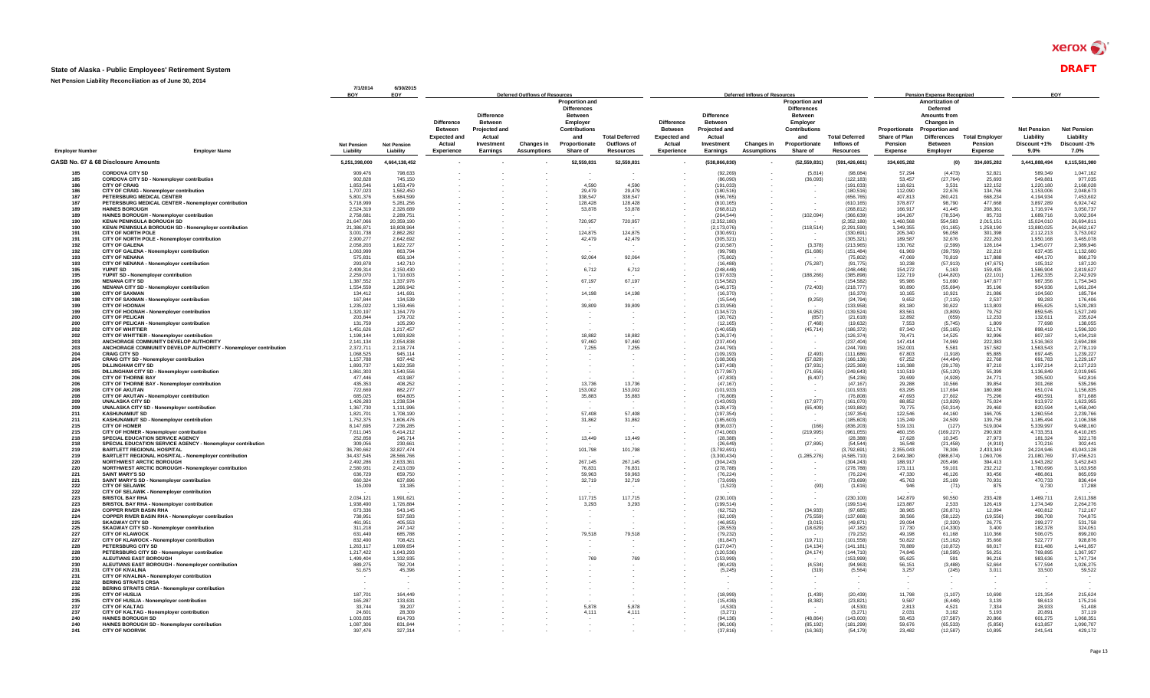### $xerox \n\bullet$

#### **State of Alaska - Public Employees' Retirement System** DRAFT

**7/1/2014 6/30/2015 BOY EOY Employer Number Employer Name Net Pension Liability Net Pension Liability Difference Between Expected and Actual Experience Difference Between Projected and Actual Investment Earnings Changes in Assumptions Proportion and Differences Between Employer Contributions and Proportionate Share of Total Deferred Outflows of Resources Difference Between Expected and Actual Experience Difference Between Projected and Actual Investment Earnings Changes in Assumptions Proportion and Differences Between Employer Contributions and Proportionate Share of Total Deferred Inflows of Resources Proportionate Share of Plan Pension Expense Amortization of Deferred Amounts from Changes in Proportion and Differences Between Employer Total Employe Pension Expense Net Pension Liability Discount +1% 9.0% Net Pension Liability Discount -1% 7.0% GASB No. 67 & 68 Disclosure Amounts 5,251,398,000 4,664,138,452 - - - 52,559,831 52,559,831 - (538,866,830) - (52,559,831) (591,426,661) 334,605,282 (0) 334,605,282 3,441,888,494 6,115,581,980 Deferred Outflows of Resources Deferred Inflows of Resources Pension Expense Recognized EOY 185 CORDOVA CITY SD** 909,476 798,633 - - - - - - (92,269) - (5,814) (98,084) 57,294 (4,473) 52,821 589,349 1,047,162 **185 CORDOVA CITY SD - Nonemployer contribution** 902,828 745,150 - - - - - - (86,090) - (36,093) (122,183) 53,457 (27,764) 25,693 549,881 977,035 **186 CITY OF CRAIG** 1,853,546 1,653,479 - - - 4,590 4,590 - (191,033) - - (191,033) 118,621 3,531 122,152 1,220,180 2,168,028 **186 CITY OF CRAIG - Nonemployer contribution** 1,707,023 1,562,450 - - - 29,479 29,479 - (180,516) - - (180,516) 112,090 22,676 134,766 1,153,006 2,048,673 **187 PETERSBURG MEDICAL CENTER** 5,801,376 5,684,599 - - - 338,547 338,547 - (656,765) - - (656,765) 407,813 260,421 668,234 4,194,934 7,453,602 **187 PETERSBURG MEDICAL CENTER - Nonemployer contribution** 5,718,999 5,281,256 - - - 128,428 128,428 - (610,165) - - (610,165) 378,877 98,790 477,668 3,897,289 6,924,742 **189 HAINES BOROUGH** 2,524,319 2,326,689 - - - 53,878 53,878 - (268,812) - - (268,812) 166,917 41,445 208,361 1,716,974 3,050,737 **189 HAINES BOROUGH - Nonemployer contribution** 2,758,681 2,289,751 - - - - - - (264,544) - (102,094) (366,639) 164,267 (78,534) 85,733 1,689,716 3,002,304 **190 KENAI PENINSULA BOROUGH SD** 21,647,066 20,359,190 - - - 720,957 720,957 - (2,352,180) - - (2,352,180) 1,460,568 554,583 2,015,151 15,024,010 26,694,811 **190 KENAI PENINSULA BOROUGH SD - Nonemployer contribution** 21,386,871 18,808,964 - - - - - - (2,173,076) - (118,514) (2,291,590) 1,349,355 (91,165) 1,258,190 13,880,025 24,662,167 **191 CITY OF NORTH POLE** 3,001,738 2,862,282 - - - 124,875 124,875 - (330,691) - - (330,691) 205,340 96,058 301,398 2,112,213 3,753,002 1**91 CITY OF NORTH POLE - North POLE AND A SUBSOUT 2,000,277 2,42,479 42,479 42,479 42,479 42,479 42,479 42,479 42,479 42,479 42,479 42,479 42,479 42,479 42,479 42,479 42,479 42,587 1,39,587 1,39,587 1,89,588 1,89,9,968 1 192 CITY OF GALENA** 2,058,203 1,822,727 - - - - - - (210,587) - (3,378) (213,965) 130,762 (2,599) 128,164 1,345,077 2,389,946 **192 CITY OF GALENA - Nonemployer contribution** 1,063,999 863,794 - - - - - - (99,798) - (51,686) (151,484) 61,969 (39,759) 22,210 637,435 1,132,600 **193 CITY OF NENANA** 575,831 656,104 - - - 92,064 92,064 - (75,802) - - (75,802) 47,069 70,819 117,888 484,170 860,279 **193 CITY OF NENANA - Nonemployer contribution** 293,878 142,710 - - - - - - (16,488) - (75,287) (91,775) 10,238 (57,913) (47,675) 105,312 187,120 **195 YUPIIT SD** 2,409,314 2,150,430 - - - 6,712 6,712 - (248,448) - - (248,448) 154,272 5,163 159,435 1,586,904 2,819,627 **195 YUPIIT SD - Nonemployer contribution** 2,259,070 1,710,603 - - - - - - (197,633) - (188,266) (385,898) 122,719 (144,820) (22,101) 1,262,335 2,242,929 **196 NENANA CITY SD** 1,387,552 1,337,976 - - - 67,197 67,197 - (154,582) - - (154,582) 95,986 51,690 147,677 987,356 1,754,343 **196 NENANA CITY SD - Nonemployer contribution** 1,554,559 1,266,942 - - - - - - (146,375) - (72,403) (218,777) 90,890 (55,694) 35,196 934,936 1,661,204 **198 CITY OF SAXMAN** 134,412 141,691 - - - 14,198 14,198 - (16,370) - - (16,370) 10,165 10,921 21,086 104,560 185,784 **198 CITY OF SAXMAN - Nonemployer contribution** 167,844 134,539 - - - - - - (15,544) - (9,250) (24,794) 9,652 (7,115) 2,537 99,283 176,406 **199 CITY OF HOONAH** 1,235,022 1,159,466 - - - 39,809 39,809 - (133,958) - - (133,958) 83,180 30,622 113,803 855,625 1,520,283 **199 CITY OF HOONAH - Nonemployer contribution** 1,320,197 1,164,779 - - - - - - (134,572) - (4,952) (139,524) 83,561 (3,809) 79,752 859,545 1,527,249 **200 CITY OF PELICAN** 203,844 179,702 - - - - - - (20,762) - (857) (21,618) 12,892 (659) 12,233 132,611 235,624 **200 CITY OF PELICAN - Nonemployer contribution** 131,759 105,290 - - - - - - (12,165) - (7,468) (19,632) 7,553 (5,745) 1,809 77,698 138,055 **202 CITY OF WHITTIER** 1,451,626 1,217,457 - - - - - - (140,658) - (45,714) (186,372) 87,340 (35,165) 52,176 898,419 1,596,320 **202 CITY OF WHITTIER - Nonemployer contribution** 1,198,144 1,093,828 - - - 18,882 18,882 - (126,374) - - (126,374) 78,471 14,525 92,996 807,187 1,434,218 **203 ANCHORAGE COMMUNITY DEVELOP AUTHORITY** 2,141,134 2,054,838 - - - 97,460 97,460 - (237,404) - - (237,404) 147,414 74,969 222,383 1,516,363 2,694,288 **203 ANCHORAGE COMMUNITY DEVELOP AUTHORITY - Nonemployer contribution** 2,372,711 2,118,774 - - - 7,255 7,255 - (244,790) - - (244,790) 152,001 5,581 157,582 1,563,543 2,778,119 **204 CRAIG CITY SD** 1,068,525 945,114 - - - - - - (109,193) - (2,493) (111,686) 67,803 (1,918) 65,885 697,445 1,239,227 **204 CRAIG CITY SD - Nonemployer contribution** 1,157,788 937,442 - - - - - - (108,306) - (57,829) (166,136) 67,252 (44,484) 22,768 691,783 1,229,167 **205 DILLINGHAM CITY SD** 1,893,737 1,622,358 - - - - - - (187,438) - (37,931) (225,369) 116,388 (29,178) 87,210 1,197,214 2,127,223 **205 DILLINGHAM CITY SD - Nonemployer contribution** 1,861,303 1,540,556 - - - - - - (177,987) - (71,656) (249,643) 110,519 (55,120) 55,399 1,136,849 2,019,965 **206 CITY OF THORNE BAY** 477,446 413,987 - - - - - - (47,830) - (6,407) (54,236) 29,699 (4,928) 24,771 305,500 542,816 **206 CITY OF THORNE BAY - Nonemployer contribution** 435,353 408,252 - - - 13,736 13,736 - (47,167) - - (47,167) 29,288 10,566 39,854 301,268 535,296 **208 CITY OF AKUTAN** 722,669 882,277 - - - 153,002 153,002 - (101,933) - - (101,933) 63,295 117,694 180,988 651,074 1,156,835 **208 CITY OF AKUTAN - Nonemployer contribution** 685,025 664,805 - - - 35,883 35,883 - (76,808) - - (76,808) 47,693 27,602 75,296 490,591 871,688 **209 UNALASKA CITY SD** 1,426,283 1,238,534 - - - - - - (143,093) - (17,977) (161,070) 88,852 (13,829) 75,024 913,972 1,623,955 **209 UNALASKA CITY SD - Nonemployer contribution** 1,367,730 1,111,996 - - - - - - (128,473) - (65,409) (193,882) 79,775 (50,314) 29,460 820,594 1,458,040 **211 KASHUNAMIUT SD** 1,821,701 1,708,190 - - - 57,408 57,408 - (197,354) - - (197,354) 122,546 44,160 166,705 1,260,554 2,239,766 **211 KASHUNAMIUT SD - Nonemployer contribution** 1,752,375 1,606,476 - - - 31,862 31,862 - (185,603) - - (185,603) 115,249 24,509 139,758 1,185,494 2,106,398 **215 CITY OF HOMER** 8,147,695 7,236,285 - - - - - - (836,037) - (166) (836,203) 519,131 (127) 519,004 5,339,997 9,488,160 **215 CITY OF HOMER - Nonemployer contribution** 7,611,045 6,414,212 - - - - - - (741,060) - (219,995) (961,055) 460,156 (169,227) 290,928 4,733,351 8,410,265 **218 SPECIAL EDUCATION SERVICE AGENCY** 252,858 245,714 - - - 13,449 13,449 - (28,388) - - (28,388) 17,628 10,345 27,973 181,324 322,178 **218 SPECIAL EDUCATION SERVICE AGENCY - Nonemployer contribution** 309,056 230,661 - - - - - - (26,649) - (27,895) (54,544) 16,548 (21,458) (4,910) 170,216 302,441 **219 BARTLETT REGIONAL HOSPITAL** 36,780,662 32,827,474 - - - 101,798 101,798 - (3,792,691) - - (3,792,691) 2,355,043 78,306 2,433,349 24,224,946 43,043,128 **219 BARTLETT REGIONAL HOSPITAL - Nonemployer contribution** 34,437,545 28,566,766 - - - - - - (3,300,434) - (1,285,276) (4,585,710) 2,049,380 (988,674) 1,060,706 21,080,769 37,456,521 **220 NORTHWEST ARCTIC BOROUGH** 2,492,286 2,633,361 - - - 267,145 267,145 - (304,243) - - (304,243) 188,917 205,496 394,413 1,943,282 3,452,843 **220 NORTHWEST ARCTIC BOROUGH - Nonemployer contribution** 2,580,931 2,413,039 - - - 76,831 76,831 - (278,788) - - (278,788) 173,111 59,101 232,212 1,780,696 3,163,958 **221 SAINT MARY'S SD** 636,729 659,750 - - - 59,963 59,963 - (76,224) - - (76,224) 47,330 46,126 93,456 486,861 865,059 **221 SAINT MARY'S SD - Nonemployer contribution** 660,324 637,896 - - - 32,719 32,719 - (73,699) - - (73,699) 45,763 25,169 70,931 470,733 836,404 **222 CITY OF SELAWIK** 15,009 13,185 - - - - - - (1,523) - (93) (1,616) 946 (71) 875 9,730 17,288 **222 CITY OF SELAWIK - Nonemployer contribution** - - - - - - - - - - - - - - - - - **223 BRISTOL BAY RHA** 2,034,121 1,991,621 - - - 117,715 117,715 - (230,100) - - (230,100) 142,879 90,550 233,428 1,469,711 2,611,398 **223 BRISTOL BAY RHA - Nonemployer contribution** 1,938,490 1,726,884 - - - 3,293 3,293 - (199,514) - - (199,514) 123,887 2,533 126,419 1,274,349 2,264,276 **224 COPPER RIVER BASIN RHA** 673,336 543,145 - - - - - - (62,752) - (34,933) (97,685) 38,965 (26,871) 12,094 400,812 712,167 **224 COPPER RIVER BASIN RHA - Nonemployer contribution** 738,951 537,583 - - - - - - (62,109) - (75,559) (137,668) 38,566 (58,122) (19,556) 396,708 704,875 **225 SKAGWAY CITY SD** 461,951 405,553 - - - - - - (46,855) - (3,015) (49,871) 29,094 (2,320) 26,775 299,277 531,758 **225 SKAGWAY CITY SD - Nonemployer contribution** 311,218 247,142 - - - - - - (28,553) - (18,629) (47,182) 17,730 (14,330) 3,400 182,378 324,051 **227 CITY OF KLAWOCK** 631,449 685,788 - - - 79,518 79,518 - (79,232) - - (79,232) 49,198 61,168 110,366 506,075 899,200 **227 CITY OF KLAWOCK - Nonemployer contribution** 832,490 708,421 - - - - - - (81,847) - (19,711) (101,558) 50,822 (15,162) 35,660 522,777 928,876 **228 PETERSBURG CITY SD** 1,263,117 1,099,654 - - - - - - (127,047) - (14,134) (141,181) 78,889 (10,872) 68,017 811,486 1,441,857 **228 PETERSBURG CITY SD - Nonemployer contribution** 1,217,422 1,043,293 - - - - - - (120,536) - (24,174) (144,710) 74,846 (18,595) 56,251 769,895 1,367,957 **230 ALEUTIANS EAST BOROUGH** 1,499,404 1,332,935 - - - 769 769 - (153,999) - - (153,999) 95,625 591 96,216 983,636 1,747,734 **230 ALEUTIANS EAST BOROUGH - Nonemployer contribution** 889,275 782,704 - - - - - - (90,429) - (4,534) (94,963) 56,151 (3,488) 52,664 577,594 1,026,275 **231 CITY OF KIVALINA** 51,675 45,396 - - - - - - (5,245) - (319) (5,564) 3,257 (245) 3,011 33,500 59,522 **231 CITY OF KIVALINA - Nonemployer contribution** - - - - - - - - - - - - - - - - - **232 BERING STRAITS CRSA** - - - - - - - - - - - - - - - - - **232 BERING STRAITS CRSA - Nonemployer contribution** - - - - - - - - - - - - - - - - - **235 CITY OF HUSLIA** 187,701 164,449 - - - - - - (18,999) - (1,439) (20,439) 11,798 (1,107) 10,690 121,354 215,624 **235 CITY OF HUSLIA - Nonemployer contribution** 165,287 133,631 - - - - - - (15,439) - (8,382) (23,821) 9,587 (6,448) 3,139 98,613 175,216 **237 CITY OF KALTAG** 33,744 39,207 - - - 5,878 5,878 - (4,530) - - (4,530) 2,813 4,521 7,334 28,933 51,408 **237 CITY OF KALTAG - Nonemployer contribution** 24,601 28,309 - - - 4,111 4,111 - (3,271) - - (3,271) 2,031 3,162 5,193 20,891 37,119 **240 HAINES BOROUGH SD** 1,003,835 814,793 - - - - - - (94,136) - (48,864) (143,000) 58,453 (37,587) 20,866 601,275 1,068,351 **240 HAINES BOROUGH SD - Nonemployer contribution** 1,087,306 831,844 - - - - - - (96,106) - (85,192) (181,299) 59,676 (65,533) (5,856) 613,857 1,090,707 **241 CITY OF NOORVIK** 397,476 327,314 - - - - - - (37,816) - (16,363) (54,179) 23,482 (12,587) 10,895 241,541 429,172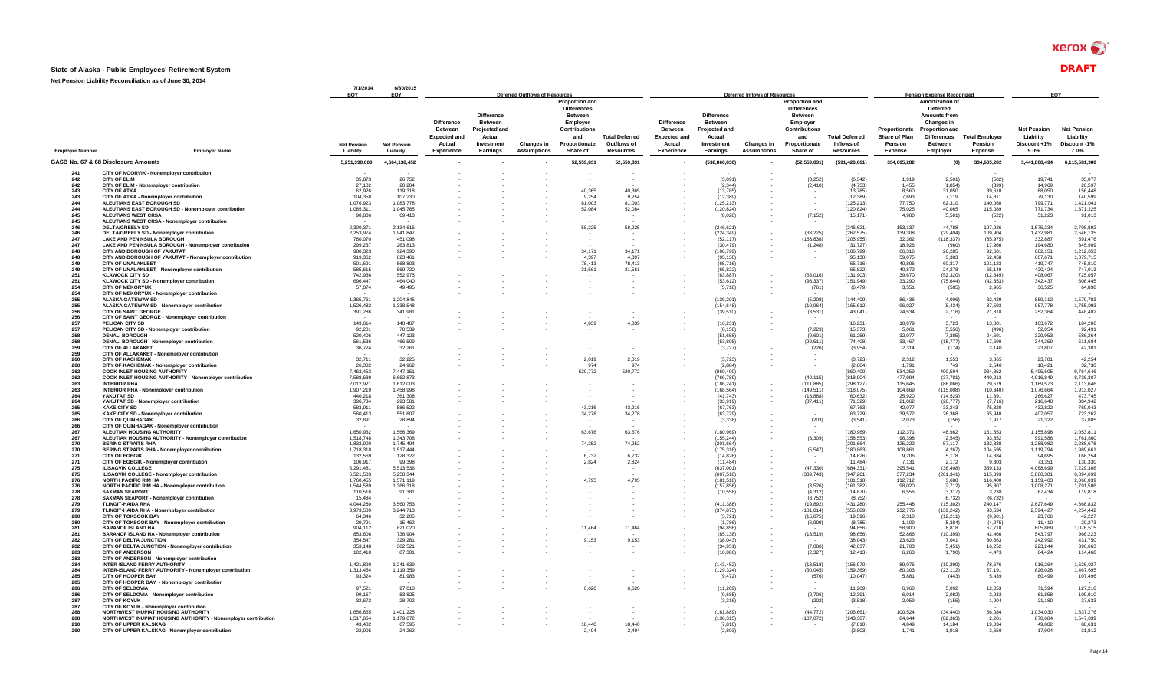#### **State of Alaska - Public Employees' Retirement System** DRAFT

|                       |                                                                                                | 7/1/2014<br>BOY        | 6/30/2015<br>EOY       |                                                               |                                                                                     | <b>Deferred Outflows of Resources</b> |                                                                                                                    |                                      |                                                                      |                                                                                     | <b>Deferred Inflows of Resources</b> |                                                                                                                    |                                     |                                           | <b>Pension Expense Recognized</b>                                                                                   |                                  |                                                 | EOY                                            |
|-----------------------|------------------------------------------------------------------------------------------------|------------------------|------------------------|---------------------------------------------------------------|-------------------------------------------------------------------------------------|---------------------------------------|--------------------------------------------------------------------------------------------------------------------|--------------------------------------|----------------------------------------------------------------------|-------------------------------------------------------------------------------------|--------------------------------------|--------------------------------------------------------------------------------------------------------------------|-------------------------------------|-------------------------------------------|---------------------------------------------------------------------------------------------------------------------|----------------------------------|-------------------------------------------------|------------------------------------------------|
|                       |                                                                                                | <b>Net Pension</b>     | <b>Net Pension</b>     | Difference<br><b>Between</b><br><b>Expected and</b><br>Actual | <b>Difference</b><br><b>Between</b><br><b>Projected and</b><br>Actual<br>Investment | <b>Changes in</b>                     | <b>Proportion and</b><br><b>Differences</b><br><b>Between</b><br>Employer<br>Contributions<br>and<br>Proportionate | <b>Total Deferred</b><br>Outflows of | <b>Difference</b><br><b>Between</b><br><b>Expected and</b><br>Actual | <b>Difference</b><br><b>Between</b><br><b>Projected and</b><br>Actual<br>Investment | <b>Changes in</b>                    | <b>Proportion and</b><br><b>Differences</b><br><b>Between</b><br>Employer<br>Contributions<br>and<br>Proportionate | <b>Total Deferred</b><br>Inflows of | Proportionate<br>Share of Plan<br>Pension | Amortization of<br>Deferred<br><b>Amounts from</b><br>Changes in<br><b>Proportion and</b><br>Differences<br>Between | <b>Total Employer</b><br>Pension | <b>Net Pension</b><br>Liability<br>Discount +1% | <b>Net Pension</b><br>Liability<br>Discount-1% |
| <b>Employer Numbe</b> | <b>Employer Name</b>                                                                           | Liability              | Liability              | Experience                                                    | Earnings                                                                            | <b>Assumptions</b>                    | Share of                                                                                                           | <b>Resources</b>                     | Experience                                                           | Earnings                                                                            | <b>Assumptions</b>                   | Share of                                                                                                           | <b>Resources</b>                    | <b>Expense</b>                            | Employer                                                                                                            | Expense                          | $9.0\%$                                         | 7.0%                                           |
|                       | GASB No. 67 & 68 Disclosure Amounts                                                            | 5,251,398,000          | 4,664,138,452          |                                                               |                                                                                     |                                       | 52,559,831                                                                                                         | 52,559,831                           |                                                                      | (538, 866, 830)                                                                     |                                      | (52, 559, 831)                                                                                                     | (591, 426, 661)                     | 334,605,282                               | (0)                                                                                                                 | 334,605,282                      | 3,441,888,494                                   | 6,115,581,980                                  |
| 241                   | CITY OF NOORVIK - Nonemployer contribution                                                     |                        |                        |                                                               |                                                                                     |                                       |                                                                                                                    |                                      |                                                                      |                                                                                     |                                      |                                                                                                                    |                                     |                                           |                                                                                                                     |                                  |                                                 |                                                |
| 242<br>242            | <b>CITY OF ELIM</b><br>CITY OF ELIM - Nonemployer contribution                                 | 35.873<br>27.102       | 26,752<br>20,284       |                                                               |                                                                                     |                                       |                                                                                                                    |                                      |                                                                      | (3.091)<br>(2.344)                                                                  |                                      | (3.252)<br>(2, 410)                                                                                                | (6.342)<br>(4, 753)                 | 1.919<br>1,455                            | (2.501)<br>(1, 854)                                                                                                 | (582)<br>(399)                   | 19.741<br>14.969                                | 35.077<br>26,597                               |
| 243                   | <b>CITY OF ATKA</b>                                                                            | 62.926                 | 119,318                |                                                               |                                                                                     |                                       | 40.365                                                                                                             | 40,365                               |                                                                      | (13.785)                                                                            |                                      |                                                                                                                    | (13.785)                            | 8.560                                     | 31.050                                                                                                              | 39.610                           | 88.050                                          | 156,448                                        |
| 243<br>244            | CITY OF ATKA - Nonemployer contribution<br>ALEUTIANS EAST BOROUGH SD                           | 104,358<br>1.076.923   | 107,230<br>1.083.778   |                                                               |                                                                                     |                                       | 9,254<br>81.003                                                                                                    | 9,254<br>81.003                      |                                                                      | (12, 389)<br>(125, 213)                                                             |                                      |                                                                                                                    | (12, 389)<br>(125, 213)             | 7,693<br>77,750                           | 7,119<br>62.310                                                                                                     | 14,811<br>140.060                | 79,130<br>799.771                               | 140,599<br>1,421,041                           |
| 244                   | ALEUTIANS EAST BOROUGH SD - Nonemployer contribution                                           | 1,085,311              | 1.045.785              |                                                               |                                                                                     |                                       | 52.084                                                                                                             | 52,084                               |                                                                      | (120.824)                                                                           |                                      |                                                                                                                    | (120.824)                           | 75,025                                    | 40,065                                                                                                              | 115,089                          | 771.734                                         | 1,371,225                                      |
| 245<br>245            | <b>ALEUTIANS WEST CRSA</b><br>ALEUTIANS WEST CRSA - Nonemployer contribution                   | 90,806                 | 69,413                 |                                                               |                                                                                     |                                       |                                                                                                                    |                                      |                                                                      | (8,020)                                                                             |                                      | (7, 152)                                                                                                           | (15, 171)                           | 4,980                                     | (5, 501)                                                                                                            | (522)                            | 51,223                                          | 91,013                                         |
| 246                   | DELTA/GREELY SD                                                                                | 2.300.371              | 2.134.616              |                                                               |                                                                                     |                                       | 58,225                                                                                                             | 58,225                               |                                                                      | (246.621)                                                                           |                                      |                                                                                                                    | (246.621)                           | 153.137                                   | 44.788                                                                                                              | 197.926                          | 1,575,234                                       | 2,798,892                                      |
| 246<br>247            | DELTA/GREELY SD - Nonemployer contribution<br>LAKE AND PENINSULA BOROUGH                       | 2,253,974<br>780,070   | 1,941,847<br>451,098   |                                                               |                                                                                     |                                       |                                                                                                                    |                                      |                                                                      | (224, 349)<br>(52, 117)                                                             |                                      | (38, 225)<br>(153, 838)                                                                                            | (262, 575)<br>(205, 955)            | 139,308<br>32,362                         | (29, 404)<br>(118, 337)                                                                                             | 109,904<br>(85, 975)             | 1,432,981<br>332,887                            | 2,546,135<br>591.476                           |
| 247                   | LAKE AND PENINSULA BOROUGH - Nonemployer contribution                                          | 299.237                | 263.813                |                                                               |                                                                                     |                                       |                                                                                                                    |                                      |                                                                      | (30.479)                                                                            |                                      | (1, 248)                                                                                                           | (31.727)                            | 18.926                                    | (960)                                                                                                               | 17.966                           | 194.680                                         | 345,909                                        |
| 248                   | <b>CITY AND BOROUGH OF YAKUTAT</b>                                                             | 980.323                | 924.390                |                                                               |                                                                                     |                                       | 34.171                                                                                                             | 34.171                               |                                                                      | (106.799)                                                                           |                                      |                                                                                                                    | (106.799)                           | 66,316                                    | 26,285                                                                                                              | 92.601                           | 682.151                                         | 1,212,053                                      |
| 248<br>249            | CITY AND BOROUGH OF YAKUTAT - Nonemployer contribution<br><b>CITY OF UNALAKLEET</b>            | 919,362<br>501.69      | 823,461<br>568,803     |                                                               |                                                                                     |                                       | 4,397<br>78,413                                                                                                    | 4,397<br>78,413                      |                                                                      | (95, 138)<br>(65.716)                                                               |                                      |                                                                                                                    | (95, 138)<br>(65.716)               | 59,075<br>40,806                          | 3,383<br>60,317                                                                                                     | 62,458<br>101,123                | 607,671<br>419.747                              | 1,079,715<br>745.810                           |
| 249                   | CITY OF UNALAKLEET - Nonemployer contribution                                                  | 585.615                | 569,720                |                                                               |                                                                                     |                                       | 31,561                                                                                                             | 31.561                               |                                                                      | (65.822)                                                                            |                                      |                                                                                                                    | (65.822)                            | 40,872                                    | 24,278                                                                                                              | 65.149                           | 420.424                                         | 747,013                                        |
| 251<br>251            | <b>KLAWOCK CITY SD</b><br>KLAWOCK CITY SD - Nonemployer contribution                           | 742.936<br>696,447     | 552,975<br>464,040     |                                                               |                                                                                     |                                       |                                                                                                                    |                                      |                                                                      | (63, 887)<br>(53.612)                                                               |                                      | (68.016)<br>(98.337)                                                                                               | (131, 903)<br>(151.949)             | 39,670<br>33,290                          | (52, 320)<br>(75, 644)                                                                                              | (12, 649)<br>(42, 353)           | 408.067<br>342,437                              | 725,057<br>608,445                             |
| 254                   | <b>CITY OF MEKORYUK</b>                                                                        | 57,074                 | 49.495                 |                                                               |                                                                                     |                                       |                                                                                                                    |                                      |                                                                      | (5.718)                                                                             |                                      | (761)                                                                                                              | (6.479)                             | 3.551                                     | (585)                                                                                                               | 2,965                            | 36.525                                          | 64,898                                         |
| 254<br>255            | CITY OF MEKORYUK - Nonemployer contribution<br><b>ALASKA GATEWAY SD</b>                        | 1,365,761              | 1.204.845              |                                                               |                                                                                     |                                       |                                                                                                                    |                                      |                                                                      | (139, 201)                                                                          |                                      | (5,208)                                                                                                            | (144.409)                           | 86,436                                    | (4,006)                                                                                                             | 82,429                           | 889,112                                         | 1,579,783                                      |
| 255                   | ALASKA GATEWAY SD - Nonemployer contribution                                                   | 1,526,482              | 1,338,548              |                                                               |                                                                                     |                                       |                                                                                                                    |                                      |                                                                      | (154.648)                                                                           |                                      | (10.964)                                                                                                           | (165.612)                           | 96.027                                    | (8.434)                                                                                                             | 87.593                           | 987.778                                         | 1,755,093                                      |
| 256<br>256            | <b>CITY OF SAINT GEORGE</b><br>CITY OF SAINT GEORGE - Nonemployer contribution                 | 391,286                | 341,981                |                                                               |                                                                                     |                                       |                                                                                                                    |                                      |                                                                      | (39, 510)                                                                           |                                      | (3,531)                                                                                                            | (43, 041)                           | 24,534                                    | (2,716)                                                                                                             | 21,818                           | 252,364                                         | 448,402                                        |
| 257                   | PELICAN CITY SD                                                                                | 149.614                | 140.487                |                                                               |                                                                                     |                                       | 4.839                                                                                                              | 4.839                                |                                                                      | (16, 231)                                                                           |                                      |                                                                                                                    | (16.231)                            | 10.079                                    | 3,723                                                                                                               | 13,801                           | 103,672                                         | 184,206                                        |
| 257<br>258            | PELICAN CITY SD - Nonemployer contribution<br><b>DENALI BOROUGH</b>                            | 92.201<br>520,406      | 70,539<br>447,123      |                                                               |                                                                                     |                                       |                                                                                                                    |                                      |                                                                      | (8.150)<br>(51,658)                                                                 |                                      | (7, 223)<br>(9,601)                                                                                                | (15, 373)<br>(61, 259)              | 5,061<br>32,077                           | (5, 556)<br>(7, 385)                                                                                                | (496)<br>24,691                  | 52,054<br>329,953                               | 92,491<br>586,264                              |
| 258                   | DENALI BOROUGH - Nonemployer contribution                                                      | 561.536                | 466,509                |                                                               |                                                                                     |                                       |                                                                                                                    |                                      |                                                                      | (53.898)                                                                            |                                      | (20.511)                                                                                                           | (74.408)                            | 33.467                                    | (15, 777)                                                                                                           | 17.690                           | 344.259                                         | 611.684                                        |
| 259                   | <b>CITY OF ALLAKAKET</b>                                                                       | 36,724                 | 32,261                 |                                                               |                                                                                     |                                       |                                                                                                                    |                                      |                                                                      | (3, 727)                                                                            |                                      | (226)                                                                                                              | (3,954)                             | 2,314                                     | (174)                                                                                                               | 2,140                            | 23,807                                          | 42,301                                         |
| 259<br>260            | CITY OF ALLAKAKET - Nonemployer contribution<br><b>CITY OF KACHEMAK</b>                        | 32.711                 | 32.225                 |                                                               |                                                                                     |                                       | 2.019                                                                                                              | 2.019                                |                                                                      | (3.723)                                                                             |                                      |                                                                                                                    | (3.723)                             | 2.312                                     | 1.553                                                                                                               | 3.865                            | 23,781                                          | 42.254                                         |
| 260                   | CITY OF KACHEMAK - Nonemployer contribution                                                    | 26.382                 | 24.962                 |                                                               |                                                                                     |                                       | 974                                                                                                                | Q74                                  |                                                                      | (2.884)                                                                             |                                      |                                                                                                                    | (2.884)                             | 1.791                                     | 749                                                                                                                 | 2.540                            | 18.421                                          | 32.730                                         |
| 262<br>262            | <b>COOK INLET HOUSING AUTHORITY</b><br>COOK INLET HOUSING AUTHORITY - Nonemployer contribution | 7,463,453<br>7.588.689 | 7,447,151<br>6.662.873 |                                                               |                                                                                     |                                       | 520,772                                                                                                            | 520,772                              |                                                                      | (860, 400)<br>(769.789)                                                             |                                      | (49.115)                                                                                                           | (860, 400)<br>(818,904)             | 534,259<br>477.994                        | 400,594<br>(37, 781)                                                                                                | 934,852<br>440,213               | 5,495,605<br>4.916.849                          | 9,764,646<br>8,736,307                         |
| 263                   | <b>INTERIOR RHA</b>                                                                            | 2,012,921              | 1.612.003              |                                                               |                                                                                     |                                       |                                                                                                                    |                                      |                                                                      | (186.241)                                                                           |                                      | (111, 885)                                                                                                         | (298, 127)                          | 115,645                                   | (86,066)                                                                                                            | 29,579                           | 1,189,573                                       | 2,113,646                                      |
| 263<br>264            | <b>INTERIOR RHA - Nonemployer contribution</b><br>YAKUTAT SD                                   | 1.907.219<br>440,218   | 1.458.998<br>361,308   |                                                               |                                                                                     |                                       |                                                                                                                    |                                      |                                                                      | (168.564)<br>(41.743)                                                               |                                      | (149.511)<br>(18, 888)                                                                                             | (318.075)<br>(60, 632)              | 104.669<br>25,920                         | (115.008)<br>(14, 529)                                                                                              | (10.340)<br>11,391               | 1.076.664<br>266,627                            | 1,913,027<br>473,745                           |
| 264                   | YAKUTAT SD - Nonemployer contribution                                                          | 396.734                | 293.581                |                                                               |                                                                                     |                                       |                                                                                                                    |                                      |                                                                      | (33.919)                                                                            |                                      | (37.411)                                                                                                           | (71, 329)                           | 21,062                                    | (28, 777)                                                                                                           | (7, 716)                         | 216,648                                         | 384.942                                        |
| 265                   | <b>KAKE CITY SD</b>                                                                            | 583,911<br>560.413     | 586,522<br>551.607     |                                                               |                                                                                     |                                       | 43,216                                                                                                             | 43,216                               |                                                                      | (67, 763)                                                                           |                                      |                                                                                                                    | (67, 763)<br>(63.729)               | 42,077<br>39.572                          | 33,243                                                                                                              | 75,320<br>65.940                 | 432,822<br>407.057                              | 769,043                                        |
| 265<br>266            | KAKE CITY SD - Nonemployer contribution<br><b>CITY OF QUINHAGAK</b>                            | 32,891                 | 28,894                 |                                                               |                                                                                     |                                       | 34,278                                                                                                             | 34,278                               |                                                                      | (63.729)<br>(3, 338)                                                                |                                      | (203)                                                                                                              | (3, 541)                            | 2,073                                     | 26,368<br>(156)                                                                                                     | 1.917                            | 21,322                                          | 723,262<br>37,885                              |
| 266                   | CITY OF QUINHAGAK - Nonemployer contribution                                                   |                        |                        |                                                               |                                                                                     |                                       |                                                                                                                    |                                      |                                                                      |                                                                                     |                                      |                                                                                                                    |                                     |                                           |                                                                                                                     |                                  |                                                 |                                                |
| 267<br>267            | ALEUTIAN HOUSING AUTHORITY<br>ALEUTIAN HOUSING AUTHORITY - Nonemployer contribution            | 1.650.932<br>1.518.748 | 1.566.369<br>1.343.708 |                                                               |                                                                                     |                                       | 63,676                                                                                                             | 63,676                               |                                                                      | (180.969)<br>(155.244)                                                              |                                      | (3,309)                                                                                                            | (180.969)<br>(158.553)              | 112.371<br>96.398                         | 48.982<br>(2.545)                                                                                                   | 161.353<br>93.852                | 1.155.898<br>991.586                            | 2.053.811<br>1.761.860                         |
| 270                   | <b>BERING STRAITS RHA</b>                                                                      | 1,833,900              | 1,745,494              |                                                               |                                                                                     |                                       | 74,252                                                                                                             | 74,252                               |                                                                      | (201, 664)                                                                          |                                      |                                                                                                                    | (201, 664)                          | 125,222                                   | 57,117                                                                                                              | 182,338                          | 1,288,082                                       | 2,288,678                                      |
| 270<br>271            | <b>BERING STRAITS RHA - Nonemployer contribution</b><br><b>CITY OF EGEGIK</b>                  | 1,718,318<br>132.569   | 1,517,444<br>128.322   |                                                               |                                                                                     |                                       | 6.732                                                                                                              | 6.732                                |                                                                      | (175, 316)<br>(14.826)                                                              |                                      | (5, 547)                                                                                                           | (180, 863)<br>(14.826)              | 108,861<br>9.206                          | (4, 267)<br>5.178                                                                                                   | 104,595<br>14,384                | 1,119,794<br>94.695                             | 1,989,661<br>168.254                           |
| 271                   | CITY OF EGEGIK - Nonemployer contribution                                                      | 106,917                | 99.398                 |                                                               |                                                                                     |                                       | 2,824                                                                                                              | 2.824                                |                                                                      | (11.484)                                                                            |                                      |                                                                                                                    | (11.484)                            | 7.131                                     | 2,172                                                                                                               | 9,303                            | 73.351                                          | 130,330                                        |
| 275<br>275            | <b>ILISAGVIK COLLEGE</b><br>ILISAGVIK COLLEGE - Nonemployer contribution                       | 6,291,481<br>6,521,503 | 5,513,536<br>5.258.344 |                                                               |                                                                                     |                                       |                                                                                                                    |                                      |                                                                      | (637,001)<br>(607.518)                                                              |                                      | (47, 330)<br>(339, 743)                                                                                            | (684, 331)<br>(947, 261)            | 395,541<br>377,234                        | (36, 408)<br>(261, 341)                                                                                             | 359,133<br>115,893               | 4,068,699<br>3.880.381                          | 7,229,306<br>6.894.699                         |
| 276                   | <b>NORTH PACIFIC RIM HA</b>                                                                    | 1.760.455              | 1,571,119              |                                                               |                                                                                     |                                       | 4,795                                                                                                              | 4.795                                |                                                                      | (181.518)                                                                           |                                      |                                                                                                                    | (181.518)                           | 112.712                                   | 3,688                                                                                                               | 116,400                          | 1.159.403                                       | 2,060,039                                      |
| 276<br>278            | NORTH PACIFIC RIM HA - Nonemployer contribution<br><b>SAXMAN SEAPORT</b>                       | 1.544.589<br>110,516   | 1.366.318<br>91,381    |                                                               |                                                                                     |                                       |                                                                                                                    |                                      |                                                                      | (157.856)                                                                           |                                      | (3.526)<br>(4, 312)                                                                                                | (161.382)<br>(14, 870)              | 98.020<br>6,556                           | (2, 712)<br>(3, 317)                                                                                                | 95.307<br>3,238                  | 1.008.271<br>67,434                             | 1.791.506<br>119,818                           |
| 278                   | <b>SAXMAN SEAPORT - Nonemployer contribution</b>                                               | 15.484                 |                        |                                                               |                                                                                     |                                       |                                                                                                                    |                                      |                                                                      | (10, 558)                                                                           |                                      | (8, 752)                                                                                                           | (8, 752)                            |                                           | (6, 732)                                                                                                            | (6, 732)                         |                                                 |                                                |
| 279                   | <b>TLINGIT-HAIDA RHA</b>                                                                       | 4.044.280              | 3.560.753              |                                                               |                                                                                     |                                       |                                                                                                                    |                                      |                                                                      | (411.388)                                                                           |                                      | (19.892)                                                                                                           | (431.280)                           | 255.448                                   | (15.302)                                                                                                            | 240.147                          | 2.627.649                                       | 4.668.832                                      |
| 279<br>280            | TLINGIT-HAIDA RHA - Nonemployer contribution<br><b>CITY OF TOKSOOK BAY</b>                     | 3,973,509<br>64.346    | 3,244,713<br>32.205    |                                                               |                                                                                     |                                       |                                                                                                                    |                                      |                                                                      | (374, 875)<br>(3.721)                                                               |                                      | (181, 014)<br>(15.875)                                                                                             | (555, 889)<br>(19.596)              | 232,776<br>2,310                          | (139, 242)<br>(12, 211)                                                                                             | 93,534<br>(9.901)                | 2,394,427<br>23,766                             | 4,254,442<br>42,227                            |
| 280                   | CITY OF TOKSOOK BAY - Nonemployer contribution                                                 | 29,791                 | 15,462                 |                                                               |                                                                                     |                                       |                                                                                                                    |                                      |                                                                      | (1.786)                                                                             |                                      | (6,999)                                                                                                            | (8,785)                             | 1,109                                     | (5, 384)                                                                                                            | (4,275)                          | 11,410                                          | 20,273                                         |
| 281<br>281            | <b>BARANOF ISLAND HA</b><br><b>BARANOF ISLAND HA - Nonemployer contribution</b>                | 904.112<br>853,606     | 821.020<br>736,904     |                                                               |                                                                                     |                                       | 11,464                                                                                                             | 11.464                               |                                                                      | (94.856)<br>(85.138)                                                                |                                      | (13, 519)                                                                                                          | (94.856)<br>(98.656)                | 58.900<br>52,866                          | 8.818<br>(10, 399)                                                                                                  | 67.718<br>42.466                 | 605.869<br>543.797                              | 1,076,515<br>966.223                           |
| 282                   | CITY OF DELTA JUNCTION                                                                         | 354,547                | 329,281                |                                                               |                                                                                     |                                       | 9,153                                                                                                              | 9,153                                |                                                                      | (38, 043)                                                                           |                                      |                                                                                                                    | (38, 043)                           | 23,623                                    | 7,041                                                                                                               | 30,663                           | 242,992                                         | 431,750                                        |
| 282<br>283            | CITY OF DELTA JUNCTION - Nonemployer contribution<br><b>CITY OF ANDERSON</b>                   | 353,148<br>102.410     | 302,521<br>87.301      |                                                               |                                                                                     |                                       |                                                                                                                    |                                      |                                                                      | (34, 951)<br>(10.086)                                                               |                                      | (7,086)<br>(2, 327)                                                                                                | (42, 037)<br>(12, 413)              | 21,703<br>6.263                           | (5, 451)<br>(1,790)                                                                                                 | 16,252<br>4,473                  | 223,244<br>64.424                               | 396,663<br>114,468                             |
| 283                   | CITY OF ANDERSON - Nonemployer contribution                                                    |                        |                        |                                                               |                                                                                     |                                       |                                                                                                                    |                                      |                                                                      |                                                                                     |                                      |                                                                                                                    |                                     |                                           |                                                                                                                     |                                  |                                                 |                                                |
| 284<br>284            | <b>INTER-ISLAND FERRY AUTHORITY</b><br>INTER-ISLAND FERRY AUTHORITY - Nonemployer contribution | 1,421,890<br>1,313,454 | 1,241,639<br>1,119,359 |                                                               |                                                                                     |                                       |                                                                                                                    |                                      |                                                                      | (143, 452)<br>(129, 324)                                                            |                                      | (13,518)<br>(30,045)                                                                                               | (156, 970)<br>(159, 369)            | 89,075<br>80,303                          | (10, 399)<br>(23, 112)                                                                                              | 78,676<br>57,191                 | 916,264<br>826,028                              | 1,628,027<br>1,467,695                         |
| 285                   | CITY OF HOOPER BAY                                                                             | 93,324                 | 81,983                 |                                                               |                                                                                     |                                       |                                                                                                                    |                                      |                                                                      | (9.472)                                                                             |                                      | (576)                                                                                                              | (10.047)                            | 5.881                                     | (443)                                                                                                               | 5.439                            | 60,499                                          | 107,496                                        |
| 285                   | CITY OF HOOPER BAY - Nonemployer contribution                                                  | 97.521                 | 97.018                 |                                                               |                                                                                     |                                       |                                                                                                                    |                                      |                                                                      |                                                                                     |                                      |                                                                                                                    |                                     |                                           | 5.092                                                                                                               |                                  | 71.594                                          |                                                |
| 286<br>286            | <b>CITY OF SELDOVIA</b><br>CITY OF SELDOVIA - Nonemployer contribution                         | 99.167                 | 83.825                 |                                                               |                                                                                     |                                       | 6,620                                                                                                              | 6,620                                |                                                                      | (11, 209)<br>(9.685)                                                                |                                      | (2.706)                                                                                                            | (11, 209)<br>(12.391)               | 6,960<br>6.014                            | (2.082)                                                                                                             | 12,053<br>3,932                  | 61.858                                          | 127,210<br>109.910                             |
| 287                   | <b>CITY OF KOYUK</b>                                                                           | 32.672                 | 28,702                 |                                                               |                                                                                     |                                       |                                                                                                                    |                                      |                                                                      | (3.316)                                                                             |                                      | (202)                                                                                                              | (3, 518)                            | 2.059                                     | (155)                                                                                                               | 1.904                            | 21,180                                          | 37,633                                         |
| 287<br>288            | CITY OF KOYUK - Nonemployer contribution<br>NORTHWEST INUPIAT HOUSING AUTHORITY                | 1.656.865              | 1.401.225              |                                                               |                                                                                     |                                       |                                                                                                                    |                                      |                                                                      | (161.889)                                                                           |                                      | (44.772)                                                                                                           | (206, 661)                          | 100.524                                   | (34, 440)                                                                                                           | 66.084                           | 1.034.030                                       | 1,837,276                                      |
| 288                   | NORTHWEST INUPIAT HOUSING AUTHORITY - Nonemployer contribution                                 | 1,517,864              | 1,179,872              |                                                               |                                                                                     |                                       |                                                                                                                    |                                      |                                                                      | (136, 315)                                                                          |                                      | (107, 072)                                                                                                         | (243, 387)                          | 84,644                                    | (82, 363)                                                                                                           | 2,281                            | 870,684                                         | 1,547,039                                      |
| 290<br>290            | CITY OF UPPER KALSKAG<br>CITY OF UPPER KALSKAG - Nonemployer contribution                      | 43.482<br>22,905       | 67.595<br>24,262       |                                                               |                                                                                     |                                       | 18.440<br>2.494                                                                                                    | 18.440<br>2.494                      |                                                                      | (7.810)<br>(2,803)                                                                  |                                      |                                                                                                                    | (7.810)<br>(2.803)                  | 4.849<br>1.741                            | 14.184<br>1.918                                                                                                     | 19.034<br>3.659                  | 49.882<br>17,904                                | 88.631<br>31,812                               |
|                       |                                                                                                |                        |                        |                                                               |                                                                                     |                                       |                                                                                                                    |                                      |                                                                      |                                                                                     |                                      |                                                                                                                    |                                     |                                           |                                                                                                                     |                                  |                                                 |                                                |